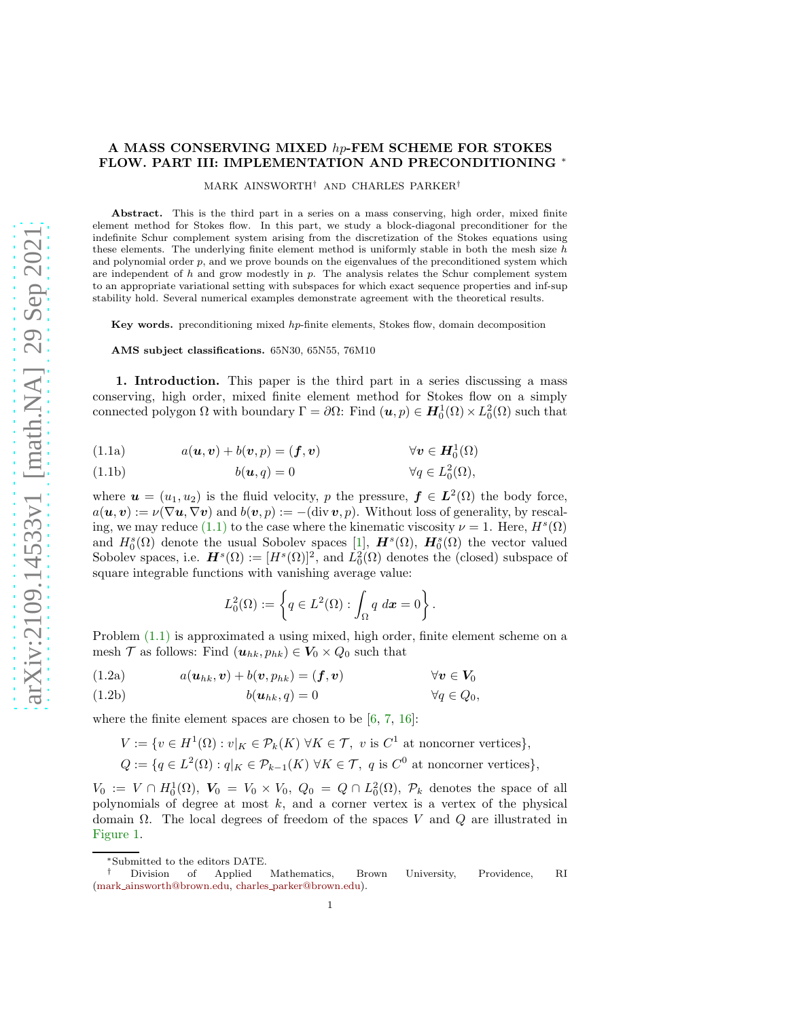# A MASS CONSERVING MIXED hp-FEM SCHEME FOR STOKES FLOW. PART III: IMPLEMENTATION AND PRECONDITIONING ∗

MARK AINSWORTH† AND CHARLES PARKER†

Abstract. This is the third part in a series on a mass conserving, high order, mixed finite element method for Stokes flow. In this part, we study a block-diagonal preconditioner for the indefinite Schur complement system arising from the discretization of the Stokes equations using these elements. The underlying finite element method is uniformly stable in both the mesh size  $h$ and polynomial order p, and we prove bounds on the eigenvalues of the preconditioned system which are independent of  $h$  and grow modestly in  $p$ . The analysis relates the Schur complement system to an appropriate variational setting with subspaces for which exact sequence properties and inf-sup stability hold. Several numerical examples demonstrate agreement with the theoretical results.

Key words. preconditioning mixed hp-finite elements, Stokes flow, domain decomposition

AMS subject classifications. 65N30, 65N55, 76M10

1. Introduction. This paper is the third part in a series discussing a mass conserving, high order, mixed finite element method for Stokes flow on a simply connected polygon  $\Omega$  with boundary  $\Gamma = \partial \Omega$ : Find  $(u, p) \in H_0^1(\Omega) \times L_0^2(\Omega)$  such that

<span id="page-0-0"></span>(1.1a) 
$$
a(\mathbf{u}, \mathbf{v}) + b(\mathbf{v}, p) = (\mathbf{f}, \mathbf{v}) \qquad \forall \mathbf{v} \in \mathbf{H}_0^1(\Omega)
$$

(1.1b) 
$$
b(\mathbf{u},q) = 0 \qquad \forall q \in L_0^2(\Omega),
$$

where  $u = (u_1, u_2)$  is the fluid velocity, p the pressure,  $f \in L^2(\Omega)$  the body force,  $a(\mathbf{u}, \mathbf{v}) := \nu(\nabla \mathbf{u}, \nabla \mathbf{v})$  and  $b(\mathbf{v}, p) := -(\text{div} \, \mathbf{v}, p)$ . Without loss of generality, by rescal-ing, we may reduce [\(1.1\)](#page-0-0) to the case where the kinematic viscosity  $\nu = 1$ . Here,  $H^s(\Omega)$ and  $H_0^s(\Omega)$  denote the usual Sobolev spaces [\[1\]](#page-27-0),  $\mathbf{H}^s(\Omega)$ ,  $\mathbf{H}_0^s(\Omega)$  the vector valued Sobolev spaces, i.e.  $H^s(\Omega) := [H^s(\Omega)]^2$ , and  $L_0^2(\Omega)$  denotes the (closed) subspace of square integrable functions with vanishing average value:

<span id="page-0-1"></span>
$$
L_0^2(\Omega) := \left\{ q \in L^2(\Omega) : \int_{\Omega} q \, dx = 0 \right\}.
$$

Problem [\(1.1\)](#page-0-0) is approximated a using mixed, high order, finite element scheme on a mesh T as follows: Find  $(\mathbf{u}_{hk}, p_{hk}) \in V_0 \times Q_0$  such that

(1.2a) 
$$
a(\mathbf{u}_{hk}, \mathbf{v}) + b(\mathbf{v}, p_{hk}) = (\mathbf{f}, \mathbf{v}) \qquad \forall \mathbf{v} \in \mathbf{V}_0
$$

<span id="page-0-2"></span>
$$
(1.2b) \t b(u_{hk}, q) = 0 \t \forall q \in Q_0,
$$

where the finite element spaces are chosen to be  $[6, 7, 16]$  $[6, 7, 16]$  $[6, 7, 16]$  $[6, 7, 16]$ :

$$
V := \{ v \in H^1(\Omega) : v|_K \in \mathcal{P}_k(K) \,\,\forall K \in \mathcal{T}, \, v \text{ is } C^1 \text{ at noncorner vertices} \},
$$
  

$$
Q := \{ q \in L^2(\Omega) : q|_K \in \mathcal{P}_{k-1}(K) \,\,\forall K \in \mathcal{T}, \, q \text{ is } C^0 \text{ at noncorner vertices} \},
$$

 $V_0 := V \cap H_0^1(\Omega)$ ,  $V_0 = V_0 \times V_0$ ,  $Q_0 = Q \cap L_0^2(\Omega)$ ,  $\mathcal{P}_k$  denotes the space of all polynomials of degree at most  $k$ , and a corner vertex is a vertex of the physical domain  $\Omega$ . The local degrees of freedom of the spaces V and Q are illustrated in [Figure 1.](#page-1-0)

<sup>∗</sup>Submitted to the editors DATE.

<sup>†</sup> Division of Applied Mathematics, Brown University, Providence, RI (mark [ainsworth@brown.edu,](mailto:mark\protect _ainsworth@brown.edu) charles [parker@brown.edu\)](mailto:charles\protect _parker@brown.edu).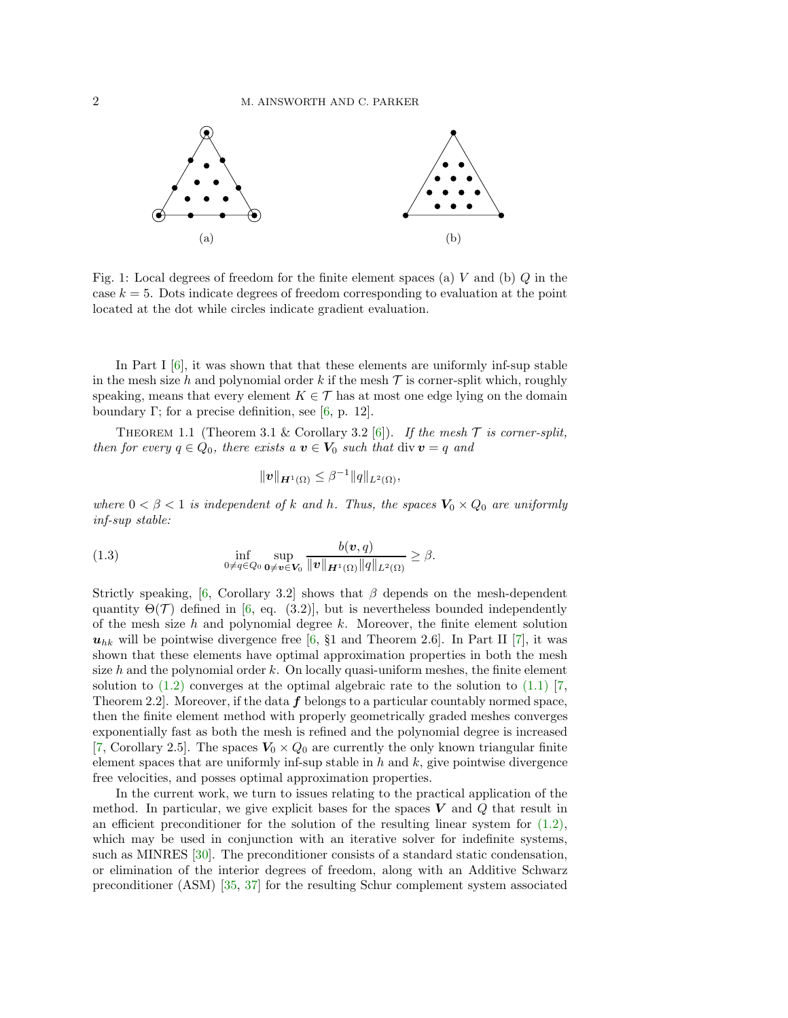<span id="page-1-0"></span>

Fig. 1: Local degrees of freedom for the finite element spaces (a)  $V$  and (b)  $Q$  in the case  $k = 5$ . Dots indicate degrees of freedom corresponding to evaluation at the point located at the dot while circles indicate gradient evaluation.

In Part I  $[6]$ , it was shown that that these elements are uniformly inf-sup stable in the mesh size h and polynomial order k if the mesh  $\mathcal T$  is corner-split which, roughly speaking, means that every element  $K \in \mathcal{T}$  has at most one edge lying on the domain boundary Γ; for a precise definition, see [\[6,](#page-27-1) p. 12].

THEOREM 1.1 (Theorem 3.1 & Corollary 3.2 [\[6\]](#page-27-1)). *If the mesh*  $\mathcal T$  *is corner-split, then for every*  $q \in Q_0$ *, there exists a*  $v \in V_0$  *such that* div  $v = q$  *and* 

<span id="page-1-2"></span>
$$
\|\bm{v}\|_{\bm{H}^1(\Omega)}\leq \beta^{-1}\|q\|_{L^2(\Omega)},
$$

*where*  $0 < \beta < 1$  *is independent of* k and h. Thus, the spaces  $V_0 \times Q_0$  are uniformly *inf-sup stable:*

<span id="page-1-1"></span>(1.3) 
$$
\inf_{0 \neq q \in Q_0} \sup_{\mathbf{0} \neq \mathbf{v} \in \mathbf{V}_0} \frac{b(\mathbf{v}, q)}{\|\mathbf{v}\|_{\mathbf{H}^1(\Omega)} \|\mathbf{q}\|_{L^2(\Omega)}} \geq \beta.
$$

Strictly speaking, [\[6,](#page-27-1) Corollary 3.2] shows that  $\beta$  depends on the mesh-dependent quantity  $\Theta(\mathcal{T})$  defined in [\[6,](#page-27-1) eq. (3.2)], but is nevertheless bounded independently of the mesh size  $h$  and polynomial degree  $k$ . Moreover, the finite element solution  $u_{hk}$  will be pointwise divergence free [\[6,](#page-27-1) §1 and Theorem 2.6]. In Part II [\[7\]](#page-27-2), it was shown that these elements have optimal approximation properties in both the mesh size  $h$  and the polynomial order  $k$ . On locally quasi-uniform meshes, the finite element solution to  $(1.2)$  converges at the optimal algebraic rate to the solution to  $(1.1)$  [\[7,](#page-27-2) Theorem 2.2. Moreover, if the data  $f$  belongs to a particular countably normed space, then the finite element method with properly geometrically graded meshes converges exponentially fast as both the mesh is refined and the polynomial degree is increased [\[7,](#page-27-2) Corollary 2.5]. The spaces  $V_0 \times Q_0$  are currently the only known triangular finite element spaces that are uniformly inf-sup stable in  $h$  and  $k$ , give pointwise divergence free velocities, and posses optimal approximation properties.

In the current work, we turn to issues relating to the practical application of the method. In particular, we give explicit bases for the spaces  $V$  and  $Q$  that result in an efficient preconditioner for the solution of the resulting linear system for  $(1.2)$ , which may be used in conjunction with an iterative solver for indefinite systems, such as MINRES [\[30\]](#page-28-1). The preconditioner consists of a standard static condensation, or elimination of the interior degrees of freedom, along with an Additive Schwarz preconditioner (ASM) [\[35,](#page-28-2) [37\]](#page-28-3) for the resulting Schur complement system associated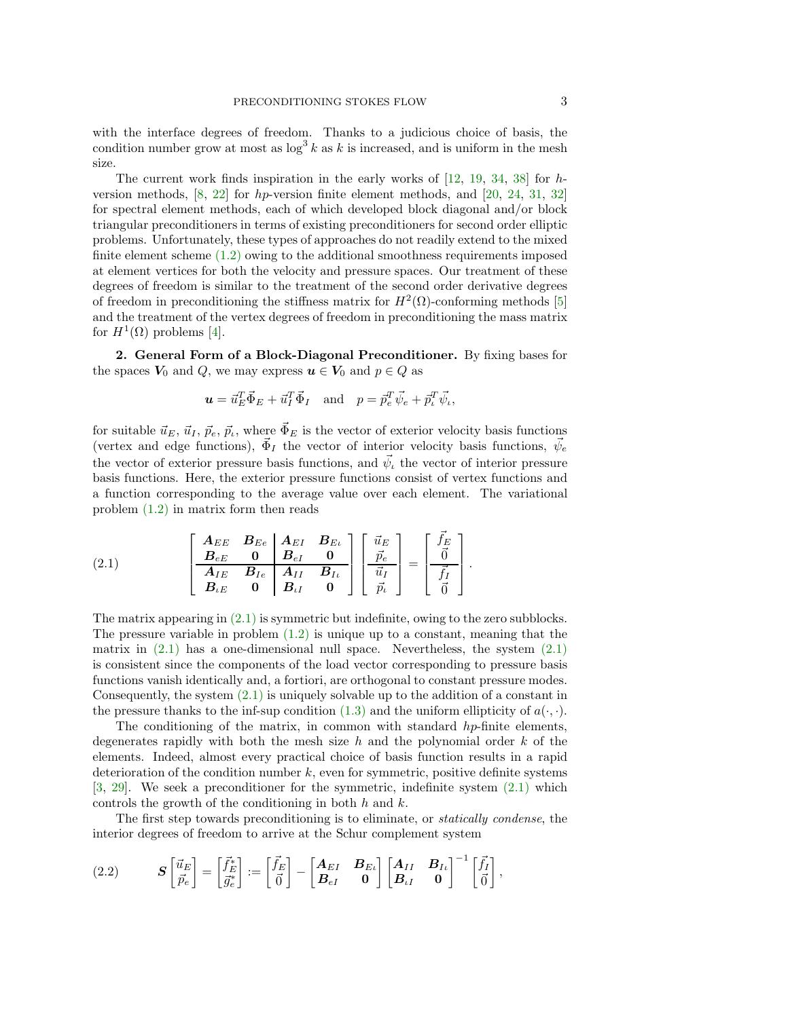with the interface degrees of freedom. Thanks to a judicious choice of basis, the condition number grow at most as  $\log^3 k$  as k is increased, and is uniform in the mesh size.

The current work finds inspiration in the early works of  $[12, 19, 34, 38]$  $[12, 19, 34, 38]$  $[12, 19, 34, 38]$  $[12, 19, 34, 38]$  $[12, 19, 34, 38]$  $[12, 19, 34, 38]$  for hversion methods, [\[8,](#page-27-4) [22\]](#page-28-7) for hp-version finite element methods, and [\[20,](#page-28-8) [24,](#page-28-9) [31,](#page-28-10) [32\]](#page-28-11) for spectral element methods, each of which developed block diagonal and/or block triangular preconditioners in terms of existing preconditioners for second order elliptic problems. Unfortunately, these types of approaches do not readily extend to the mixed finite element scheme [\(1.2\)](#page-0-1) owing to the additional smoothness requirements imposed at element vertices for both the velocity and pressure spaces. Our treatment of these degrees of freedom is similar to the treatment of the second order derivative degrees of freedom in preconditioning the stiffness matrix for  $H^2(\Omega)$ -conforming methods [\[5\]](#page-27-5) and the treatment of the vertex degrees of freedom in preconditioning the mass matrix for  $H^1(\Omega)$  problems [\[4\]](#page-27-6).

<span id="page-2-2"></span>2. General Form of a Block-Diagonal Preconditioner. By fixing bases for the spaces  $V_0$  and  $Q$ , we may express  $u \in V_0$  and  $p \in Q$  as

$$
\mathbf{u} = \vec{u}_E^T \vec{\Phi}_E + \vec{u}_I^T \vec{\Phi}_I
$$
 and  $p = \vec{p}_e^T \vec{\psi}_e + \vec{p}_i^T \vec{\psi}_i$ ,

for suitable  $\vec{u}_E, \vec{u}_I, \vec{p}_e, \vec{p}_i$ , where  $\vec{\Phi}_E$  is the vector of exterior velocity basis functions (vertex and edge functions),  $\vec{\Phi}_I$  the vector of interior velocity basis functions,  $\vec{\psi}_e$ the vector of exterior pressure basis functions, and  $\vec{\psi}_i$  the vector of interior pressure basis functions. Here, the exterior pressure functions consist of vertex functions and a function corresponding to the average value over each element. The variational problem [\(1.2\)](#page-0-1) in matrix form then reads

<span id="page-2-0"></span>(2.1) 
$$
\begin{bmatrix}\n\mathbf{A}_{EE} & \mathbf{B}_{Ee} & \mathbf{A}_{EI} & \mathbf{B}_{E\iota} \\
\mathbf{B}_{eE} & \mathbf{0} & \mathbf{B}_{eI} & \mathbf{0} \\
\mathbf{A}_{IE} & \mathbf{B}_{Ie} & \mathbf{A}_{II} & \mathbf{B}_{I\iota} \\
\mathbf{B}_{eE} & \mathbf{0} & \mathbf{B}_{\iota I} & \mathbf{0}\n\end{bmatrix}\n\begin{bmatrix}\n\vec{u}_E \\
\vec{p}_e \\
\vec{u}_I \\
\vec{p}_\iota\n\end{bmatrix} = \n\begin{bmatrix}\n\vec{f}_E \\
\vec{0} \\
\vec{f}_I \\
\vec{0}\n\end{bmatrix}.
$$

The matrix appearing in  $(2.1)$  is symmetric but indefinite, owing to the zero subblocks. The pressure variable in problem  $(1.2)$  is unique up to a constant, meaning that the matrix in  $(2.1)$  has a one-dimensional null space. Nevertheless, the system  $(2.1)$ is consistent since the components of the load vector corresponding to pressure basis functions vanish identically and, a fortiori, are orthogonal to constant pressure modes. Consequently, the system  $(2.1)$  is uniquely solvable up to the addition of a constant in the pressure thanks to the inf-sup condition [\(1.3\)](#page-1-1) and the uniform ellipticity of  $a(\cdot, \cdot)$ .

The conditioning of the matrix, in common with standard  $hp$ -finite elements, degenerates rapidly with both the mesh size  $h$  and the polynomial order  $k$  of the elements. Indeed, almost every practical choice of basis function results in a rapid deterioration of the condition number  $k$ , even for symmetric, positive definite systems [\[3,](#page-27-7) [29\]](#page-28-12). We seek a preconditioner for the symmetric, indefinite system [\(2.1\)](#page-2-0) which controls the growth of the conditioning in both  $h$  and  $k$ .

The first step towards preconditioning is to eliminate, or *statically condense*, the interior degrees of freedom to arrive at the Schur complement system

<span id="page-2-1"></span>(2.2) 
$$
\mathbf{S} \begin{bmatrix} \vec{u}_E \\ \vec{p}_e \end{bmatrix} = \begin{bmatrix} \vec{f}_E^* \\ \vec{g}_e^* \end{bmatrix} := \begin{bmatrix} \vec{f}_E \\ \vec{0} \end{bmatrix} - \begin{bmatrix} \mathbf{A}_{EI} & \mathbf{B}_{E\iota} \\ \mathbf{B}_{eI} & \mathbf{0} \end{bmatrix} \begin{bmatrix} \mathbf{A}_{II} & \mathbf{B}_{I\iota} \\ \mathbf{B}_{\iota I} & \mathbf{0} \end{bmatrix}^{-1} \begin{bmatrix} \vec{f}_I \\ \vec{0} \end{bmatrix},
$$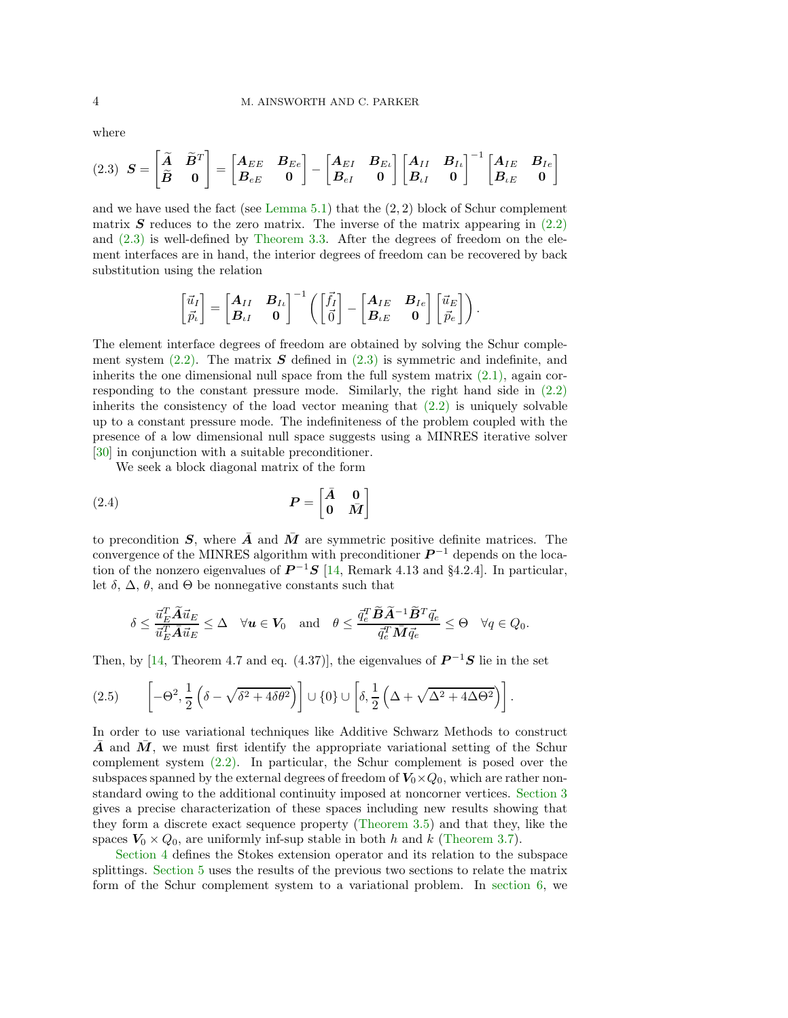where

<span id="page-3-0"></span>
$$
(2.3) \quad \boldsymbol{S} = \begin{bmatrix} \widetilde{\boldsymbol{A}} & \widetilde{\boldsymbol{B}}^T \\ \widetilde{\boldsymbol{B}} & \mathbf{0} \end{bmatrix} = \begin{bmatrix} \boldsymbol{A}_{EE} & \boldsymbol{B}_{Ee} \\ \boldsymbol{B}_{eE} & \mathbf{0} \end{bmatrix} - \begin{bmatrix} \boldsymbol{A}_{EI} & \boldsymbol{B}_{E\iota} \\ \boldsymbol{B}_{eI} & \mathbf{0} \end{bmatrix} \begin{bmatrix} \boldsymbol{A}_{II} & \boldsymbol{B}_{I\iota} \\ \boldsymbol{B}_{\iota I} & \mathbf{0} \end{bmatrix}^{-1} \begin{bmatrix} \boldsymbol{A}_{IE} & \boldsymbol{B}_{Ie} \\ \boldsymbol{B}_{\iota E} & \mathbf{0} \end{bmatrix}
$$

and we have used the fact (see [Lemma 5.1\)](#page-9-0) that the  $(2, 2)$  block of Schur complement matrix  $S$  reduces to the zero matrix. The inverse of the matrix appearing in  $(2.2)$ and [\(2.3\)](#page-3-0) is well-defined by [Theorem 3.3.](#page-5-0) After the degrees of freedom on the element interfaces are in hand, the interior degrees of freedom can be recovered by back substitution using the relation

$$
\begin{bmatrix} \vec{u}_I \\ \vec{p}_\iota \end{bmatrix} = \begin{bmatrix} \boldsymbol{A}_{II} & \boldsymbol{B}_{I\iota} \\ \boldsymbol{B}_{\iota I} & \boldsymbol{0} \end{bmatrix}^{-1} \left( \begin{bmatrix} \vec{f}_I \\ \vec{0} \end{bmatrix} - \begin{bmatrix} \boldsymbol{A}_{IE} & \boldsymbol{B}_{Ie} \\ \boldsymbol{B}_{\iota E} & \boldsymbol{0} \end{bmatrix} \begin{bmatrix} \vec{u}_E \\ \vec{p}_e \end{bmatrix} \right).
$$

The element interface degrees of freedom are obtained by solving the Schur complement system  $(2.2)$ . The matrix S defined in  $(2.3)$  is symmetric and indefinite, and inherits the one dimensional null space from the full system matrix  $(2.1)$ , again corresponding to the constant pressure mode. Similarly, the right hand side in [\(2.2\)](#page-2-1) inherits the consistency of the load vector meaning that  $(2.2)$  is uniquely solvable up to a constant pressure mode. The indefiniteness of the problem coupled with the presence of a low dimensional null space suggests using a MINRES iterative solver [\[30\]](#page-28-1) in conjunction with a suitable preconditioner.

We seek a block diagonal matrix of the form

<span id="page-3-1"></span>
$$
(2.4) \t\t\t P = \begin{bmatrix} \bar{A} & 0 \\ 0 & \bar{M} \end{bmatrix}
$$

to precondition S, where  $\overline{A}$  and  $\overline{M}$  are symmetric positive definite matrices. The convergence of the MINRES algorithm with preconditioner  $P^{-1}$  depends on the location of the nonzero eigenvalues of  $\mathbf{P}^{-1}\mathbf{S}$  [\[14,](#page-27-8) Remark 4.13 and §4.2.4]. In particular, let  $\delta$ ,  $\Delta$ ,  $\theta$ , and  $\Theta$  be nonnegative constants such that

$$
\delta \leq \frac{\vec{u}_E^T \widetilde{A} \vec{u}_E}{\vec{u}_E^T \bar{A} \vec{u}_E} \leq \Delta \quad \forall \boldsymbol{u} \in \boldsymbol{V}_0 \quad \text{and} \quad \theta \leq \frac{\vec{q}_e^T \widetilde{B} \widetilde{A}^{-1} \widetilde{B}^T \vec{q}_e}{\vec{q}_e^T \bar{M} \vec{q}_e} \leq \Theta \quad \forall q \in Q_0.
$$

Then, by [\[14,](#page-27-8) Theorem 4.7 and eq. (4.37)], the eigenvalues of  $\mathbf{P}^{-1}\mathbf{S}$  lie in the set

<span id="page-3-2"></span>(2.5) 
$$
\left[-\Theta^2, \frac{1}{2}\left(\delta - \sqrt{\delta^2 + 4\delta\theta^2}\right)\right] \cup \{0\} \cup \left[\delta, \frac{1}{2}\left(\Delta + \sqrt{\Delta^2 + 4\Delta\Theta^2}\right)\right].
$$

In order to use variational techniques like Additive Schwarz Methods to construct A and  $M$ , we must first identify the appropriate variational setting of the Schur complement system [\(2.2\).](#page-2-1) In particular, the Schur complement is posed over the subspaces spanned by the external degrees of freedom of  $V_0\times Q_0$ , which are rather nonstandard owing to the additional continuity imposed at noncorner vertices. [Section 3](#page-4-0) gives a precise characterization of these spaces including new results showing that they form a discrete exact sequence property [\(Theorem 3.5\)](#page-6-0) and that they, like the spaces  $V_0 \times Q_0$ , are uniformly inf-sup stable in both h and k [\(Theorem 3.7\)](#page-7-0).

[Section 4](#page-7-1) defines the Stokes extension operator and its relation to the subspace splittings. [Section 5](#page-9-1) uses the results of the previous two sections to relate the matrix form of the Schur complement system to a variational problem. In [section 6,](#page-11-0) we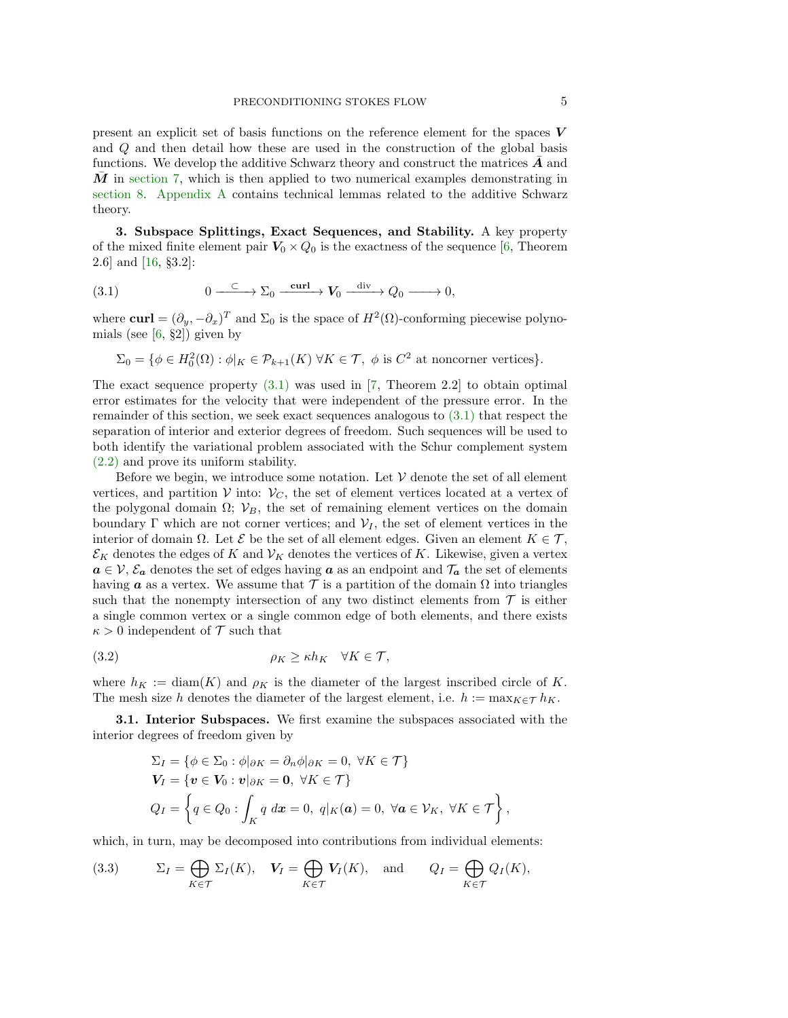present an explicit set of basis functions on the reference element for the spaces  $V$ and Q and then detail how these are used in the construction of the global basis functions. We develop the additive Schwarz theory and construct the matrices  $\boldsymbol{A}$  and  $\overline{M}$  in [section 7,](#page-15-0) which is then applied to two numerical examples demonstrating in [section 8.](#page-19-0) [Appendix A](#page-22-0) contains technical lemmas related to the additive Schwarz theory.

<span id="page-4-0"></span>3. Subspace Splittings, Exact Sequences, and Stability. A key property of the mixed finite element pair  $V_0 \times Q_0$  is the exactness of the sequence [\[6,](#page-27-1) Theorem 2.6] and [\[16,](#page-28-0) §3.2]:

<span id="page-4-1"></span>(3.1) 
$$
0 \xrightarrow{\quad \subset \quad} \Sigma_0 \xrightarrow{\quad \text{curl} \quad} V_0 \xrightarrow{\quad \text{div} \quad} Q_0 \xrightarrow{\quad \text{div} \quad} 0,
$$

where  $\text{curl} = (\partial_y, -\partial_x)^T$  and  $\Sigma_0$  is the space of  $H^2(\Omega)$ -conforming piecewise polynomials (see  $[6, §2]$ ) given by

$$
\Sigma_0 = \{ \phi \in H_0^2(\Omega) : \phi|_K \in \mathcal{P}_{k+1}(K) \,\,\forall K \in \mathcal{T}, \,\,\phi \,\,\text{is} \,\, C^2 \,\,\text{at noncorner vertices} \}.
$$

The exact sequence property  $(3.1)$  was used in [\[7,](#page-27-2) Theorem 2.2] to obtain optimal error estimates for the velocity that were independent of the pressure error. In the remainder of this section, we seek exact sequences analogous to [\(3.1\)](#page-4-1) that respect the separation of interior and exterior degrees of freedom. Such sequences will be used to both identify the variational problem associated with the Schur complement system [\(2.2\)](#page-2-1) and prove its uniform stability.

Before we begin, we introduce some notation. Let  $\mathcal V$  denote the set of all element vertices, and partition V into:  $V_c$ , the set of element vertices located at a vertex of the polygonal domain  $\Omega$ ;  $V_B$ , the set of remaining element vertices on the domain boundary  $\Gamma$  which are not corner vertices; and  $V_I$ , the set of element vertices in the interior of domain  $\Omega$ . Let  $\mathcal{E}$  be the set of all element edges. Given an element  $K \in \mathcal{T}$ ,  $\mathcal{E}_K$  denotes the edges of K and  $\mathcal{V}_K$  denotes the vertices of K. Likewise, given a vertex  $a \in V$ ,  $\mathcal{E}_a$  denotes the set of edges having a as an endpoint and  $\mathcal{T}_a$  the set of elements having **a** as a vertex. We assume that  $\mathcal T$  is a partition of the domain  $\Omega$  into triangles such that the nonempty intersection of any two distinct elements from  $\mathcal T$  is either a single common vertex or a single common edge of both elements, and there exists  $\kappa > 0$  independent of T such that

<span id="page-4-3"></span>(3.2) 
$$
\rho_K \ge \kappa h_K \quad \forall K \in \mathcal{T},
$$

where  $h_K := \text{diam}(K)$  and  $\rho_K$  is the diameter of the largest inscribed circle of K. The mesh size h denotes the diameter of the largest element, i.e.  $h := \max_{K \in \mathcal{T}} h_K$ .

3.1. Interior Subspaces. We first examine the subspaces associated with the interior degrees of freedom given by

$$
\Sigma_I = \{ \phi \in \Sigma_0 : \phi |_{\partial K} = \partial_n \phi |_{\partial K} = 0, \ \forall K \in \mathcal{T} \}
$$
  
\n
$$
\mathbf{V}_I = \{ \mathbf{v} \in \mathbf{V}_0 : \mathbf{v} |_{\partial K} = \mathbf{0}, \ \forall K \in \mathcal{T} \}
$$
  
\n
$$
Q_I = \{ q \in Q_0 : \int_K q \ dx = 0, \ q |_K(\mathbf{a}) = 0, \ \forall \mathbf{a} \in \mathcal{V}_K, \ \forall K \in \mathcal{T} \},
$$

which, in turn, may be decomposed into contributions from individual elements:

<span id="page-4-2"></span>(3.3) 
$$
\Sigma_I = \bigoplus_{K \in \mathcal{T}} \Sigma_I(K), \quad \mathbf{V}_I = \bigoplus_{K \in \mathcal{T}} \mathbf{V}_I(K), \quad \text{and} \quad Q_I = \bigoplus_{K \in \mathcal{T}} Q_I(K),
$$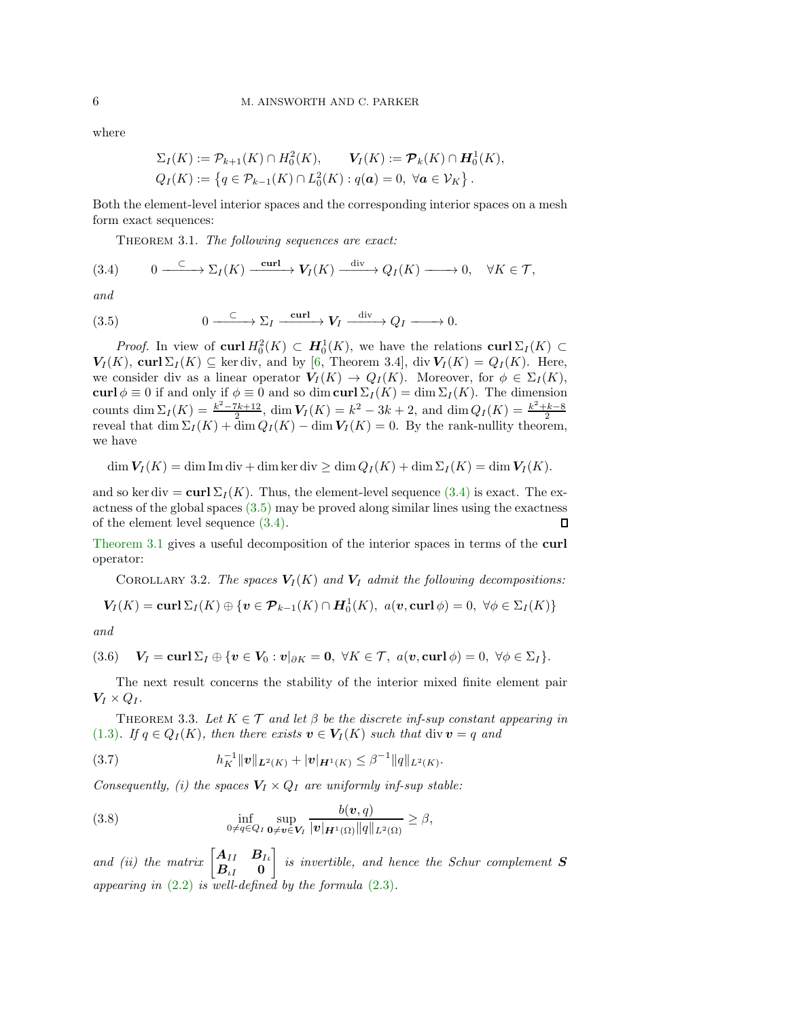where

<span id="page-5-3"></span>
$$
\Sigma_I(K) := \mathcal{P}_{k+1}(K) \cap H_0^2(K), \qquad \mathbf{V}_I(K) := \mathcal{P}_k(K) \cap \mathbf{H}_0^1(K),
$$
  
\n
$$
Q_I(K) := \{q \in \mathcal{P}_{k-1}(K) \cap L_0^2(K) : q(\mathbf{a}) = 0, \forall \mathbf{a} \in \mathcal{V}_K \}.
$$

Both the element-level interior spaces and the corresponding interior spaces on a mesh form exact sequences:

Theorem 3.1. *The following sequences are exact:*

<span id="page-5-1"></span>
$$
(3.4) \qquad 0 \longrightarrow \Sigma_I(K) \xrightarrow{\text{curl}} \mathbf{V}_I(K) \xrightarrow{\text{div}} Q_I(K) \longrightarrow 0, \quad \forall K \in \mathcal{T},
$$

*and*

<span id="page-5-2"></span>(3.5) 
$$
0 \xrightarrow{\quad \subset \quad} \Sigma_I \xrightarrow{\text{curl}} V_I \xrightarrow{\text{div}} Q_I \longrightarrow 0.
$$

*Proof.* In view of curl  $H_0^2(K) \subset H_0^1(K)$ , we have the relations curl  $\Sigma_I(K) \subset$  $V_I(K)$ , curl  $\Sigma_I(K) \subseteq$  ker div, and by [\[6,](#page-27-1) Theorem 3.4], div  $V_I(K) = Q_I(K)$ . Here, we consider div as a linear operator  $V_I(K) \to Q_I(K)$ . Moreover, for  $\phi \in \Sigma_I(K)$ , curl  $\phi \equiv 0$  if and only if  $\phi \equiv 0$  and so dim curl  $\Sigma_I(K) = \dim \Sigma_I(K)$ . The dimension counts dim  $\Sigma_I(K) = \frac{k^2 - 7k + 12}{2}$ , dim  $V_I(K) = k^2 - 3k + 2$ , and dim  $Q_I(K) = \frac{k^2 + k - 8}{2}$ <br>reveal that dim  $\Sigma_I(K) + \dim Q_I(K) - \dim V_I(K) = 0$ . By the rank-nullity theorem, we have

 $\dim V_I(K) = \dim \text{Im div} + \dim \ker \text{div} \geq \dim Q_I(K) + \dim \Sigma_I(K) = \dim V_I(K).$ 

and so ker div = curl  $\Sigma_I(K)$ . Thus, the element-level sequence [\(3.4\)](#page-5-1) is exact. The exactness of the global spaces  $(3.5)$  may be proved along similar lines using the exactness of the element level sequence [\(3.4\).](#page-5-1)  $\Box$ 

[Theorem 3.1](#page-5-3) gives a useful decomposition of the interior spaces in terms of the curl operator:

<span id="page-5-7"></span>COROLLARY 3.2. *The spaces*  $V_I(K)$  *and*  $V_I$  *admit the following decompositions:* 

$$
\mathbf{V}_I(K) = \mathbf{curl} \Sigma_I(K) \oplus \{ \mathbf{v} \in \mathcal{P}_{k-1}(K) \cap \mathbf{H}_0^1(K), \ a(\mathbf{v}, \mathbf{curl} \, \phi) = 0, \ \forall \phi \in \Sigma_I(K) \}
$$

*and*

<span id="page-5-6"></span>(3.6) 
$$
V_I = \text{curl} \Sigma_I \oplus \{ \mathbf{v} \in V_0 : \mathbf{v} |_{\partial K} = \mathbf{0}, \ \forall K \in \mathcal{T}, \ a(\mathbf{v}, \text{curl} \phi) = 0, \ \forall \phi \in \Sigma_I \}.
$$

<span id="page-5-0"></span>The next result concerns the stability of the interior mixed finite element pair  $V_I \times Q_I$ .

THEOREM 3.3. Let  $K \in \mathcal{T}$  and let  $\beta$  be the discrete inf-sup constant appearing in [\(1.3\)](#page-1-1)*.* If  $q \in Q_I(K)$ , then there exists  $v \in V_I(K)$  such that div  $v = q$  and

<span id="page-5-4"></span>(3.7) 
$$
h_K^{-1} ||\boldsymbol{v}||_{\boldsymbol{L}^2(K)} + |\boldsymbol{v}|_{\boldsymbol{H}^1(K)} \leq \beta^{-1} ||q||_{L^2(K)}.
$$

*Consequently, (i) the spaces*  $V_I \times Q_I$  *are uniformly inf-sup stable:* 

<span id="page-5-5"></span>(3.8) 
$$
\inf_{0 \neq q \in Q_I} \sup_{\mathbf{0} \neq \mathbf{v} \in \mathbf{V}_I} \frac{b(\mathbf{v}, q)}{|\mathbf{v}|_{\mathbf{H}^1(\Omega)} ||q||_{L^2(\Omega)}} \geq \beta,
$$

*and (ii) the matrix*  $\begin{bmatrix} A_{II} & B_{I} \ B & 0 \end{bmatrix}$  $\boldsymbol{B}_{\iota I} = \boldsymbol{0}$ 1 *is invertible, and hence the Schur complement* S *appearing in* [\(2.2\)](#page-2-1) *is well-defined by the formula* [\(2.3\)](#page-3-0)*.*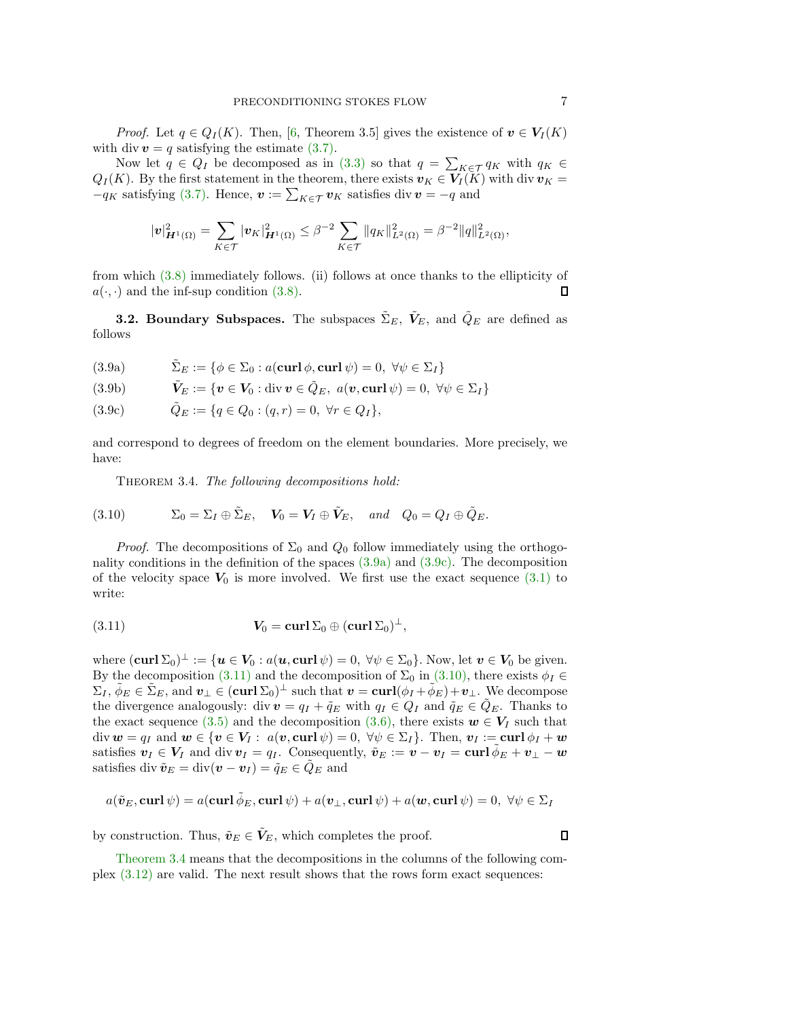*Proof.* Let  $q \in Q_I(K)$ . Then, [\[6,](#page-27-1) Theorem 3.5] gives the existence of  $v \in V_I(K)$ with div  $v = q$  satisfying the estimate [\(3.7\).](#page-5-4)

Now let  $q \in Q_I$  be decomposed as in [\(3.3\)](#page-4-2) so that  $q = \sum_{K \in \mathcal{T}} q_K$  with  $q_K \in K$  $Q_I(K)$ . By the first statement in the theorem, there exists  $v_K \in V_I(K)$  with div  $v_K =$  $-q_K$  satisfying [\(3.7\).](#page-5-4) Hence,  $\mathbf{v} := \sum_{K \in \mathcal{T}} \mathbf{v}_K$  satisfies div  $\mathbf{v} = -q$  and

$$
|\mathbf{v}|_{\mathbf{H}^1(\Omega)}^2 = \sum_{K \in \mathcal{T}} |\mathbf{v}_K|_{\mathbf{H}^1(\Omega)}^2 \leq \beta^{-2} \sum_{K \in \mathcal{T}} ||q_K||_{L^2(\Omega)}^2 = \beta^{-2} ||q||_{L^2(\Omega)}^2,
$$

from which [\(3.8\)](#page-5-5) immediately follows. (ii) follows at once thanks to the ellipticity of  $a(\cdot, \cdot)$  and the inf-sup condition [\(3.8\).](#page-5-5) П

<span id="page-6-6"></span>**3.2. Boundary Subspaces.** The subspaces  $\tilde{\Sigma}_E$ ,  $\tilde{V}_E$ , and  $\tilde{Q}_E$  are defined as follows

<span id="page-6-1"></span>(3.9a) 
$$
\tilde{\Sigma}_E := \{ \phi \in \Sigma_0 : a(\mathbf{curl} \, \phi, \mathbf{curl} \, \psi) = 0, \ \forall \psi \in \Sigma_I \}
$$

<span id="page-6-7"></span>(3.9b) 
$$
\tilde{\boldsymbol{V}}_E := \{ \boldsymbol{v} \in \boldsymbol{V}_0 : \text{div } \boldsymbol{v} \in \tilde{Q}_E, \ a(\boldsymbol{v}, \text{curl } \psi) = 0, \ \forall \psi \in \Sigma_I \}
$$

<span id="page-6-2"></span>(3.9c) 
$$
\tilde{Q}_E := \{ q \in Q_0 : (q, r) = 0, \ \forall r \in Q_I \},
$$

and correspond to degrees of freedom on the element boundaries. More precisely, we have:

<span id="page-6-5"></span>Theorem 3.4. *The following decompositions hold:*

<span id="page-6-4"></span>(3.10) 
$$
\Sigma_0 = \Sigma_I \oplus \tilde{\Sigma}_E, \quad \mathbf{V}_0 = \mathbf{V}_I \oplus \tilde{\mathbf{V}}_E, \quad \text{and} \quad Q_0 = Q_I \oplus \tilde{Q}_E.
$$

*Proof.* The decompositions of  $\Sigma_0$  and  $Q_0$  follow immediately using the orthogonality conditions in the definition of the spaces [\(3.9a\)](#page-6-1) and [\(3.9c\).](#page-6-2) The decomposition of the velocity space  $V_0$  is more involved. We first use the exact sequence [\(3.1\)](#page-4-1) to write:

<span id="page-6-3"></span>(3.11) 
$$
\mathbf{V}_0 = \mathbf{curl} \, \Sigma_0 \oplus (\mathbf{curl} \, \Sigma_0)^{\perp},
$$

where  $(\mathbf{curl}\,\Sigma_0)^\perp := \{\mathbf{u} \in \mathbf{V}_0 : a(\mathbf{u},\mathbf{curl}\,\psi) = 0, \,\forall \psi \in \Sigma_0\}.$  Now, let  $\mathbf{v} \in \mathbf{V}_0$  be given. By the decomposition [\(3.11\)](#page-6-3) and the decomposition of  $\Sigma_0$  in [\(3.10\),](#page-6-4) there exists  $\phi_I \in$  $\Sigma_I, \tilde{\phi}_E \in \tilde{\Sigma}_E$ , and  $\boldsymbol{v}_\perp \in (\boldsymbol{\operatorname{curl}} \Sigma_0)^\perp$  such that  $\boldsymbol{v} = \boldsymbol{\operatorname{curl}} (\phi_I + \tilde{\phi}_E) + \boldsymbol{v}_\perp$ . We decompose the divergence analogously: div  $v = q_I + \tilde{q}_E$  with  $q_I \in Q_I$  and  $\tilde{q}_E \in \tilde{Q}_E$ . Thanks to the exact sequence [\(3.5\)](#page-5-2) and the decomposition [\(3.6\),](#page-5-6) there exists  $w \in V_I$  such that div  $w = q_I$  and  $w \in \{v \in V_I : a(v, \text{curl } \psi) = 0, \forall \psi \in \Sigma_I\}$ . Then,  $v_I := \text{curl } \phi_I + w$ satisfies  $v_I \in V_I$  and div  $v_I = q_I$ . Consequently,  $\tilde{v}_E := v - v_I = \text{curl } \phi_E + v_I - w$ satisfies div  $\tilde{\boldsymbol{v}}_E = \text{div}(\boldsymbol{v} - \boldsymbol{v}_I) = \tilde{q}_E \in Q_E$  and

$$
a(\tilde{\boldsymbol{v}}_E, \mathbf{curl}\,\psi) = a(\mathbf{curl}\,\tilde{\phi}_E, \mathbf{curl}\,\psi) + a(\boldsymbol{v}_\perp, \mathbf{curl}\,\psi) + a(\boldsymbol{w}, \mathbf{curl}\,\psi) = 0, \ \forall \psi \in \Sigma_I
$$

by construction. Thus,  $\tilde{v}_E \in V_E$ , which completes the proof.

<span id="page-6-0"></span> $\Box$ 

[Theorem 3.4](#page-6-5) means that the decompositions in the columns of the following complex [\(3.12\)](#page-7-2) are valid. The next result shows that the rows form exact sequences: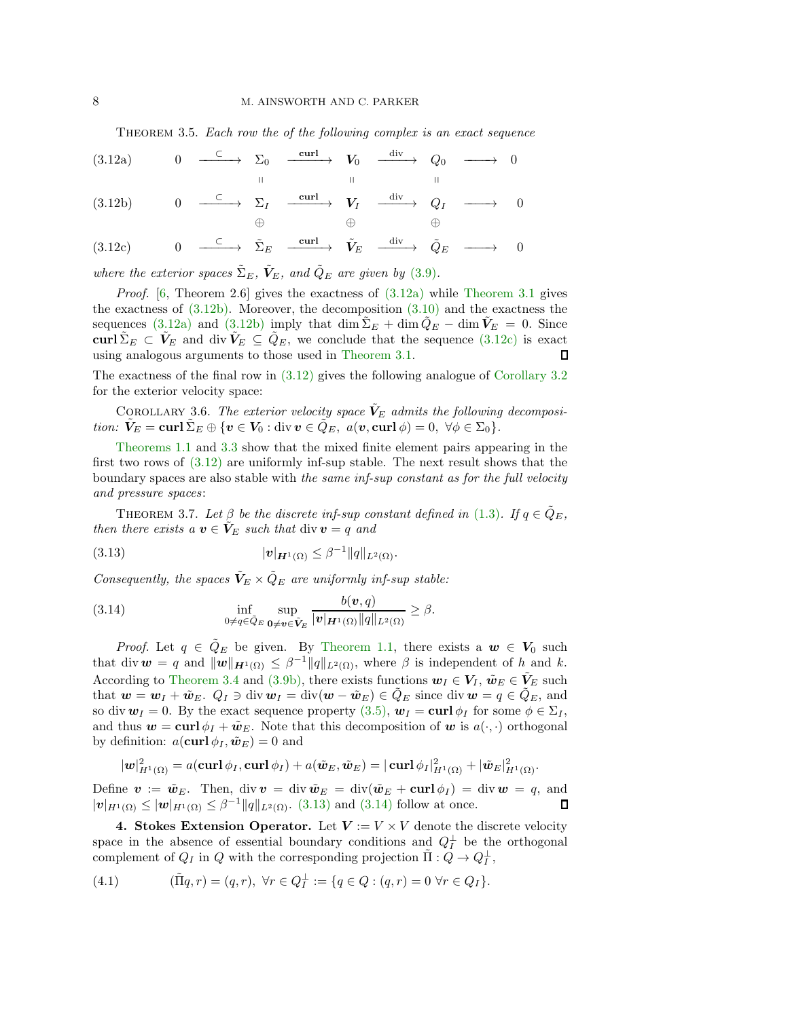<span id="page-7-2"></span>Theorem 3.5. *Each row the of the following complex is an exact sequence*

<span id="page-7-3"></span>
$$
(3.12a) \t 0 \t \xrightarrow{\hspace{0.5cm} \subset \hspace{0.5cm}} \sum_{\parallel} 0 \t \xrightarrow{\hspace{0.5cm} \text{curl} \hspace{0.2cm}} V_0 \t \xrightarrow{\hspace{0.5cm} \text{div} \hspace{0.2cm}} Q_0 \t \xrightarrow{\hspace{0.5cm} \longrightarrow} 0
$$

<span id="page-7-4"></span>(3.12b) 
$$
0 \xrightarrow{\subset} \Sigma_I \xrightarrow{\operatorname{curl}} V_I \xrightarrow{\operatorname{div}} Q_I \longrightarrow 0
$$

$$
\oplus \qquad \oplus
$$

<span id="page-7-5"></span>
$$
(3.12c) \t 0 \t \xrightarrow{\quad \subset \quad} \t \tilde{\Sigma}_E \t \xrightarrow{\quad \text{curl} \rightarrow} \t \tilde{V}_E \t \xrightarrow{\quad \text{div} \rightarrow} \t \tilde{Q}_E \t \xrightarrow{\quad \quad} 0
$$

*where the exterior spaces*  $\tilde{\Sigma}_E$ ,  $\tilde{V}_E$ , and  $\tilde{Q}_E$  are given by [\(3.9\)](#page-6-6).

*Proof.* [\[6,](#page-27-1) Theorem 2.6] gives the exactness of [\(3.12a\)](#page-7-3) while [Theorem 3.1](#page-5-3) gives the exactness of  $(3.12b)$ . Moreover, the decomposition  $(3.10)$  and the exactness the sequences [\(3.12a\)](#page-7-3) and [\(3.12b\)](#page-7-4) imply that dim  $\Sigma_E + \dim Q_E - \dim V_E = 0$ . Since curl  $\tilde{\Sigma}_E \subset \tilde{V}_E$  and div  $\tilde{V}_E \subseteq \tilde{Q}_E$ , we conclude that the sequence [\(3.12c\)](#page-7-5) is exact using analogous arguments to those used in Theorem 3.1. using analogous arguments to those used in [Theorem 3.1.](#page-5-3)

The exactness of the final row in [\(3.12\)](#page-7-2) gives the following analogue of [Corollary 3.2](#page-5-7) for the exterior velocity space:

COROLLARY 3.6. The exterior velocity space  $V_E$  admits the following decomposi*tion:*  $\tilde{V}_E = \text{curl} \, \tilde{\Sigma}_E \oplus \{ \boldsymbol{v} \in V_0 : \text{div } \boldsymbol{v} \in \tilde{Q}_E, \ a(\boldsymbol{v}, \text{curl } \phi) = 0, \ \forall \phi \in \Sigma_0 \}.$ 

[Theorems 1.1](#page-1-2) and [3.3](#page-5-0) show that the mixed finite element pairs appearing in the first two rows of [\(3.12\)](#page-7-2) are uniformly inf-sup stable. The next result shows that the boundary spaces are also stable with *the same inf-sup constant as for the full velocity and pressure spaces*:

<span id="page-7-0"></span>THEOREM 3.7. Let  $\beta$  be the discrete inf-sup constant defined in [\(1.3\)](#page-1-1). If  $q \in \hat{Q}_E$ , *then there exists a*  $v \in V_E$  *such that* div  $v = q$  *and* 

<span id="page-7-6"></span>(3.13) 
$$
|v|_{H^1(\Omega)} \leq \beta^{-1} \|q\|_{L^2(\Omega)}.
$$

*Consequently, the spaces*  $\tilde{V}_E \times \tilde{Q}_E$  *are uniformly inf-sup stable:* 

<span id="page-7-7"></span>(3.14) 
$$
\inf_{0 \neq q \in \tilde{Q}_E} \sup_{\mathbf{0} \neq \mathbf{v} \in \tilde{\mathbf{V}}_E} \frac{b(\mathbf{v}, q)}{|\mathbf{v}|_{\mathbf{H}^1(\Omega)} ||q||_{L^2(\Omega)}} \geq \beta.
$$

*Proof.* Let  $q \in \hat{Q}_E$  be given. By [Theorem 1.1,](#page-1-2) there exists a  $w \in V_0$  such that div  $w = q$  and  $||w||_{H^1(\Omega)} \leq \beta^{-1} ||q||_{L^2(\Omega)}$ , where  $\beta$  is independent of  $h$  and  $k$ . According to [Theorem 3.4](#page-6-5) and [\(3.9b\),](#page-6-7) there exists functions  $w_I \in V_I$ ,  $\tilde{w}_E \in V_E$  such that  $w = w_I + \tilde{w}_E$ .  $Q_I \ni \text{div } w_I = \text{div}(w - \tilde{w}_E) \in Q_E$  since  $\text{div } w = q \in Q_E$ , and so div  $w_I = 0$ . By the exact sequence property [\(3.5\),](#page-5-2)  $w_I = \text{curl} \phi_I$  for some  $\phi \in \Sigma_I$ , and thus  $w = \text{curl} \phi_I + \tilde{w}_E$ . Note that this decomposition of w is  $a(\cdot, \cdot)$  orthogonal by definition:  $a(\text{curl }\phi_I, \tilde{\boldsymbol{w}}_E) = 0$  and

$$
|\mathbf{w}|_{H^1(\Omega)}^2 = a(\mathbf{curl} \, \phi_I, \mathbf{curl} \, \phi_I) + a(\tilde{\mathbf{w}}_E, \tilde{\mathbf{w}}_E) = |\mathbf{curl} \, \phi_I|_{H^1(\Omega)}^2 + |\tilde{\mathbf{w}}_E|_{H^1(\Omega)}^2.
$$

Define  $\mathbf{v} := \tilde{\mathbf{w}}_E$ . Then, div  $\mathbf{v} = \text{div } \tilde{\mathbf{w}}_E = \text{div}(\tilde{\mathbf{w}}_E + \text{curl } \phi_I) = \text{div } \mathbf{w} = q$ , and  $|\mathbf{v}|_{H^1(\Omega)} \leq |\mathbf{w}|_{H^1(\Omega)} \leq \beta^{-1} ||q||_{L^2(\Omega)}$ . [\(3.13\)](#page-7-6) and [\(3.14\)](#page-7-7) follow at once. Л

<span id="page-7-1"></span>4. Stokes Extension Operator. Let  $V := V \times V$  denote the discrete velocity space in the absence of essential boundary conditions and  $Q_I^{\perp}$  be the orthogonal complement of  $Q_I$  in  $Q$  with the corresponding projection  $\tilde{\Pi} : \tilde{Q} \to Q_I^{\perp}$ ,

<span id="page-7-8"></span>(4.1) 
$$
(\tilde{\Pi}q, r) = (q, r), \ \forall r \in Q_I^{\perp} := \{ q \in Q : (q, r) = 0 \ \forall r \in Q_I \}.
$$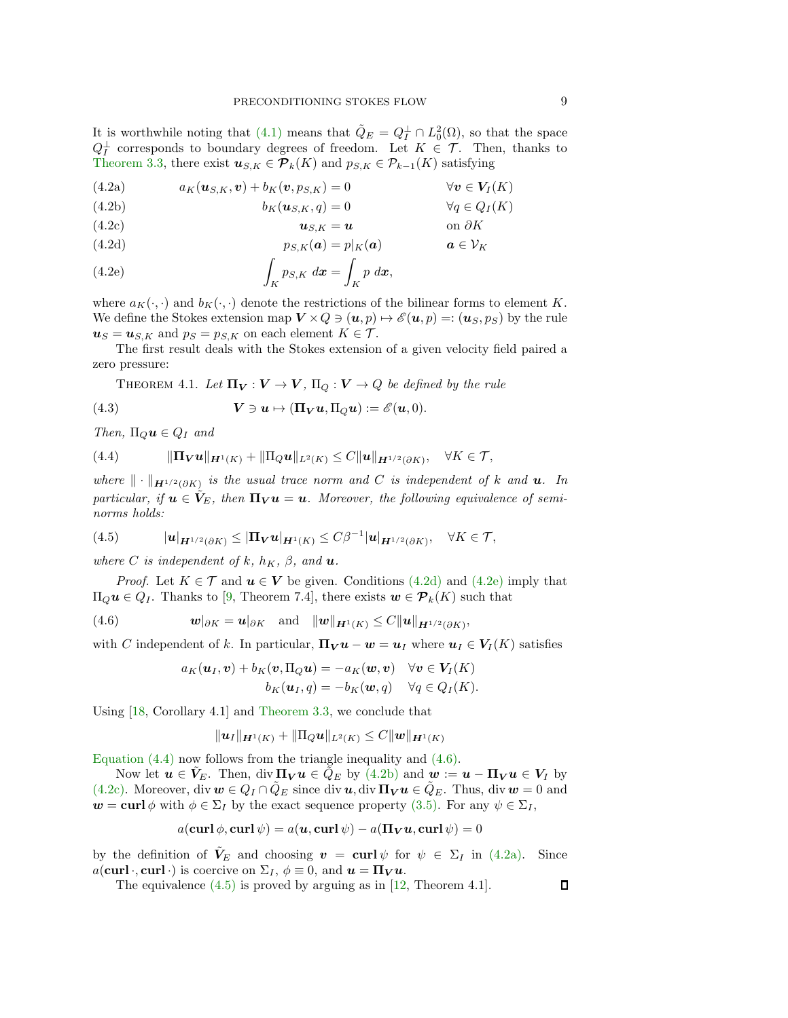It is worthwhile noting that  $(4.1)$  means that  $\tilde{Q}_E = Q_I^{\perp} \cap L_0^2(\Omega)$ , so that the space  $Q_I^{\perp}$  corresponds to boundary degrees of freedom. Let  $K \in \mathcal{T}$ . Then, thanks to [Theorem 3.3,](#page-5-0) there exist  $u_{S,K} \in \mathcal{P}_k(K)$  and  $p_{S,K} \in \mathcal{P}_{k-1}(K)$  satisfying

<span id="page-8-9"></span><span id="page-8-6"></span>(4.2a) 
$$
a_K(\boldsymbol{u}_{S,K},\boldsymbol{v}) + b_K(\boldsymbol{v},p_{S,K}) = 0 \qquad \forall \boldsymbol{v} \in \boldsymbol{V}_I(K)
$$

<span id="page-8-5"></span><span id="page-8-4"></span>(4.2b) 
$$
b_K(\mathbf{u}_{S,K}, q) = 0 \qquad \forall q \in Q_I(K)
$$

$$
\mathbf{u}_{S,K} = \mathbf{u} \qquad \text{on } \partial K
$$

<span id="page-8-0"></span>(4.2d) 
$$
p_{S,K}(\mathbf{a}) = p|_{K}(\mathbf{a}) \qquad \mathbf{a} \in V_K
$$

<span id="page-8-1"></span>(4.2e) 
$$
\int_K p_{S,K} dx = \int_K p dx,
$$

where  $a_K(\cdot, \cdot)$  and  $b_K(\cdot, \cdot)$  denote the restrictions of the bilinear forms to element K. We define the Stokes extension map  $V \times Q \ni (u, p) \mapsto \mathscr{E}(u, p) =: (u_S, p_S)$  by the rule  $u_S = u_{S,K}$  and  $p_S = p_{S,K}$  on each element  $K \in \mathcal{T}$ .

The first result deals with the Stokes extension of a given velocity field paired a zero pressure:

<span id="page-8-8"></span>THEOREM 4.1. Let  $\Pi_V : V \to V$ ,  $\Pi_Q : V \to Q$  be defined by the rule

<span id="page-8-10"></span>(4.3) 
$$
\mathbf{V} \ni \mathbf{u} \mapsto (\mathbf{\Pi}_{\mathbf{V}} \mathbf{u}, \mathbf{\Pi}_{Q} \mathbf{u}) := \mathscr{E}(\mathbf{u}, 0).
$$

*Then,*  $\Pi_{Q}u \in Q_{I}$  *and* 

<span id="page-8-2"></span>(4.4) 
$$
\|\Pi_V u\|_{H^1(K)} + \|\Pi_Q u\|_{L^2(K)} \leq C \|u\|_{H^{1/2}(\partial K)}, \quad \forall K \in \mathcal{T},
$$

 $where \|\cdot\|_{\mathbf{H}^{1/2}(\partial K)}$  *is the usual trace norm and* C *is independent of* k and **u**. In *particular, if*  $u \in V_E$ *, then*  $\Pi_V u = u$ *. Moreover, the following equivalence of seminorms holds:*

<span id="page-8-7"></span>(4.5) 
$$
|\mathbf{u}|_{\mathbf{H}^{1/2}(\partial K)} \leq |\mathbf{\Pi}_{V}\mathbf{u}|_{\mathbf{H}^{1}(K)} \leq C\beta^{-1}|\mathbf{u}|_{\mathbf{H}^{1/2}(\partial K)}, \quad \forall K \in \mathcal{T},
$$

*where C is independent of*  $k$ *,*  $h_K$ *,*  $\beta$ *, and* **u**.

*Proof.* Let  $K \in \mathcal{T}$  and  $\mathbf{u} \in V$  be given. Conditions [\(4.2d\)](#page-8-0) and [\(4.2e\)](#page-8-1) imply that  $\Pi_Q u \in Q_I$ . Thanks to [\[9,](#page-27-9) Theorem 7.4], there exists  $w \in \mathcal{P}_k(K)$  such that

<span id="page-8-3"></span>(4.6) 
$$
\mathbf{w}|_{\partial K} = \mathbf{u}|_{\partial K} \quad \text{and} \quad \|\mathbf{w}\|_{\mathbf{H}^1(K)} \leq C \|\mathbf{u}\|_{\mathbf{H}^{1/2}(\partial K)},
$$

with C independent of k. In particular,  $\mathbf{\Pi}_{V} \mathbf{u} - \mathbf{w} = \mathbf{u}_I$  where  $\mathbf{u}_I \in V_I(K)$  satisfies

$$
a_K(\boldsymbol{u}_I, \boldsymbol{v}) + b_K(\boldsymbol{v}, \Pi_Q \boldsymbol{u}) = -a_K(\boldsymbol{w}, \boldsymbol{v}) \quad \forall \boldsymbol{v} \in \boldsymbol{V}_I(K) b_K(\boldsymbol{u}_I, q) = -b_K(\boldsymbol{w}, q) \quad \forall q \in Q_I(K).
$$

Using [\[18,](#page-28-13) Corollary 4.1] and [Theorem 3.3,](#page-5-0) we conclude that

$$
\|\mathbf{u}_I\|_{\mathbf{H}^1(K)} + \|\Pi_Q \mathbf{u}\|_{L^2(K)} \leq C \|\mathbf{w}\|_{\mathbf{H}^1(K)}
$$

[Equation \(4.4\)](#page-8-2) now follows from the triangle inequality and [\(4.6\).](#page-8-3)

Now let  $u \in V_E$ . Then, div  $\Pi_V u \in Q_E$  by  $(4.2b)$  and  $w := u - \Pi_V u \in V_I$  by [\(4.2c\).](#page-8-5) Moreover, div  $w \in Q_I \cap \hat{Q}_E$  since div  $u$ , div  $\Pi_V u \in \hat{Q}_E$ . Thus, div  $w = 0$  and  $w = \text{curl} \phi$  with  $\phi \in \Sigma_I$  by the exact sequence property [\(3.5\).](#page-5-2) For any  $\psi \in \Sigma_I$ ,

$$
a(\mathbf{curl}\,\phi,\mathbf{curl}\,\psi)=a(\mathbf{u},\mathbf{curl}\,\psi)-a(\mathbf{\Pi_Vu},\mathbf{curl}\,\psi)=0
$$

by the definition of  $V_E$  and choosing  $v = \text{curl } \psi$  for  $\psi \in \Sigma_I$  in [\(4.2a\).](#page-8-6) Since  $a(\mathbf{curl}\cdot,\mathbf{curl}\cdot)$  is coercive on  $\Sigma_I, \phi\equiv 0$ , and  $\mathbf{u} = \Pi_V \mathbf{u}$ .

The equivalence  $(4.5)$  is proved by arguing as in [\[12,](#page-27-3) Theorem 4.1].

 $\Box$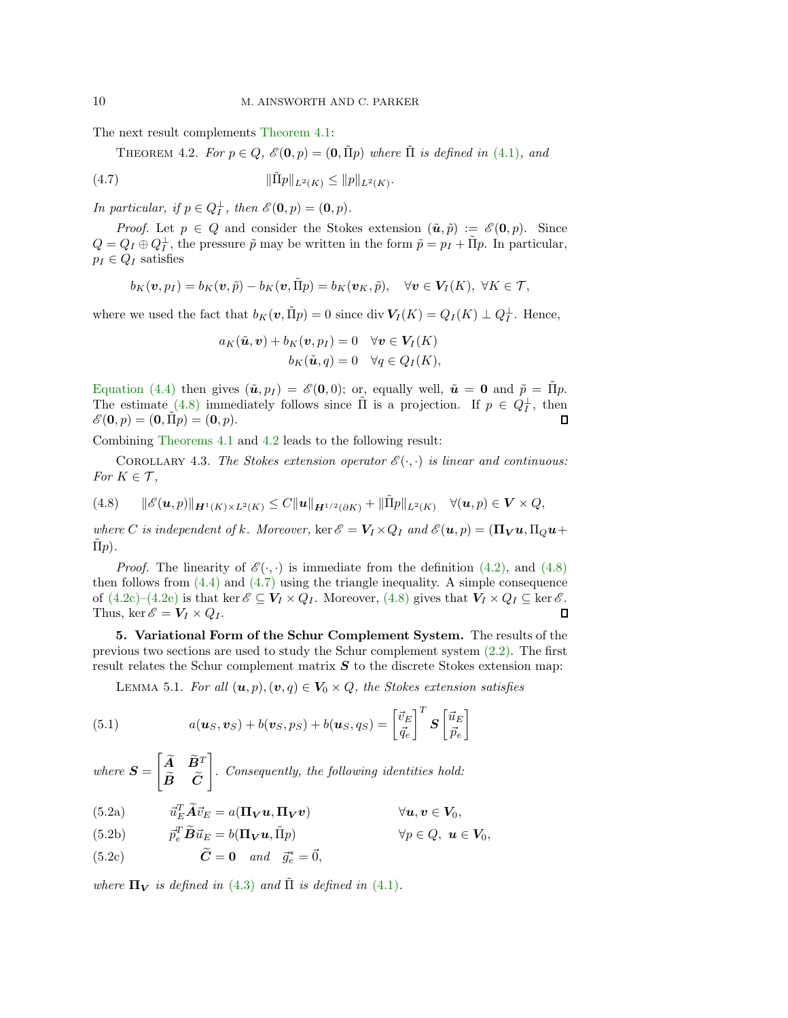The next result complements [Theorem 4.1:](#page-8-8)

<span id="page-9-3"></span>THEOREM 4.2. *For*  $p \in Q$ ,  $\mathcal{E}(\mathbf{0}, p) = (\mathbf{0}, \Pi p)$  *where*  $\Pi$  *is defined in* [\(4.1\)](#page-7-8), and

<span id="page-9-4"></span>(4.7) 
$$
\|\tilde{\Pi}p\|_{L^2(K)} \le \|p\|_{L^2(K)}.
$$

*In particular, if*  $p \in Q_I^{\perp}$ *, then*  $\mathscr{E}(\mathbf{0}, p) = (\mathbf{0}, p)$ *.* 

*Proof.* Let  $p \in Q$  and consider the Stokes extension  $(\tilde{u}, \tilde{p}) := \mathscr{E}(0, p)$ . Since  $Q = Q_I \oplus Q_I^{\perp}$ , the pressure  $\tilde{p}$  may be written in the form  $\tilde{p} = p_I + \tilde{\Pi}p$ . In particular,  $p_I \in Q_I$  satisfies

$$
b_K(\boldsymbol{v}, p_I) = b_K(\boldsymbol{v}, \tilde{p}) - b_K(\boldsymbol{v}, \tilde{\Pi}p) = b_K(\boldsymbol{v}_K, \tilde{p}), \quad \forall \boldsymbol{v} \in \boldsymbol{V}_I(K), \ \forall K \in \mathcal{T},
$$

where we used the fact that  $b_K(v, \tilde{\Pi}p) = 0$  since div  $V_I(K) = Q_I(K) \perp Q_I^{\perp}$ . Hence,

$$
a_K(\tilde{\boldsymbol{u}}, \boldsymbol{v}) + b_K(\boldsymbol{v}, p_I) = 0 \quad \forall \boldsymbol{v} \in V_I(K)
$$
  

$$
b_K(\tilde{\boldsymbol{u}}, q) = 0 \quad \forall q \in Q_I(K),
$$

[Equation \(4.4\)](#page-8-2) then gives  $(\tilde{\mathbf{u}}, p_I) = \mathscr{E}(\mathbf{0}, 0)$ ; or, equally well,  $\tilde{\mathbf{u}} = \mathbf{0}$  and  $\tilde{p} = \tilde{\Pi} p$ . The estimate [\(4.8\)](#page-9-2) immediately follows since  $\tilde{\Pi}$  is a projection. If  $p \in Q_I^{\perp}$ , then  $\mathscr{E}(\mathbf{0}, p) = (\mathbf{0}, \Pi p) = (\mathbf{0}, p).$ 

Combining [Theorems 4.1](#page-8-8) and [4.2](#page-9-3) leads to the following result:

COROLLARY 4.3. The Stokes extension operator  $\mathscr{E}(\cdot, \cdot)$  is linear and continuous: *For*  $K \in \mathcal{T}$ *,* 

<span id="page-9-2"></span>
$$
(4.8) \qquad \|\mathscr{E}(\bm{u},p)\|_{\bm{H}^1(K)\times L^2(K)} \leq C \|\bm{u}\|_{\bm{H}^{1/2}(\partial K)} + \|\tilde{\Pi}p\|_{L^2(K)} \quad \forall (\bm{u},p) \in \bm{V} \times Q,
$$

*where C is independent of k. Moreover,* ker  $\mathscr{E} = V_I \times Q_I$  *and*  $\mathscr{E}(\mathbf{u}, p) = (\mathbf{\Pi_V u}, \Pi_Q \mathbf{u} + \Pi_Q \mathbf{u})$  $\overline{\Pi}p$ ).

*Proof.* The linearity of  $\mathscr{E}(\cdot, \cdot)$  is immediate from the definition [\(4.2\),](#page-8-9) and [\(4.8\)](#page-9-2) then follows from [\(4.4\)](#page-8-2) and [\(4.7\)](#page-9-4) using the triangle inequality. A simple consequence of  $(4.2c)-(4.2e)$  $(4.2c)-(4.2e)$  is that ker  $\mathscr{E} \subseteq \mathbf{V}_I \times Q_I$ . Moreover,  $(4.8)$  gives that  $\mathbf{V}_I \times Q_I \subseteq \ker \mathscr{E}$ .<br>Thus, ker  $\mathscr{E} = \mathbf{V}_I \times Q_I$ . □ Thus, ker  $\mathscr{E} = V_I \times Q_I$ .

<span id="page-9-1"></span>5. Variational Form of the Schur Complement System. The results of the previous two sections are used to study the Schur complement system [\(2.2\).](#page-2-1) The first result relates the Schur complement matrix  $S$  to the discrete Stokes extension map:

<span id="page-9-6"></span><span id="page-9-0"></span>LEMMA 5.1. *For all*  $(\mathbf{u}, p), (\mathbf{v}, q) \in V_0 \times Q$ , the Stokes extension satisfies

<span id="page-9-5"></span>(5.1) 
$$
a(\boldsymbol{u}_S, \boldsymbol{v}_S) + b(\boldsymbol{v}_S, p_S) + b(\boldsymbol{u}_S, q_S) = \begin{bmatrix} \vec{v}_E \\ \vec{q}_e \end{bmatrix}^T \boldsymbol{S} \begin{bmatrix} \vec{u}_E \\ \vec{p}_e \end{bmatrix}
$$

 $where S =$  $\begin{bmatrix} \widetilde{A} & \widetilde{B}^T \end{bmatrix}$  $\bm{B}$   $\bm{C}$  $\overline{1}$ *. Consequently, the following identities hold:*

<span id="page-9-7"></span>(5.2a) 
$$
\vec{u}_E^T \widetilde{A} \vec{v}_E = a(\Pi_V \mathbf{u}, \Pi_V \mathbf{v}) \qquad \forall \mathbf{u}, \mathbf{v} \in V_0,
$$

- <span id="page-9-8"></span>(5.2b)  $\overline{p}_e^T \widetilde{B} \vec{u}_E = b(\Pi_V \mathbf{u}, \tilde{\Pi}_P) \qquad \forall p \in Q, \mathbf{u} \in V_0,$
- <span id="page-9-9"></span>(5.2c)  $\widetilde{C} = \mathbf{0}$  and  $\vec{g}_e^* = \vec{0}$ ,

*where*  $\Pi_V$  *is defined in* [\(4.3\)](#page-8-10) *and*  $\tilde{\Pi}$  *is defined in* [\(4.1\)](#page-7-8)*.*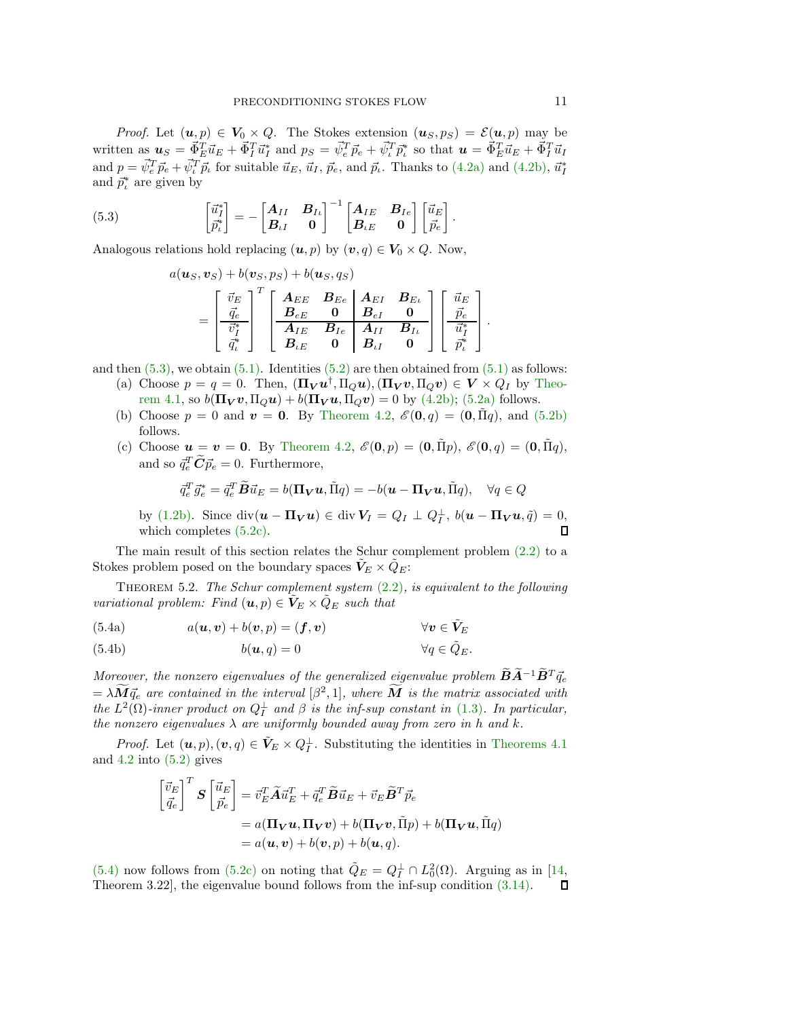*Proof.* Let  $(u, p) \in V_0 \times Q$ . The Stokes extension  $(u_S, p_S) = \mathcal{E}(u, p)$  may be written as  $u_S = \vec{\Phi}_E^T \vec{u}_E + \vec{\Phi}_I^T \vec{u}_I^*$  and  $p_S = \vec{\psi}_e^T \vec{p}_e + \vec{\psi}_e^T \vec{p}_e^*$  so that  $u = \vec{\Phi}_E^T \vec{u}_E + \vec{\Phi}_I^T \vec{u}_I$ and  $p = \vec{\psi}_e^T \vec{p}_e + \vec{\psi}_i^T \vec{p}_t$  for suitable  $\vec{u}_E$ ,  $\vec{u}_I$ ,  $\vec{p}_e$ , and  $\vec{p}_i$ . Thanks to [\(4.2a\)](#page-8-6) and [\(4.2b\),](#page-8-4)  $\vec{u}_I^*$ and  $\vec{p}_t^*$  are given by

<span id="page-10-0"></span>(5.3) 
$$
\begin{bmatrix} \vec{u}_I^* \\ \vec{p}_t^* \end{bmatrix} = - \begin{bmatrix} A_{II} & B_{I\iota} \\ B_{\iota I} & 0 \end{bmatrix}^{-1} \begin{bmatrix} A_{IE} & B_{Ie} \\ B_{\iota E} & 0 \end{bmatrix} \begin{bmatrix} \vec{u}_E \\ \vec{p}_e \end{bmatrix}.
$$

Analogous relations hold replacing  $(u, p)$  by  $(v, q) \in V_0 \times Q$ . Now,

$$
a(\boldsymbol{u}_S, \boldsymbol{v}_S) + b(\boldsymbol{v}_S, p_S) + b(\boldsymbol{u}_S, q_S)
$$
  
= 
$$
\begin{bmatrix} \vec{v}_E \\ \frac{\vec{q}_e}{\vec{v}_I^*} \end{bmatrix}^T \begin{bmatrix} \boldsymbol{A}_{EE} & \boldsymbol{B}_{Ee} & \boldsymbol{A}_{EI} & \boldsymbol{B}_{E\iota} \\ \boldsymbol{B}_{eE} & \boldsymbol{0} & \boldsymbol{B}_{eI} & \boldsymbol{0} \\ \hline \boldsymbol{A}_{IE} & \boldsymbol{B}_{Ie} & \boldsymbol{A}_{II} & \boldsymbol{B}_{I\iota} \\ \boldsymbol{B}_{eE} & \boldsymbol{0} & \boldsymbol{B}_{\iota I} & \boldsymbol{0} \end{bmatrix} \begin{bmatrix} \vec{u}_E \\ \vec{p}_e^* \\ \vec{u}_I^* \\ \vec{p}_t^* \end{bmatrix}
$$

and then  $(5.3)$ , we obtain  $(5.1)$ . Identities  $(5.2)$  are then obtained from  $(5.1)$  as follows:

- (a) Choose  $p = q = 0$ . Then,  $(\Pi_V \mathbf{u}^\dagger, \Pi_Q \mathbf{u}), (\Pi_V \mathbf{v}, \Pi_Q \mathbf{v}) \in V \times Q_I$  by Theorem 4.1, so  $b(\mathbf{\Pi}_{\mathbf{V}} \boldsymbol{v}, \mathbf{\Pi}_{\mathbf{Q}} \boldsymbol{u}) + b(\mathbf{\Pi}_{\mathbf{V}} \boldsymbol{u}, \mathbf{\Pi}_{\mathbf{Q}} \boldsymbol{v}) = 0$  by [\(4.2b\);](#page-8-4) [\(5.2a\)](#page-9-7) follows.
- (b) Choose  $p = 0$  and  $\mathbf{v} = \mathbf{0}$ . By [Theorem 4.2,](#page-9-3)  $\mathcal{E}(\mathbf{0}, q) = (\mathbf{0}, \tilde{\Pi}q)$ , and  $(5.2b)$ follows.
- (c) Choose  $u = v = 0$ . By [Theorem 4.2,](#page-9-3)  $\mathscr{E}(0, p) = (0, \tilde{\Pi}p)$ ,  $\mathscr{E}(0, q) = (0, \tilde{\Pi}q)$ , and so  $\vec{q}_e^T \vec{C} \vec{p}_e = 0$ . Furthermore,

<span id="page-10-2"></span><span id="page-10-1"></span>
$$
\bar{q}_e^T \vec{g}_e^* = \bar{q}_e^T \widetilde{B} \vec{u}_E = b(\Pi_V \boldsymbol{u}, \tilde{\Pi} q) = -b(\boldsymbol{u} - \Pi_V \boldsymbol{u}, \tilde{\Pi} q), \quad \forall q \in Q
$$

by [\(1.2b\).](#page-0-2) Since  $\text{div}(\boldsymbol{u} - \boldsymbol{\Pi}_{\boldsymbol{V}} \boldsymbol{u}) \in \text{div } \boldsymbol{V}_I = Q_I \perp Q_I^{\perp}, b(\boldsymbol{u} - \boldsymbol{\Pi}_{\boldsymbol{V}} \boldsymbol{u}, \tilde{q}) = 0$ which completes [\(5.2c\).](#page-9-9)

The main result of this section relates the Schur complement problem  $(2.2)$  to a Stokes problem posed on the boundary spaces  $V_E \times \hat{Q}_E$ :

Theorem 5.2. *The Schur complement system* [\(2.2\)](#page-2-1)*, is equivalent to the following variational problem:* Find  $(\mathbf{u}, p) \in \mathbf{V}_E \times \mathbf{Q}_E$  *such that* 

(5.4a) 
$$
a(\boldsymbol{u}, \boldsymbol{v}) + b(\boldsymbol{v}, p) = (\boldsymbol{f}, \boldsymbol{v}) \qquad \forall \boldsymbol{v} \in \tilde{\boldsymbol{V}}_E
$$

(5.4b) 
$$
b(\mathbf{u},q) = 0 \qquad \forall q \in \tilde{Q}_E.
$$

*Moreover, the nonzero eigenvalues of the generalized eigenvalue problem*  $\widetilde{B}\widetilde{A}^{-1}\widetilde{B}^{T}\vec{q}_{e}$  $=\lambda \overline{M} \vec{q}_e$  are contained in the interval  $[\beta^2, 1]$ , where  $\overline{M}$  is the matrix associated with *the*  $L^2(\Omega)$ -inner product on  $Q_I^{\perp}$  and  $\beta$  *is the inf-sup constant in* [\(1.3\)](#page-1-1)*. In particular, the nonzero eigenvalues*  $\lambda$  *are uniformly bounded away from zero in* h *and* k.

*Proof.* Let  $(\mathbf{u}, p), (\mathbf{v}, q) \in \tilde{\mathbf{V}}_E \times Q_I^{\perp}$ . Substituting the identities in [Theorems 4.1](#page-8-8) and  $4.2$  into  $(5.2)$  gives

$$
\begin{aligned} \begin{bmatrix} \vec{v}_E \\ \vec{q}_e \end{bmatrix}^T \mathbf{S} \begin{bmatrix} \vec{u}_E \\ \vec{p}_e \end{bmatrix} &= \vec{v}_E^T \widetilde{\mathbf{A}} \vec{u}_E^T + \vec{q}_e^T \widetilde{\mathbf{B}} \vec{u}_E + \vec{v}_E \widetilde{\mathbf{B}}^T \vec{p}_e \\ &= a(\mathbf{\Pi}_V \mathbf{u}, \mathbf{\Pi}_V \mathbf{v}) + b(\mathbf{\Pi}_V \mathbf{v}, \tilde{\Pi} p) + b(\mathbf{\Pi}_V \mathbf{u}, \tilde{\Pi} q) \\ &= a(\mathbf{u}, \mathbf{v}) + b(\mathbf{v}, p) + b(\mathbf{u}, q). \end{aligned}
$$

[\(5.4\)](#page-10-1) now follows from [\(5.2c\)](#page-9-9) on noting that  $\tilde{Q}_E = Q_I^{\perp} \cap L_0^2(\Omega)$ . Arguing as in [\[14,](#page-27-8) Theorem 3.22], the eigenvalue bound follows from the inf-sup condition [\(3.14\).](#page-7-7)

1  $\cdot$  $\perp$  $\overline{1}$ .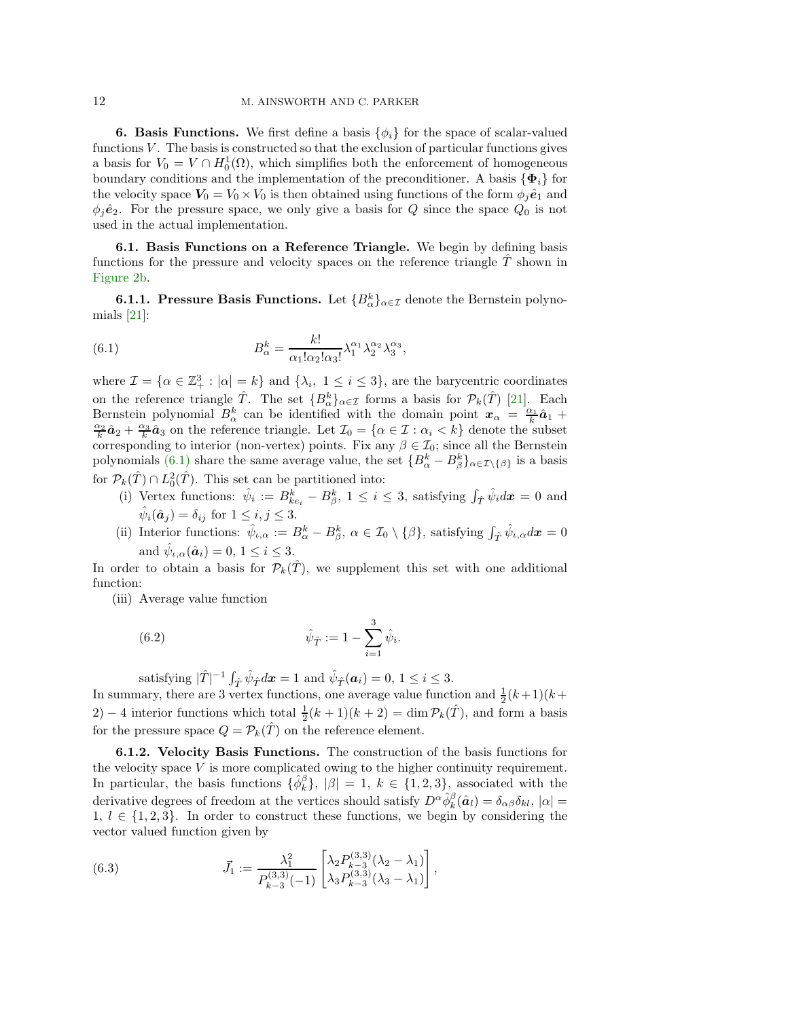<span id="page-11-0"></span>**6. Basis Functions.** We first define a basis  $\{\phi_i\}$  for the space of scalar-valued functions  $V$ . The basis is constructed so that the exclusion of particular functions gives a basis for  $V_0 = V \cap H_0^1(\Omega)$ , which simplifies both the enforcement of homogeneous boundary conditions and the implementation of the preconditioner. A basis  $\{\Phi_i\}$  for the velocity space  $V_0 = V_0 \times V_0$  is then obtained using functions of the form  $\phi_j \hat{\mathbf{e}}_1$  and  $\phi_j \hat{\mathbf{e}}_2$ . For the pressure space, we only give a basis for Q since the space  $Q_0$  is not used in the actual implementation.

6.1. Basis Functions on a Reference Triangle. We begin by defining basis functions for the pressure and velocity spaces on the reference triangle  $\ddot{T}$  shown in [Figure 2b.](#page-12-0)

**6.1.1. Pressure Basis Functions.** Let  ${B_{\alpha}^{k}}_{\alpha \in \mathcal{I}}$  denote the Bernstein polynomials [\[21\]](#page-28-14):

<span id="page-11-1"></span>(6.1) 
$$
B_{\alpha}^{k} = \frac{k!}{\alpha_{1}! \alpha_{2}! \alpha_{3}!} \lambda_{1}^{\alpha_{1}} \lambda_{2}^{\alpha_{2}} \lambda_{3}^{\alpha_{3}},
$$

where  $\mathcal{I} = \{ \alpha \in \mathbb{Z}_+^3 : |\alpha| = k \}$  and  $\{ \lambda_i, 1 \leq i \leq 3 \}$ , are the barycentric coordinates on the reference triangle  $\hat{T}$ . The set  $\{B_{\alpha}^k\}_{\alpha \in \mathcal{I}}$  forms a basis for  $\mathcal{P}_k(\hat{T})$  [\[21\]](#page-28-14). Each Bernstein polynomial  $B^k_\alpha$  can be identified with the domain point  $x_\alpha = \frac{\alpha_1}{k} \hat{a}_1 + \hat{a}_2$  $\frac{\alpha_2}{k}\hat{a}_2 + \frac{\alpha_3}{k}\hat{a}_3$  on the reference triangle. Let  $\mathcal{I}_0 = \{ \alpha \in \mathcal{I} : \alpha_i \leq k \}$  denote the subset corresponding to interior (non-vertex) points. Fix any  $\beta \in \mathcal{I}_0$ ; since all the Bernstein polynomials [\(6.1\)](#page-11-1) share the same average value, the set  $\{B^{k}_{\alpha} - B^{k}_{\beta}\}_{\alpha \in \mathcal{I}\setminus\{\beta\}}$  is a basis for  $\mathcal{P}_k(\hat{T}) \cap L_0^2(\hat{T})$ . This set can be partitioned into:

- (i) Vertex functions:  $\hat{\psi}_i := B_{ke_i}^k B_{\beta}^k$ ,  $1 \leq i \leq 3$ , satisfying  $\int_{\hat{T}} \hat{\psi}_i d\mathbf{x} = 0$  and  $\hat{\psi}_i(\hat{\boldsymbol{a}}_j) = \delta_{ij}$  for  $1 \leq i, j \leq 3$ .
- (ii) Interior functions:  $\hat{\psi}_{\iota,\alpha} := B^k_{\alpha} B^k_{\beta}, \ \alpha \in \mathcal{I}_0 \setminus {\{\beta\}},\$  satisfying  $\int_{\hat{T}} \hat{\psi}_{\iota,\alpha} d\mathbf{x} = 0$ and  $\hat{\psi}_{\iota,\alpha}(\hat{\boldsymbol{a}}_i)=0, 1 \leq i \leq 3.$

In order to obtain a basis for  $\mathcal{P}_k(T)$ , we supplement this set with one additional function:

(iii) Average value function

<span id="page-11-2"></span>(6.2) 
$$
\hat{\psi}_{\hat{T}} := 1 - \sum_{i=1}^{3} \hat{\psi}_{i}.
$$

satisfying  $|\hat{T}|^{-1} \int_{\hat{T}} \hat{\psi}_{\hat{T}} d\mathbf{x} = 1$  and  $\hat{\psi}_{\hat{T}}(\mathbf{a}_i) = 0, 1 \le i \le 3$ .

In summary, there are 3 vertex functions, one average value function and  $\frac{1}{2}(k+1)(k+1)$ 2) – 4 interior functions which total  $\frac{1}{2}(k+1)(k+2) = \dim \mathcal{P}_k(\hat{T})$ , and form a basis for the pressure space  $Q = \mathcal{P}_k(\hat{T})$  on the reference element.

6.1.2. Velocity Basis Functions. The construction of the basis functions for the velocity space  $V$  is more complicated owing to the higher continuity requirement. In particular, the basis functions  $\{\hat{\phi}_k^{\beta}\}, |\beta|=1, k \in \{1,2,3\}$ , associated with the derivative degrees of freedom at the vertices should satisfy  $D^{\alpha} \hat{\phi}_k^{\beta}(\hat{a}_l) = \delta_{\alpha\beta} \delta_{kl}$ ,  $|\alpha| =$  $1, l \in \{1, 2, 3\}$ . In order to construct these functions, we begin by considering the vector valued function given by

<span id="page-11-3"></span>(6.3) 
$$
\vec{J}_1 := \frac{\lambda_1^2}{P_{k-3}^{(3,3)}(-1)} \begin{bmatrix} \lambda_2 P_{k-3}^{(3,3)}(\lambda_2 - \lambda_1) \\ \lambda_3 P_{k-3}^{(3,3)}(\lambda_3 - \lambda_1) \end{bmatrix},
$$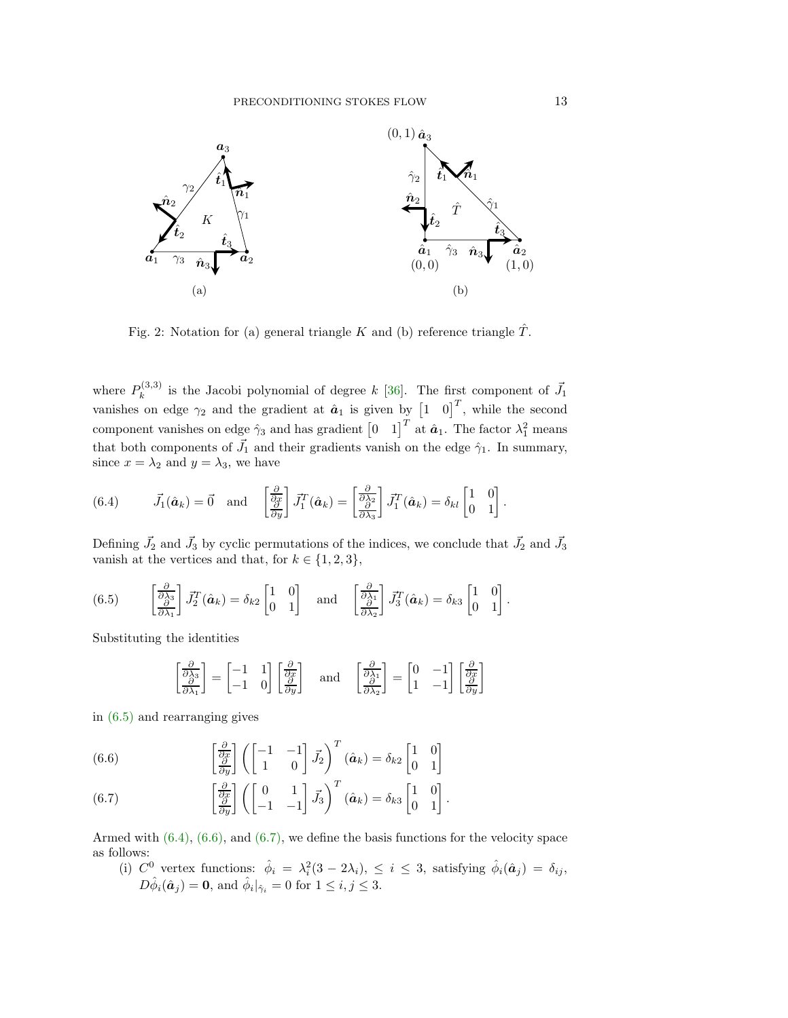<span id="page-12-0"></span>

Fig. 2: Notation for (a) general triangle K and (b) reference triangle  $\hat{T}$ .

where  $P_k^{(3,3)}$  $\mu_k^{(3,3)}$  is the Jacobi polynomial of degree k [\[36\]](#page-28-15). The first component of  $\vec{J}_1$ vanishes on edge  $\gamma_2$  and the gradient at  $\hat{a}_1$  is given by  $\begin{bmatrix} 1 & 0 \end{bmatrix}^T$ , while the second component vanishes on edge  $\hat{\gamma}_3$  and has gradient  $\begin{bmatrix} 0 & 1 \end{bmatrix}^T$  at  $\hat{a}_1$ . The factor  $\lambda_1^2$  means that both components of  $\vec{J}_1$  and their gradients vanish on the edge  $\hat{\gamma}_1$ . In summary, since  $x = \lambda_2$  and  $y = \lambda_3$ , we have

<span id="page-12-2"></span>(6.4) 
$$
\vec{J}_1(\hat{\boldsymbol{a}}_k) = \vec{0}
$$
 and  $\begin{bmatrix} \frac{\partial}{\partial x} \\ \frac{\partial}{\partial y} \end{bmatrix} \vec{J}_1^T(\hat{\boldsymbol{a}}_k) = \begin{bmatrix} \frac{\partial}{\partial \lambda_2} \\ \frac{\partial}{\partial \lambda_3} \end{bmatrix} \vec{J}_1^T(\hat{\boldsymbol{a}}_k) = \delta_{kl} \begin{bmatrix} 1 & 0 \\ 0 & 1 \end{bmatrix}.$ 

Defining  $\vec{J}_2$  and  $\vec{J}_3$  by cyclic permutations of the indices, we conclude that  $\vec{J}_2$  and  $\vec{J}_3$ vanish at the vertices and that, for  $k \in \{1, 2, 3\}$ ,

<span id="page-12-1"></span>(6.5) 
$$
\begin{bmatrix} \frac{\partial}{\partial \lambda_3} \\ \frac{\partial}{\partial \lambda_1} \end{bmatrix} \vec{J}_2^T(\hat{\boldsymbol{a}}_k) = \delta_{k2} \begin{bmatrix} 1 & 0 \\ 0 & 1 \end{bmatrix} \text{ and } \begin{bmatrix} \frac{\partial}{\partial \lambda_1} \\ \frac{\partial}{\partial \lambda_2} \end{bmatrix} \vec{J}_3^T(\hat{\boldsymbol{a}}_k) = \delta_{k3} \begin{bmatrix} 1 & 0 \\ 0 & 1 \end{bmatrix}.
$$

Substituting the identities

$$
\begin{bmatrix} \frac{\partial}{\partial \lambda_3} \\ \frac{\partial}{\partial \lambda_1} \end{bmatrix} = \begin{bmatrix} -1 & 1 \\ -1 & 0 \end{bmatrix} \begin{bmatrix} \frac{\partial}{\partial x} \\ \frac{\partial}{\partial y} \end{bmatrix} \text{ and } \begin{bmatrix} \frac{\partial}{\partial \lambda_1} \\ \frac{\partial}{\partial \lambda_2} \end{bmatrix} = \begin{bmatrix} 0 & -1 \\ 1 & -1 \end{bmatrix} \begin{bmatrix} \frac{\partial}{\partial x} \\ \frac{\partial}{\partial y} \end{bmatrix}
$$

in [\(6.5\)](#page-12-1) and rearranging gives

<span id="page-12-3"></span>(6.6) 
$$
\begin{bmatrix} \frac{\partial}{\partial x} \\ \frac{\partial}{\partial y} \end{bmatrix} \left( \begin{bmatrix} -1 & -1 \\ 1 & 0 \end{bmatrix} \vec{J}_2 \right)^T (\hat{a}_k) = \delta_{k2} \begin{bmatrix} 1 & 0 \\ 0 & 1 \end{bmatrix}
$$

<span id="page-12-4"></span>(6.7) 
$$
\begin{bmatrix} \frac{\partial}{\partial x} \\ \frac{\partial}{\partial y} \end{bmatrix} \left( \begin{bmatrix} 0 & 1 \\ -1 & -1 \end{bmatrix} \vec{J}_3 \right)^T (\hat{a}_k) = \delta_{k3} \begin{bmatrix} 1 & 0 \\ 0 & 1 \end{bmatrix}.
$$

Armed with [\(6.4\),](#page-12-2) [\(6.6\),](#page-12-3) and [\(6.7\),](#page-12-4) we define the basis functions for the velocity space as follows:

(i)  $C^0$  vertex functions:  $\hat{\phi}_i = \lambda_i^2 (3 - 2\lambda_i), \leq i \leq 3$ , satisfying  $\hat{\phi}_i(\hat{a}_j) = \delta_{ij}$ ,  $D\hat{\phi}_i(\hat{\boldsymbol{a}}_j) = \mathbf{0}$ , and  $\hat{\phi}_i|_{\hat{\gamma}_i} = 0$  for  $1 \leq i, j \leq 3$ .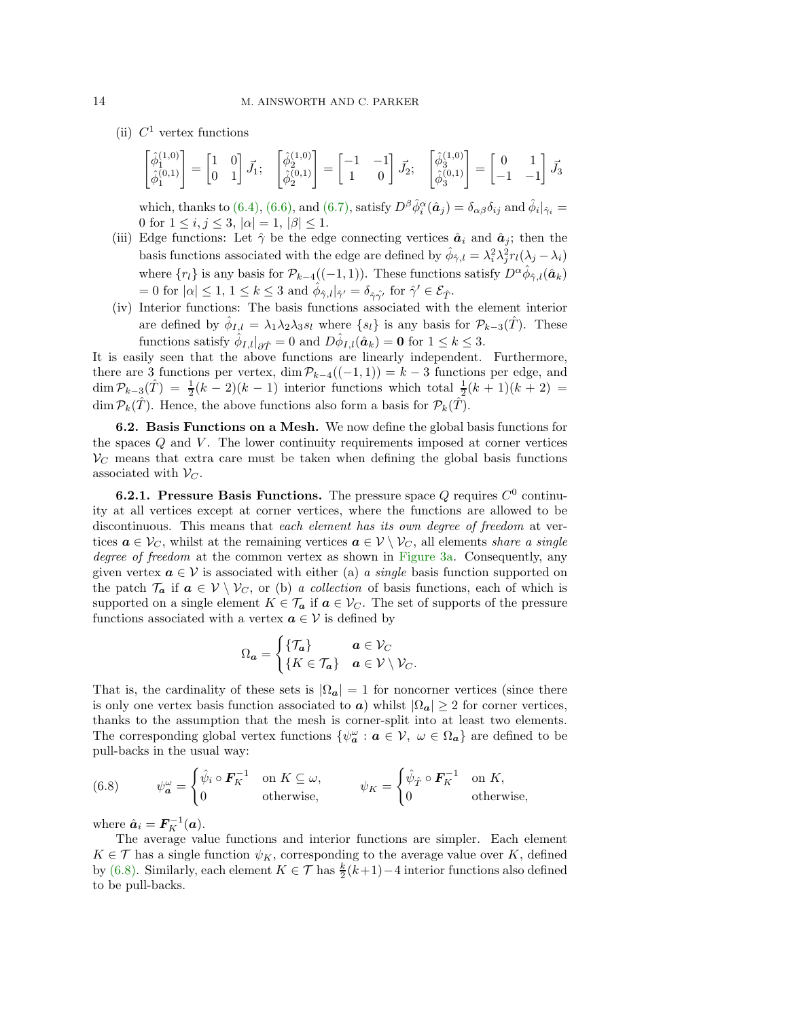(ii)  $C^1$  vertex functions

$$
\begin{bmatrix} \hat{\phi}_1^{(1,0)} \\ \hat{\phi}_1^{(0,1)} \end{bmatrix} = \begin{bmatrix} 1 & 0 \\ 0 & 1 \end{bmatrix} \vec{J}_1; \quad \begin{bmatrix} \hat{\phi}_2^{(1,0)} \\ \hat{\phi}_2^{(0,1)} \end{bmatrix} = \begin{bmatrix} -1 & -1 \\ 1 & 0 \end{bmatrix} \vec{J}_2; \quad \begin{bmatrix} \hat{\phi}_3^{(1,0)} \\ \hat{\phi}_3^{(0,1)} \end{bmatrix} = \begin{bmatrix} 0 & 1 \\ -1 & -1 \end{bmatrix} \vec{J}_3
$$

which, thanks to [\(6.4\),](#page-12-2) [\(6.6\),](#page-12-3) and [\(6.7\),](#page-12-4) satisfy  $D^{\beta} \hat{\phi}_i^{\alpha}(\hat{\mathbf{a}}_j) = \delta_{\alpha\beta} \delta_{ij}$  and  $\hat{\phi}_i |_{\hat{\gamma}_i} =$ 0 for  $1 \le i, j \le 3, |\alpha| = 1, |\beta| \le 1$ .

- (iii) Edge functions: Let  $\hat{\gamma}$  be the edge connecting vertices  $\hat{a}_i$  and  $\hat{a}_j$ ; then the basis functions associated with the edge are defined by  $\hat{\phi}_{\hat{\gamma},l} = \lambda_i^2 \lambda_j^2 r_l(\lambda_j - \lambda_i)$ where  $\{r_l\}$  is any basis for  $\mathcal{P}_{k-4}((-1,1))$ . These functions satisfy  $D^{\alpha}\hat{\phi}_{\hat{\gamma},l}(\hat{a}_k)$  $= 0$  for  $|\alpha| \leq 1, \ 1 \leq k \leq 3$  and  $\hat{\phi}_{\hat{\gamma},l} |_{\hat{\gamma}'} = \delta_{\hat{\gamma}\hat{\gamma}'}$  for  $\hat{\gamma}' \in \mathcal{E}_{\hat{T}}$ .
- (iv) Interior functions: The basis functions associated with the element interior are defined by  $\hat{\phi}_{I,l} = \lambda_1 \lambda_2 \lambda_3 s_l$  where  $\{s_l\}$  is any basis for  $\mathcal{P}_{k-3}(\hat{T})$ . These functions satisfy  $\hat{\phi}_{I,l}|_{\partial \hat{T}} = 0$  and  $D\hat{\phi}_{I,l}(\hat{a}_k) = \mathbf{0}$  for  $1 \leq k \leq 3$ .

It is easily seen that the above functions are linearly independent. Furthermore, there are 3 functions per vertex, dim  $\mathcal{P}_{k-4}((-1,1)) = k-3$  functions per edge, and  $\dim \mathcal{P}_{k-3}(\hat{T}) = \frac{1}{2}(k-2)(k-1)$  interior functions which total  $\frac{1}{2}(k+1)(k+2) =$ dim  $\mathcal{P}_k(\hat{T})$ . Hence, the above functions also form a basis for  $\mathcal{P}_k(\hat{T})$ .

<span id="page-13-1"></span>6.2. Basis Functions on a Mesh. We now define the global basis functions for the spaces  $Q$  and  $V$ . The lower continuity requirements imposed at corner vertices  $V_C$  means that extra care must be taken when defining the global basis functions associated with  $\mathcal{V}_C$ .

**6.2.1. Pressure Basis Functions.** The pressure space Q requires  $C^0$  continuity at all vertices except at corner vertices, where the functions are allowed to be discontinuous. This means that *each element has its own degree of freedom* at vertices  $a \in V_C$ , whilst at the remaining vertices  $a \in V \setminus V_C$ , all elements *share a single degree of freedom* at the common vertex as shown in [Figure 3a.](#page-14-0) Consequently, any given vertex  $a \in V$  is associated with either (a) *a single* basis function supported on the patch  $\mathcal{T}_a$  if  $a \in V \setminus V_C$ , or (b) *a collection* of basis functions, each of which is supported on a single element  $K \in \mathcal{T}_a$  if  $a \in \mathcal{V}_C$ . The set of supports of the pressure functions associated with a vertex  $a \in V$  is defined by

$$
\Omega_{a} = \begin{cases} \{\mathcal{T}_{a}\} & a \in \mathcal{V}_{C} \\ \{K \in \mathcal{T}_{a}\} & a \in \mathcal{V} \setminus \mathcal{V}_{C} . \end{cases}
$$

That is, the cardinality of these sets is  $|\Omega_{a}| = 1$  for noncorner vertices (since there is only one vertex basis function associated to  $\boldsymbol{a}$ ) whilst  $|\Omega_{\boldsymbol{a}}| \geq 2$  for corner vertices, thanks to the assumption that the mesh is corner-split into at least two elements. The corresponding global vertex functions  $\{\psi_{\alpha}^{\omega}: a \in V, \omega \in \Omega_{\alpha}\}\$  are defined to be pull-backs in the usual way:

<span id="page-13-0"></span>(6.8) 
$$
\psi_{\mathbf{a}}^{\omega} = \begin{cases} \hat{\psi}_i \circ \mathbf{F}_K^{-1} & \text{on } K \subseteq \omega, \\ 0 & \text{otherwise,} \end{cases} \qquad \psi_K = \begin{cases} \hat{\psi}_{\hat{T}} \circ \mathbf{F}_K^{-1} & \text{on } K, \\ 0 & \text{otherwise,} \end{cases}
$$

where  $\hat{\boldsymbol{a}}_i = \boldsymbol{F}_K^{-1}(\boldsymbol{a})$ .

The average value functions and interior functions are simpler. Each element  $K \in \mathcal{T}$  has a single function  $\psi_K$ , corresponding to the average value over K, defined by [\(6.8\).](#page-13-0) Similarly, each element  $K \in \mathcal{T}$  has  $\frac{k}{2}(k+1)-4$  interior functions also defined to be pull-backs.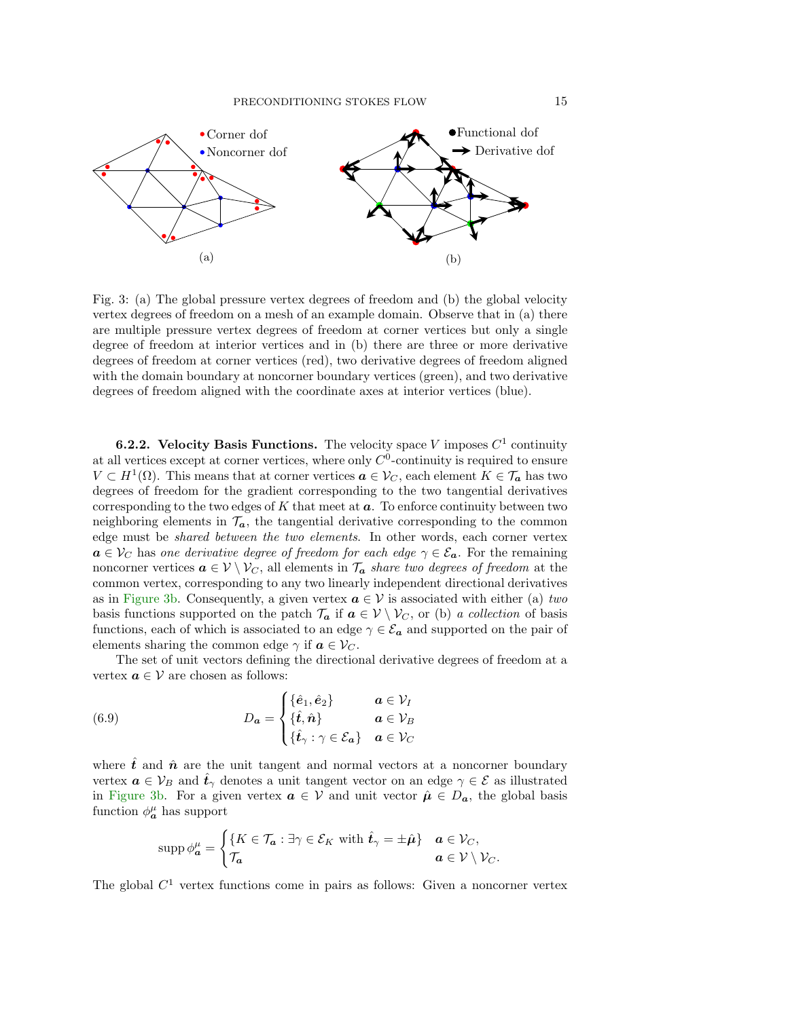<span id="page-14-0"></span>

Fig. 3: (a) The global pressure vertex degrees of freedom and (b) the global velocity vertex degrees of freedom on a mesh of an example domain. Observe that in (a) there are multiple pressure vertex degrees of freedom at corner vertices but only a single degree of freedom at interior vertices and in (b) there are three or more derivative degrees of freedom at corner vertices (red), two derivative degrees of freedom aligned with the domain boundary at noncorner boundary vertices (green), and two derivative degrees of freedom aligned with the coordinate axes at interior vertices (blue).

**6.2.2.** Velocity Basis Functions. The velocity space V imposes  $C^1$  continuity at all vertices except at corner vertices, where only  $C^0$ -continuity is required to ensure  $V \subset H^1(\Omega)$ . This means that at corner vertices  $a \in V_C$ , each element  $K \in \mathcal{T}_a$  has two degrees of freedom for the gradient corresponding to the two tangential derivatives corresponding to the two edges of  $K$  that meet at  $a$ . To enforce continuity between two neighboring elements in  $\mathcal{T}_{a}$ , the tangential derivative corresponding to the common edge must be *shared between the two elements*. In other words, each corner vertex  $a \in V_C$  has *one derivative degree of freedom for each edge*  $\gamma \in \mathcal{E}_a$ . For the remaining noncorner vertices  $a \in V \setminus V_C$ , all elements in  $\mathcal{T}_a$  *share two degrees of freedom* at the common vertex, corresponding to any two linearly independent directional derivatives as in [Figure 3b.](#page-14-0) Consequently, a given vertex  $a \in V$  is associated with either (a) *two* basis functions supported on the patch  $\mathcal{T}_a$  if  $a \in \mathcal{V} \setminus \mathcal{V}_C$ , or (b) *a collection* of basis functions, each of which is associated to an edge  $\gamma \in \mathcal{E}_a$  and supported on the pair of elements sharing the common edge  $\gamma$  if  $a \in \mathcal{V}_C$ .

The set of unit vectors defining the directional derivative degrees of freedom at a vertex  $a \in V$  are chosen as follows:

<span id="page-14-1"></span>(6.9) 
$$
D_{a} = \begin{cases} {\hat{\mathbf{e}}_{1}, \hat{\mathbf{e}}_{2}} & a \in \mathcal{V}_{I} \\ {\hat{\mathbf{t}}, \hat{n}} & a \in \mathcal{V}_{B} \\ {\hat{\mathbf{t}}_{\gamma} : \gamma \in \mathcal{E}_{a}} & a \in \mathcal{V}_{C} \end{cases}
$$

where  $\hat{t}$  and  $\hat{n}$  are the unit tangent and normal vectors at a noncorner boundary vertex  $a \in V_B$  and  $\hat{t}_{\gamma}$  denotes a unit tangent vector on an edge  $\gamma \in \mathcal{E}$  as illustrated in [Figure 3b.](#page-14-0) For a given vertex  $a \in V$  and unit vector  $\hat{\mu} \in D_a$ , the global basis function  $\phi_{\mathbf{a}}^{\mu}$  has support

$$
\operatorname{supp} \phi_{\bm{a}}^{\mu} = \begin{cases} \{ K \in \mathcal{T}_{\bm{a}} : \exists \gamma \in \mathcal{E}_K \text{ with } \hat{t}_{\gamma} = \pm \hat{\mu} \} & \bm{a} \in \mathcal{V}_C, \\ \mathcal{T}_{\bm{a}} & \bm{a} \in \mathcal{V} \setminus \mathcal{V}_C. \end{cases}
$$

The global  $C<sup>1</sup>$  vertex functions come in pairs as follows: Given a noncorner vertex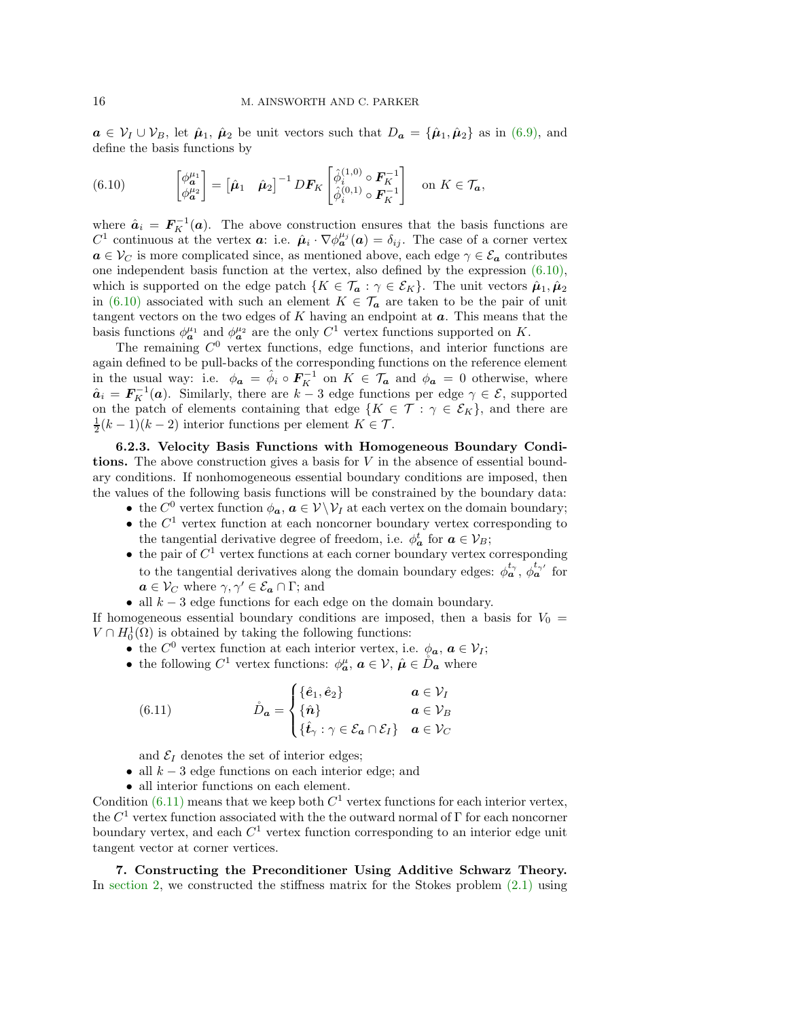$a \in V_I \cup V_B$ , let  $\hat{\mu}_1$ ,  $\hat{\mu}_2$  be unit vectors such that  $D_a = {\hat{\mu}_1, \hat{\mu}_2}$  as in [\(6.9\),](#page-14-1) and define the basis functions by

<span id="page-15-1"></span>(6.10) 
$$
\begin{bmatrix} \phi_{\mathbf{a}}^{\mu_1} \\ \phi_{\mathbf{a}}^{\mu_2} \end{bmatrix} = \begin{bmatrix} \hat{\boldsymbol{\mu}}_1 & \hat{\boldsymbol{\mu}}_2 \end{bmatrix}^{-1} DF_K \begin{bmatrix} \hat{\phi}_i^{(1,0)} \circ \mathbf{F}_K^{-1} \\ \hat{\phi}_i^{(0,1)} \circ \mathbf{F}_K^{-1} \end{bmatrix} \text{ on } K \in \mathcal{T}_{\mathbf{a}},
$$

where  $\hat{a}_i = F_K^{-1}(a)$ . The above construction ensures that the basis functions are C<sup>1</sup> continuous at the vertex **a**: i.e.  $\hat{\mu}_i \cdot \nabla \phi_{\bm{a}}^{\mu_j}(\bm{a}) = \delta_{ij}$ . The case of a corner vertex  $a \in V_C$  is more complicated since, as mentioned above, each edge  $\gamma \in \mathcal{E}_a$  contributes one independent basis function at the vertex, also defined by the expression [\(6.10\),](#page-15-1) which is supported on the edge patch  $\{K \in \mathcal{T}_a : \gamma \in \mathcal{E}_K\}$ . The unit vectors  $\hat{\mu}_1, \hat{\mu}_2$ in [\(6.10\)](#page-15-1) associated with such an element  $K \in \mathcal{T}_a$  are taken to be the pair of unit tangent vectors on the two edges of  $K$  having an endpoint at  $a$ . This means that the basis functions  $\phi_{a}^{\mu_1}$  and  $\phi_{a}^{\mu_2}$  are the only  $C^1$  vertex functions supported on K.

The remaining  $C^0$  vertex functions, edge functions, and interior functions are again defined to be pull-backs of the corresponding functions on the reference element in the usual way: i.e.  $\phi_a = \hat{\phi}_i \circ F_K^{-1}$  on  $K \in \mathcal{T}_a$  and  $\phi_a = 0$  otherwise, where  $\hat{a}_i = F_K^{-1}(a)$ . Similarly, there are  $k-3$  edge functions per edge  $\gamma \in \mathcal{E}$ , supported on the patch of elements containing that edge  $\{K \in \mathcal{T} : \gamma \in \mathcal{E}_K\}$ , and there are  $\frac{1}{2}(k-1)(k-2)$  interior functions per element  $K \in \mathcal{T}$ .

6.2.3. Velocity Basis Functions with Homogeneous Boundary Conditions. The above construction gives a basis for  $V$  in the absence of essential boundary conditions. If nonhomogeneous essential boundary conditions are imposed, then the values of the following basis functions will be constrained by the boundary data:

- the  $C^0$  vertex function  $\phi_a$ ,  $a \in V \backslash V_I$  at each vertex on the domain boundary;
- the  $C<sup>1</sup>$  vertex function at each noncorner boundary vertex corresponding to the tangential derivative degree of freedom, i.e.  $\phi_a^t$  for  $a \in \mathcal{V}_B$ ;
- the pair of  $C^1$  vertex functions at each corner boundary vertex corresponding to the tangential derivatives along the domain boundary edges:  $\phi_a^{t_{\gamma}}, \phi_a^{t_{\gamma'}}$  for  $a \in \mathcal{V}_C$  where  $\gamma, \gamma' \in \mathcal{E}_a \cap \Gamma$ ; and
- all  $k-3$  edge functions for each edge on the domain boundary.

If homogeneous essential boundary conditions are imposed, then a basis for  $V_0$  =  $V \cap H_0^1(\Omega)$  is obtained by taking the following functions:

- the  $C^0$  vertex function at each interior vertex, i.e.  $\phi_a, a \in \mathcal{V}_I$ ;
- the following  $C^1$  vertex functions:  $\phi_a^{\mu}$ ,  $a \in \mathcal{V}$ ,  $\hat{\mu} \in \mathring{D}_a$  where

<span id="page-15-2"></span>(6.11) 
$$
\mathring{D}_{\mathbf{a}} = \begin{cases} {\hat{\mathbf{e}}_1, \hat{\mathbf{e}}_2} & \mathbf{a} \in \mathcal{V}_I \\ {\hat{\mathbf{n}}} \\ {\hat{\mathbf{t}}}_\gamma : \gamma \in \mathcal{E}_{\mathbf{a}} \cap \mathcal{E}_I \end{cases} \quad \mathbf{a} \in \mathcal{V}_C
$$

and  $\mathcal{E}_I$  denotes the set of interior edges;

- all  $k-3$  edge functions on each interior edge; and
- all interior functions on each element.

Condition  $(6.11)$  means that we keep both  $C<sup>1</sup>$  vertex functions for each interior vertex, the  $C^1$  vertex function associated with the the outward normal of  $\Gamma$  for each noncorner boundary vertex, and each  $C<sup>1</sup>$  vertex function corresponding to an interior edge unit tangent vector at corner vertices.

<span id="page-15-0"></span>7. Constructing the Preconditioner Using Additive Schwarz Theory. In [section 2,](#page-2-2) we constructed the stiffness matrix for the Stokes problem [\(2.1\)](#page-2-0) using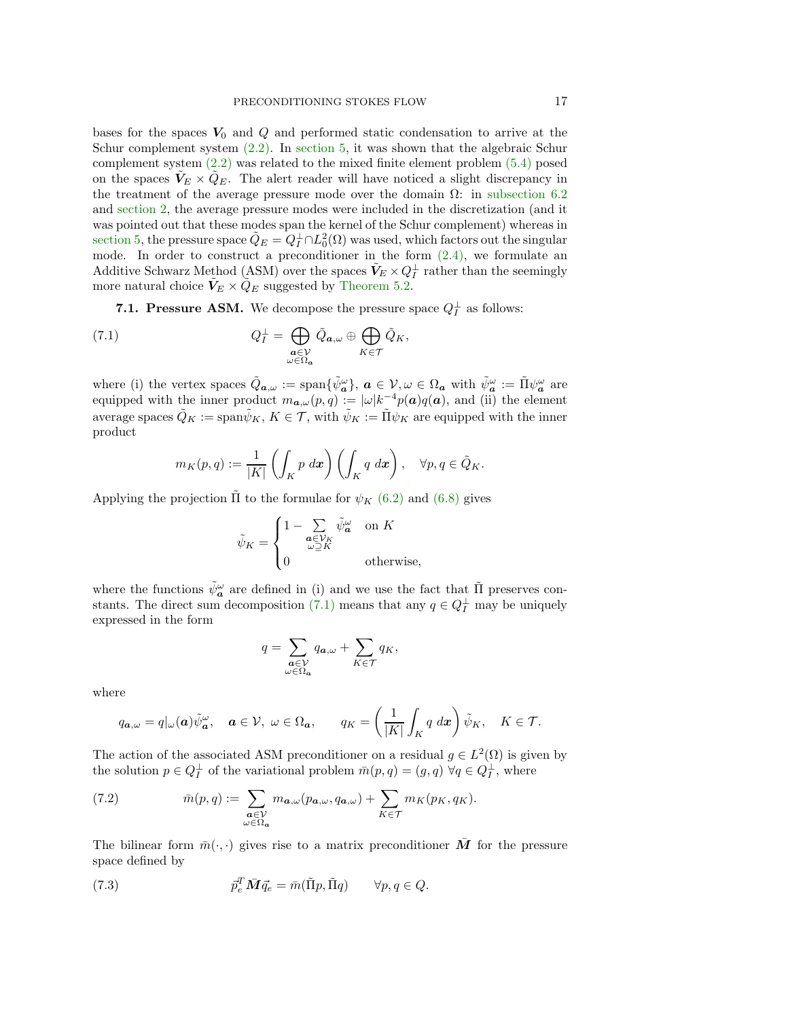bases for the spaces  $V_0$  and  $Q$  and performed static condensation to arrive at the Schur complement system [\(2.2\).](#page-2-1) In [section 5,](#page-9-1) it was shown that the algebraic Schur complement system [\(2.2\)](#page-2-1) was related to the mixed finite element problem [\(5.4\)](#page-10-1) posed on the spaces  $V_E \times Q_E$ . The alert reader will have noticed a slight discrepancy in the treatment of the average pressure mode over the domain  $\Omega$ : in [subsection 6.2](#page-13-1) and [section 2,](#page-2-2) the average pressure modes were included in the discretization (and it was pointed out that these modes span the kernel of the Schur complement) whereas in [section 5,](#page-9-1) the pressure space  $\tilde{Q}_E = Q_I^{\perp} \cap L_0^2(\Omega)$  was used, which factors out the singular mode. In order to construct a preconditioner in the form  $(2.4)$ , we formulate an Additive Schwarz Method (ASM) over the spaces  $\tilde{V}_E \times Q_I^{\perp}$  rather than the seemingly more natural choice  $\tilde{V}_E \times \tilde{Q}_E$  suggested by [Theorem 5.2.](#page-10-2)

**7.1. Pressure ASM.** We decompose the pressure space  $Q_I^{\perp}$  as follows:

<span id="page-16-0"></span>(7.1) 
$$
Q_I^{\perp} = \bigoplus_{\substack{\mathbf{a} \in \mathcal{V} \\ \omega \in \Omega_{\mathbf{a}}}} \tilde{Q}_{\mathbf{a},\omega} \oplus \bigoplus_{K \in \mathcal{T}} \tilde{Q}_K,
$$

where (i) the vertex spaces  $\tilde{Q}_{a,\omega} := \text{span}\{\tilde{\psi}_{a}^{\omega}\}, a \in V, \omega \in \Omega_{a} \text{ with } \tilde{\psi}_{a}^{\omega} := \tilde{\Pi} \psi_{a}^{\omega} \text{ are }$ equipped with the inner product  $m_{a,\omega}(p,q) := |\omega| k^{-4} p(a) q(a)$ , and (ii) the element average spaces  $\tilde{Q}_K := \text{span}\tilde{\psi}_K, K \in \mathcal{T}$ , with  $\tilde{\psi}_K := \tilde{\Pi}\psi_K$  are equipped with the inner product

$$
m_K(p,q) := \frac{1}{|K|} \left( \int_K p \, dx \right) \left( \int_K q \, dx \right), \quad \forall p, q \in \tilde{Q}_K.
$$

Applying the projection  $\Pi$  to the formulae for  $\psi_K$  [\(6.2\)](#page-11-2) and [\(6.8\)](#page-13-0) gives

$$
\tilde{\psi}_K = \begin{cases} 1 - \sum_{\substack{\pmb{a} \in \mathcal{V}_K \\ \omega \supseteq K}} \tilde{\psi}_{\pmb{a}}^{\omega} & \text{on } K \\ 0 & \text{otherwise,} \end{cases}
$$

where the functions  $\tilde{\psi}_{a}^{\omega}$  are defined in (i) and we use the fact that  $\tilde{\Pi}$  preserves con-stants. The direct sum decomposition [\(7.1\)](#page-16-0) means that any  $q \in Q_I^{\perp}$  may be uniquely expressed in the form

$$
q = \sum_{\substack{\mathbf{a}\in \mathcal{V}\\ \omega \in \Omega_{\mathbf{a}}}} q_{\mathbf{a},\omega} + \sum_{K\in\mathcal{T}} q_K,
$$

where

$$
q_{\mathbf{a},\omega} = q|_{\omega}(\mathbf{a})\tilde{\psi}^{\omega}_{\mathbf{a}}, \quad \mathbf{a} \in \mathcal{V}, \ \omega \in \Omega_{\mathbf{a}}, \qquad q_K = \left(\frac{1}{|K|} \int_K q \, dx\right) \tilde{\psi}_K, \quad K \in \mathcal{T}.
$$

The action of the associated ASM preconditioner on a residual  $g \in L^2(\Omega)$  is given by the solution  $p \in Q_I^{\perp}$  of the variational problem  $\bar{m}(p,q) = (g,q) \,\forall q \in Q_I^{\perp}$ , where

<span id="page-16-2"></span>(7.2) 
$$
\bar{m}(p,q) := \sum_{\substack{\mathbf{a}\in\mathcal{V}\\ \omega\in\Omega_{\mathbf{a}}}} m_{\mathbf{a},\omega}(p_{\mathbf{a},\omega},q_{\mathbf{a},\omega}) + \sum_{K\in\mathcal{T}} m_K(p_K,q_K).
$$

The bilinear form  $\bar{m}(\cdot,\cdot)$  gives rise to a matrix preconditioner M for the pressure space defined by

<span id="page-16-1"></span>(7.3) 
$$
\bar{p}_e^T \bar{M} \vec{q}_e = \bar{m}(\tilde{\Pi}p, \tilde{\Pi}q) \qquad \forall p, q \in Q.
$$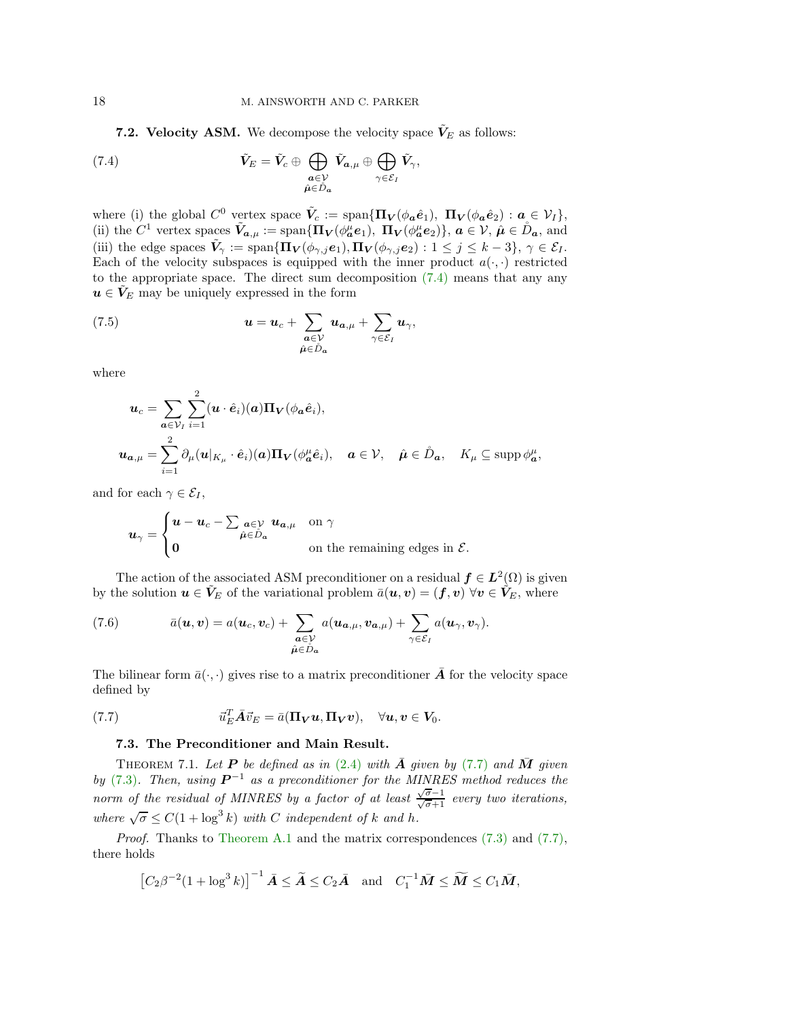**7.2. Velocity ASM.** We decompose the velocity space  $V<sub>E</sub>$  as follows:

<span id="page-17-0"></span>(7.4) 
$$
\tilde{V}_E = \tilde{V}_c \oplus \bigoplus_{\substack{a \in \mathcal{V} \\ \hat{\mu} \in \tilde{D}_a}} \tilde{V}_{a,\mu} \oplus \bigoplus_{\gamma \in \mathcal{E}_I} \tilde{V}_\gamma,
$$

where (i) the global  $C^0$  vertex space  $\tilde{V}_c := \text{span}\{\Pi_V(\phi_a \hat{e}_1), \Pi_V(\phi_a \hat{e}_2) : a \in V_I\},\$ (ii) the  $C^1$  vertex spaces  $\tilde{V}_{a,\mu} := \text{span}\{\Pi_V(\phi_a^{\mu}e_1), \ \Pi_V(\phi_a^{\mu}e_2)\}, a \in \mathcal{V}, \ \hat{\mu} \in \mathring{D}_a$ , and (iii) the edge spaces  $\tilde{V}_{\gamma} := \text{span}\{\Pi_V(\phi_{\gamma,j}e_1), \Pi_V(\phi_{\gamma,j}e_2) : 1 \leq j \leq k-3\}, \gamma \in \mathcal{E}_I$ . Each of the velocity subspaces is equipped with the inner product  $a(\cdot, \cdot)$  restricted to the appropriate space. The direct sum decomposition  $(7.4)$  means that any any  $u \in V_E$  may be uniquely expressed in the form

<span id="page-17-4"></span>(7.5) 
$$
\mathbf{u} = \mathbf{u}_c + \sum_{\substack{\mathbf{a} \in \mathcal{V} \\ \hat{\mu} \in \mathring{D}_\mathbf{a}}} \mathbf{u}_{\mathbf{a},\mu} + \sum_{\gamma \in \mathcal{E}_I} \mathbf{u}_\gamma,
$$

where

$$
\mathbf{u}_{c} = \sum_{\mathbf{a} \in \mathcal{V}_{I}} \sum_{i=1}^{2} (\mathbf{u} \cdot \hat{\mathbf{e}}_{i})(\mathbf{a}) \mathbf{\Pi}_{\mathbf{V}}(\phi_{\mathbf{a}} \hat{\mathbf{e}}_{i}),
$$
  

$$
\mathbf{u}_{\mathbf{a},\mu} = \sum_{i=1}^{2} \partial_{\mu} (\mathbf{u}|_{K_{\mu}} \cdot \hat{\mathbf{e}}_{i})(\mathbf{a}) \mathbf{\Pi}_{\mathbf{V}}(\phi_{\mathbf{a}}^{\mu} \hat{\mathbf{e}}_{i}), \quad \mathbf{a} \in \mathcal{V}, \quad \hat{\mu} \in \mathring{D}_{\mathbf{a}}, \quad K_{\mu} \subseteq \text{supp } \phi_{\mathbf{a}}^{\mu},
$$

and for each  $\gamma \in \mathcal{E}_I$ ,

$$
u_\gamma = \begin{cases} u - u_c - \sum_{\substack{a \in \mathcal{V} \\ b \in \mathring{D}_a}} u_{a,\mu} & \text{on } \gamma \\ 0 & \text{on the remaining edges in } \mathcal{E}. \end{cases}
$$

The action of the associated ASM preconditioner on a residual  $f \in L^2(\Omega)$  is given by the solution  $u \in V_E$  of the variational problem  $\bar{a}(u, v) = (f, v) \,\forall v \in V_E$ , where

<span id="page-17-3"></span>(7.6) 
$$
\bar{a}(\boldsymbol{u}, \boldsymbol{v}) = a(\boldsymbol{u}_c, \boldsymbol{v}_c) + \sum_{\substack{\boldsymbol{a} \in \mathcal{V} \\ \hat{\mu} \in \tilde{D}_{\boldsymbol{a}}}} a(\boldsymbol{u}_{\boldsymbol{a}, \mu}, \boldsymbol{v}_{\boldsymbol{a}, \mu}) + \sum_{\gamma \in \mathcal{E}_I} a(\boldsymbol{u}_\gamma, \boldsymbol{v}_\gamma).
$$

The bilinear form  $\bar{a}(\cdot,\cdot)$  gives rise to a matrix preconditioner  $\bar{A}$  for the velocity space defined by

<span id="page-17-2"></span><span id="page-17-1"></span>(7.7) 
$$
\vec{u}_E^T \vec{A} \vec{v}_E = \bar{a} (\Pi_V u, \Pi_V v), \quad \forall u, v \in V_0.
$$

## 7.3. The Preconditioner and Main Result.

THEOREM 7.1. Let **P** be defined as in  $(2.4)$  with  $\overline{A}$  given by [\(7.7\)](#page-17-1) and  $\overline{M}$  given *by* [\(7.3\)](#page-16-1). Then, using  $P^{-1}$  as a preconditioner for the MINRES method reduces the *norm of the residual of MINRES by a factor of at least*  $\frac{\sqrt{\sigma}-1}{\sqrt{\sigma}+1}$  *every two iterations, where*  $\sqrt{\sigma} \le C(1 + \log^3 k)$  *with C independent* of *k* and *h*.

*Proof.* Thanks to [Theorem A.1](#page-22-1) and the matrix correspondences [\(7.3\)](#page-16-1) and [\(7.7\),](#page-17-1) there holds

$$
\left[C_2\beta^{-2}(1+\log^3 k)\right]^{-1}\bar{A}\leq \widetilde{A}\leq C_2\bar{A} \quad \text{and} \quad C_1^{-1}\bar{M}\leq \widetilde{M}\leq C_1\bar{M},
$$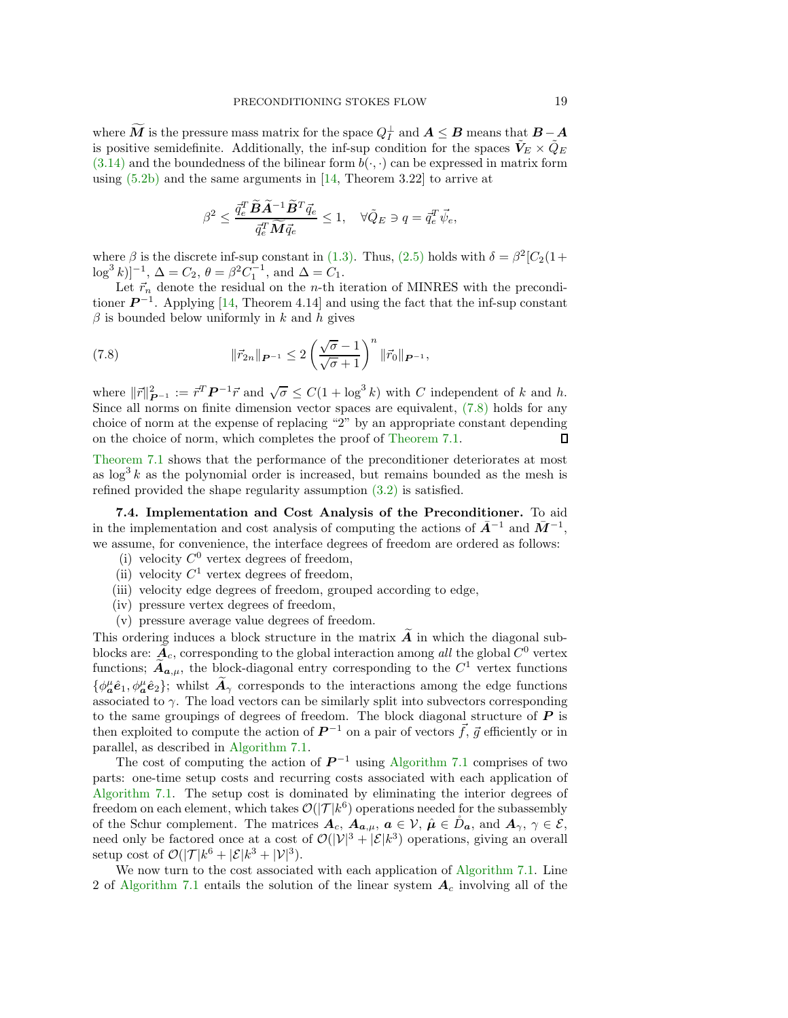where M is the pressure mass matrix for the space  $Q_I^{\perp}$  and  $A \leq B$  means that  $B-A$ is positive semidefinite. Additionally, the inf-sup condition for the spaces  $\tilde{V}_E \times \tilde{Q}_E$  $(3.14)$  and the boundedness of the bilinear form  $b(\cdot, \cdot)$  can be expressed in matrix form using  $(5.2b)$  and the same arguments in [\[14,](#page-27-8) Theorem 3.22] to arrive at

$$
\beta^2 \le \frac{\bar{q}_e^T \widetilde{B} \widetilde{A}^{-1} \widetilde{B}^T \vec{q}_e}{\bar{q}_e^T \widetilde{M} \vec{q}_e} \le 1, \quad \forall \tilde{Q}_E \ni q = \bar{q}_e^T \vec{\psi}_e,
$$

where  $\beta$  is the discrete inf-sup constant in [\(1.3\).](#page-1-1) Thus, [\(2.5\)](#page-3-2) holds with  $\delta = \beta^2 [C_2(1 +$  $\log^3 k]^{-1}$ ,  $\Delta = C_2$ ,  $\theta = \beta^2 C_1^{-1}$ , and  $\Delta = C_1$ .

Let  $\vec{r}_n$  denote the residual on the *n*-th iteration of MINRES with the preconditioner  $\mathbf{P}^{-1}$ . Applying [\[14,](#page-27-8) Theorem 4.14] and using the fact that the inf-sup constant  $\beta$  is bounded below uniformly in k and h gives

<span id="page-18-0"></span>(7.8) 
$$
\|\vec{r}_{2n}\|_{\mathbf{P}^{-1}} \leq 2 \left(\frac{\sqrt{\sigma} - 1}{\sqrt{\sigma} + 1}\right)^n \|\vec{r}_0\|_{\mathbf{P}^{-1}},
$$

where  $||\vec{r}||_{\mathbf{P}^{-1}}^2 := \vec{r}^T \mathbf{P}^{-1} \vec{r}$  and  $\sqrt{\sigma} \leq C(1 + \log^3 k)$  with C independent of k and h. Since all norms on finite dimension vector spaces are equivalent, [\(7.8\)](#page-18-0) holds for any choice of norm at the expense of replacing "2" by an appropriate constant depending on the choice of norm, which completes the proof of [Theorem 7.1.](#page-17-2)  $\Box$ 

[Theorem 7.1](#page-17-2) shows that the performance of the preconditioner deteriorates at most as  $\log^3 k$  as the polynomial order is increased, but remains bounded as the mesh is refined provided the shape regularity assumption  $(3.2)$  is satisfied.

7.4. Implementation and Cost Analysis of the Preconditioner. To aid in the implementation and cost analysis of computing the actions of  $\bar{A}^{-1}$  and  $\bar{M}^{-1}$ , we assume, for convenience, the interface degrees of freedom are ordered as follows:

- (i) velocity  $C^0$  vertex degrees of freedom,
- (ii) velocity  $C^1$  vertex degrees of freedom,
- (iii) velocity edge degrees of freedom, grouped according to edge,
- (iv) pressure vertex degrees of freedom,
- (v) pressure average value degrees of freedom.

This ordering induces a block structure in the matrix  $\tilde{A}$  in which the diagonal subblocks are:  $\mathcal{A}_c$ , corresponding to the global interaction among *all* the global  $C^0$  vertex functions;  $\ddot{A}_{a,\mu}$ , the block-diagonal entry corresponding to the  $C^1$  vertex functions  $\{\phi^{\mu}_{a}\hat{e}_1,\phi^{\mu}_{a}\hat{e}_2\};$  whilst  $\hat{A}_{\gamma}$  corresponds to the interactions among the edge functions associated to  $\gamma$ . The load vectors can be similarly split into subvectors corresponding to the same groupings of degrees of freedom. The block diagonal structure of  $P$  is then exploited to compute the action of  $\mathbf{P}^{-1}$  on a pair of vectors  $\vec{f}, \vec{g}$  efficiently or in parallel, as described in [Algorithm 7.1.](#page-19-1)

The cost of computing the action of  $\mathbf{P}^{-1}$  using [Algorithm 7.1](#page-19-1) comprises of two parts: one-time setup costs and recurring costs associated with each application of [Algorithm 7.1.](#page-19-1) The setup cost is dominated by eliminating the interior degrees of freedom on each element, which takes  $\mathcal{O}(|\mathcal{T}|k^6)$  operations needed for the subassembly of the Schur complement. The matrices  $A_c$ ,  $A_{a,\mu}$ ,  $a \in \mathcal{V}$ ,  $\hat{\mu} \in \mathring{D}_a$ , and  $A_{\gamma}$ ,  $\gamma \in \mathcal{E}$ , need only be factored once at a cost of  $\mathcal{O}(|\mathcal{V}|^3 + |\mathcal{E}|k^3)$  operations, giving an overall setup cost of  $\mathcal{O}(|\mathcal{T}|k^6 + |\mathcal{E}|k^3 + |\mathcal{V}|^3)$ .

We now turn to the cost associated with each application of [Algorithm 7.1.](#page-19-1) Line 2 of [Algorithm 7.1](#page-19-1) entails the solution of the linear system  $A_c$  involving all of the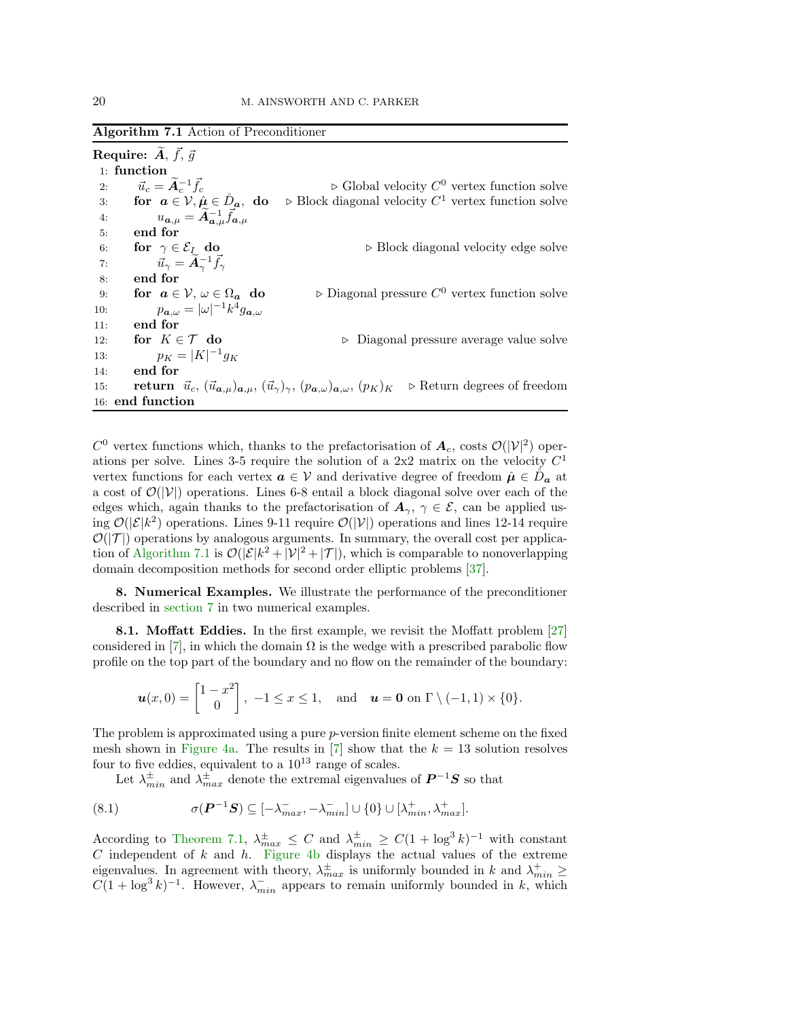<span id="page-19-1"></span>Algorithm 7.1 Action of Preconditioner

Require:  $\widetilde{A},\,\vec{f},\,\vec{g}$ 1: function 2:  $\vec{u}_c = \widetilde{A}_c^{-1} \vec{f}_c$   $\triangleright$  Global velocity  $C^0$  vertex function solve 3: **for**  $a \in V$ ,  $\hat{\mu} \in \mathring{D}_a$ , **do**  $\triangleright$  Block diagonal velocity  $C^1$  vertex function solve 4:  $u_{a,\mu} = \widetilde{A}_{a,\mu}^{-1} \vec{f}_{a,\mu}$ 5: end for 6: **for**  $\gamma \in \mathcal{E}_I$  **do**<br>7:  $\vec{u}_{\gamma} = \tilde{A}_{\gamma}^{-1} \vec{f}_{\gamma}$  > Block diagonal velocity edge solve 7:  $\vec{u}_{\gamma} = \widetilde{A}_{\gamma}^{-1} \vec{f}_{\gamma}$ 8: end for 9: for  $a \in V$ ,  $\omega \in \Omega_a$  do <br>10:  $p_{a,\omega} = |\omega|^{-1} k^4 q_{a,\omega}$  $\triangleright$  Diagonal pressure  $C^0$  vertex function solve 10:  $p_{\boldsymbol{a},\omega} = |\omega|^{-1} k^4 g_{\boldsymbol{a},\omega}$ 11: end for 12: **for**  $K \in \mathcal{T}$  **do**  $p_K = |K|^{-1} q_K$   $\triangleright$  Diagonal pressure average value solve 13:  $p_K = |K|^{-1} g_K$ 14: end for 15: **return**  $\vec{u}_c, (\vec{u}_{\alpha,\mu})_{\alpha,\mu}, (\vec{u}_{\gamma})_{\gamma}, (p_{\alpha,\omega})_{\alpha,\omega}, (p_K)_K \rightarrow$  Return degrees of freedom 16: end function

 $C^0$  vertex functions which, thanks to the prefactorisation of  $A_c$ , costs  $\mathcal{O}(|\mathcal{V}|^2)$  operations per solve. Lines 3-5 require the solution of a  $2x2$  matrix on the velocity  $C<sup>1</sup>$ vertex functions for each vertex  $a \in V$  and derivative degree of freedom  $\hat{\mu} \in \mathring{D}_a$  at a cost of  $\mathcal{O}(|V|)$  operations. Lines 6-8 entail a block diagonal solve over each of the edges which, again thanks to the prefactorisation of  $A_{\gamma}$ ,  $\gamma \in \mathcal{E}$ , can be applied using  $\mathcal{O}(|\mathcal{E}|k^2)$  operations. Lines 9-11 require  $\mathcal{O}(|\mathcal{V}|)$  operations and lines 12-14 require  $\mathcal{O}(|\mathcal{T}|)$  operations by analogous arguments. In summary, the overall cost per applica-tion of [Algorithm 7.1](#page-19-1) is  $\mathcal{O}(|\mathcal{E}|k^2 + |\mathcal{V}|^2 + |\mathcal{T}|)$ , which is comparable to nonoverlapping domain decomposition methods for second order elliptic problems [\[37\]](#page-28-3).

<span id="page-19-0"></span>8. Numerical Examples. We illustrate the performance of the preconditioner described in [section 7](#page-15-0) in two numerical examples.

8.1. Moffatt Eddies. In the first example, we revisit the Moffatt problem [\[27\]](#page-28-16) considered in [\[7\]](#page-27-2), in which the domain  $\Omega$  is the wedge with a prescribed parabolic flow profile on the top part of the boundary and no flow on the remainder of the boundary:

$$
\boldsymbol{u}(x,0)=\begin{bmatrix}1-x^2\\0\end{bmatrix}, -1\leq x\leq 1, \text{ and } \boldsymbol{u}=\boldsymbol{0} \text{ on } \Gamma \setminus (-1,1) \times \{0\}.
$$

The problem is approximated using a pure p-version finite element scheme on the fixed mesh shown in [Figure 4a.](#page-20-0) The results in [\[7\]](#page-27-2) show that the  $k = 13$  solution resolves four to five eddies, equivalent to a  $10^{13}$  range of scales.

Let  $\lambda^{\pm}_{min}$  and  $\lambda^{\pm}_{max}$  denote the extremal eigenvalues of  $P^{-1}S$  so that

<span id="page-19-2"></span>(8.1) 
$$
\sigma(\boldsymbol{P}^{-1}\boldsymbol{S}) \subseteq [-\lambda_{max}^-, -\lambda_{min}^-] \cup \{0\} \cup [\lambda_{min}^+, \lambda_{max}^+].
$$

According to [Theorem 7.1,](#page-17-2)  $\lambda_{max}^{\pm} \leq C$  and  $\lambda_{min}^{\pm} \geq C(1 + \log^3 k)^{-1}$  with constant C independent of k and h. [Figure 4b](#page-20-0) displays the actual values of the extreme eigenvalues. In agreement with theory,  $\lambda_{max}^{\pm}$  is uniformly bounded in k and  $\lambda_{min}^{\pm} \geq C(1 + \log^3 k)^{-1}$ . However,  $\lambda_{min}^{-}$  appears to remain uniformly bounded in k, which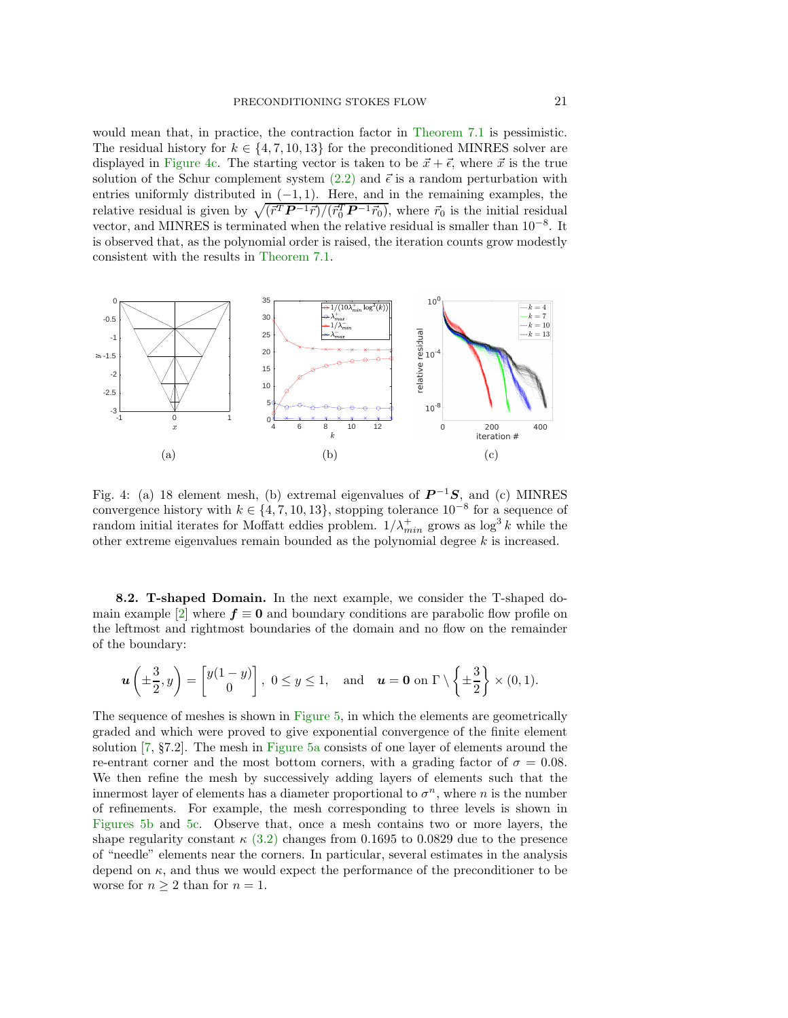would mean that, in practice, the contraction factor in [Theorem 7.1](#page-17-2) is pessimistic. The residual history for  $k \in \{4, 7, 10, 13\}$  for the preconditioned MINRES solver are displayed in [Figure 4c.](#page-20-0) The starting vector is taken to be  $\vec{x} + \vec{\epsilon}$ , where  $\vec{x}$  is the true solution of the Schur complement system [\(2.2\)](#page-2-1) and  $\vec{\epsilon}$  is a random perturbation with entries uniformly distributed in  $(-1, 1)$ . Here, and in the remaining examples, the relative residual is given by  $\sqrt{(\vec{r}^T P^{-1} \vec{r})/(\vec{r}_0^T P^{-1} \vec{r}_0)}$ , where  $\vec{r}_0$  is the initial residual vector, and MINRES is terminated when the relative residual is smaller than 10<sup>-8</sup>. It is observed that, as the polynomial order is raised, the iteration counts grow modestly consistent with the results in [Theorem 7.1.](#page-17-2)

<span id="page-20-0"></span>

Fig. 4: (a) 18 element mesh, (b) extremal eigenvalues of  $P^{-1}S$ , and (c) MINRES convergence history with  $k \in \{4, 7, 10, 13\}$ , stopping tolerance  $10^{-8}$  for a sequence of random initial iterates for Moffatt eddies problem.  $1/\lambda_{min}^{+}$  grows as  $\log^{3} k$  while the other extreme eigenvalues remain bounded as the polynomial degree k is increased.

8.2. T-shaped Domain. In the next example, we consider the T-shaped do-main example [\[2\]](#page-27-10) where  $f \equiv 0$  and boundary conditions are parabolic flow profile on the leftmost and rightmost boundaries of the domain and no flow on the remainder of the boundary:

$$
\boldsymbol{u}\left(\pm\frac{3}{2},y\right) = \begin{bmatrix} y(1-y) \\ 0 \end{bmatrix}, \ 0 \leq y \leq 1, \text{ and } \boldsymbol{u} = \mathbf{0} \text{ on } \Gamma \setminus \left\{\pm\frac{3}{2}\right\} \times (0,1).
$$

The sequence of meshes is shown in [Figure 5,](#page-21-0) in which the elements are geometrically graded and which were proved to give exponential convergence of the finite element solution [\[7,](#page-27-2) §7.2]. The mesh in [Figure 5a](#page-21-0) consists of one layer of elements around the re-entrant corner and the most bottom corners, with a grading factor of  $\sigma = 0.08$ . We then refine the mesh by successively adding layers of elements such that the innermost layer of elements has a diameter proportional to  $\sigma^n$ , where n is the number of refinements. For example, the mesh corresponding to three levels is shown in [Figures 5b](#page-21-0) and [5c.](#page-21-0) Observe that, once a mesh contains two or more layers, the shape regularity constant  $\kappa$  [\(3.2\)](#page-4-3) changes from 0.1695 to 0.0829 due to the presence of "needle" elements near the corners. In particular, several estimates in the analysis depend on  $\kappa$ , and thus we would expect the performance of the preconditioner to be worse for  $n > 2$  than for  $n = 1$ .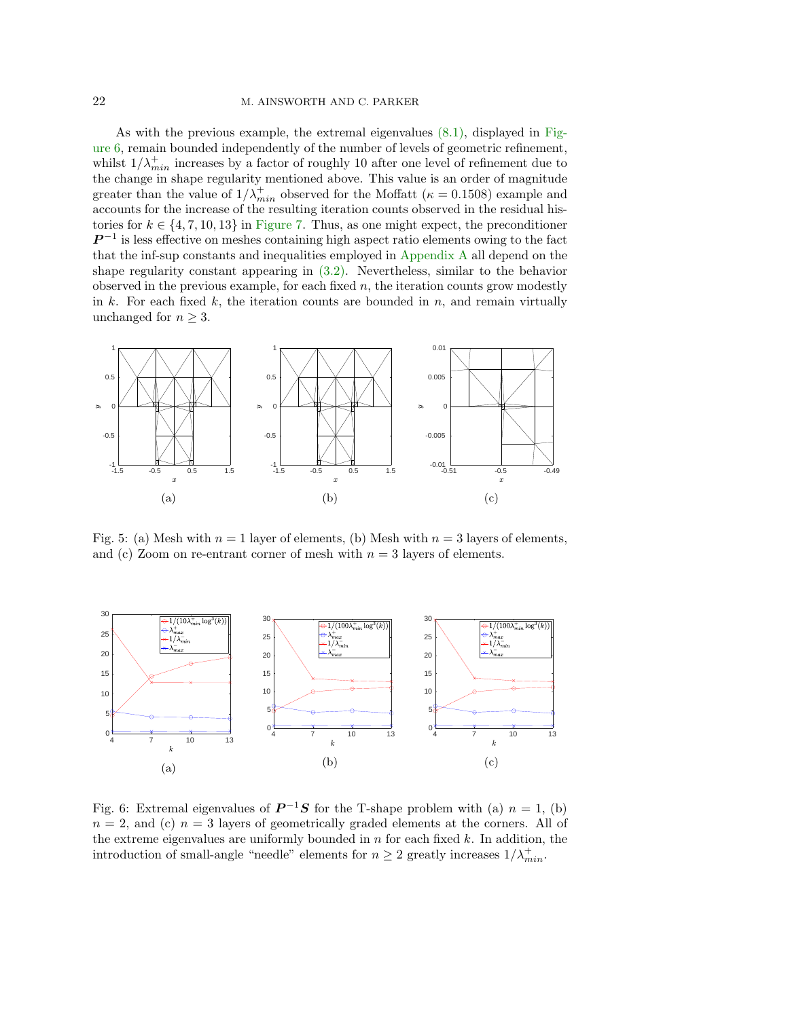# 22 M. AINSWORTH AND C. PARKER

As with the previous example, the extremal eigenvalues [\(8.1\),](#page-19-2) displayed in Fig[ure 6, remain bounded independently of the number of levels of geometric](#page-21-1) refinement, whilst  $1/\lambda_{min}^+$  increases by a factor of roughly 10 after one level of refinement due to the change in shape regularity mentioned above. This value is an order of magnitude greater than the value of  $1/\lambda_{min}^+$  observed for the Moffatt ( $\kappa = 0.1508$ ) example and accounts for the increase of the resulting iteration counts observed in the residual histories for  $k \in \{4, 7, 10, 13\}$  in [Figure 7.](#page-22-2) Thus, as one might expect, the preconditioner  $\mathbf{P}^{-1}$  is less effective on meshes containing high aspect ratio elements owing to the fact that the inf-sup constants and inequalities employed in [Appendix A](#page-22-0) all depend on the shape regularity constant appearing in [\(3.2\).](#page-4-3) Nevertheless, similar to the behavior observed in the previous example, for each fixed  $n$ , the iteration counts grow modestly in k. For each fixed k, the iteration counts are bounded in  $n$ , and remain virtually unchanged for  $n \geq 3$ .

<span id="page-21-0"></span>

Fig. 5: (a) Mesh with  $n = 1$  layer of elements, (b) Mesh with  $n = 3$  layers of elements, and (c) Zoom on re-entrant corner of mesh with  $n = 3$  layers of elements.

<span id="page-21-1"></span>

Fig. 6: Extremal eigenvalues of  $P^{-1}S$  for the T-shape problem with (a)  $n = 1$ , (b)  $n = 2$ , and (c)  $n = 3$  layers of geometrically graded elements at the corners. All of the extreme eigenvalues are uniformly bounded in  $n$  for each fixed  $k$ . In addition, the introduction of small-angle "needle" elements for  $n \geq 2$  greatly increases  $1/\lambda_{min}^+$ .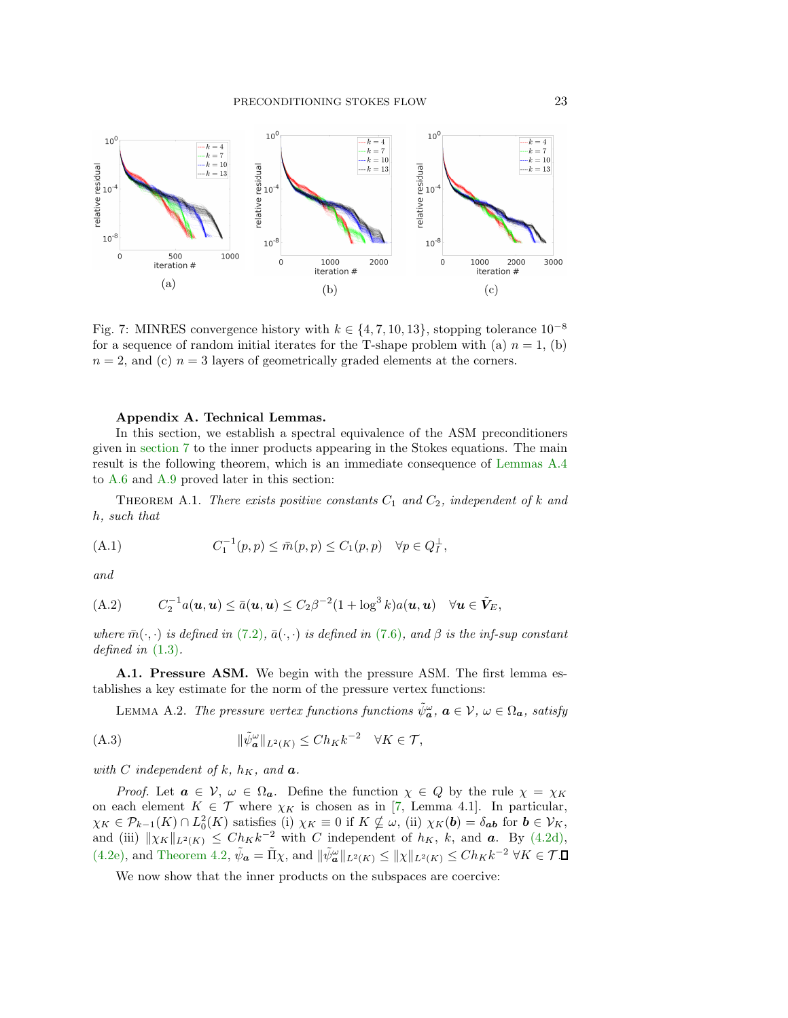<span id="page-22-2"></span>

Fig. 7: MINRES convergence history with  $k \in \{4, 7, 10, 13\}$ , stopping tolerance  $10^{-8}$ for a sequence of random initial iterates for the T-shape problem with (a)  $n = 1$ , (b)  $n = 2$ , and (c)  $n = 3$  layers of geometrically graded elements at the corners.

### <span id="page-22-1"></span><span id="page-22-0"></span>Appendix A. Technical Lemmas.

In this section, we establish a spectral equivalence of the ASM preconditioners given in [section 7](#page-15-0) to the inner products appearing in the Stokes equations. The main result is the following theorem, which is an immediate consequence of [Lemmas A.4](#page-23-0) to [A.6](#page-24-0) and [A.9](#page-27-11) proved later in this section:

THEOREM A.1. *There exists positive constants*  $C_1$  *and*  $C_2$ *, independent of* k *and* h*, such that*

<span id="page-22-4"></span>(A.1) 
$$
C_1^{-1}(p,p) \leq \bar{m}(p,p) \leq C_1(p,p) \quad \forall p \in Q_I^{\perp},
$$

*and*

<span id="page-22-6"></span>(A.2) 
$$
C_2^{-1}a(\boldsymbol{u},\boldsymbol{u}) \leq \bar{a}(\boldsymbol{u},\boldsymbol{u}) \leq C_2\beta^{-2}(1+\log^3 k)a(\boldsymbol{u},\boldsymbol{u}) \quad \forall \boldsymbol{u} \in \tilde{\boldsymbol{V}}_E,
$$

*where*  $\bar{m}(\cdot, \cdot)$  *is defined in* [\(7.2\)](#page-16-2)*,*  $\bar{a}(\cdot, \cdot)$  *is defined in* [\(7.6\)](#page-17-3)*, and*  $\beta$  *is the inf-sup constant defined in* [\(1.3\)](#page-1-1)*.*

A.1. Pressure ASM. We begin with the pressure ASM. The first lemma establishes a key estimate for the norm of the pressure vertex functions:

LEMMA A.2. *The pressure vertex functions functions*  $\tilde{\psi}_{a}^{\omega}$ ,  $a \in V$ ,  $\omega \in \Omega_{a}$ , satisfy

<span id="page-22-3"></span>(A.3) 
$$
\|\tilde{\psi}_{\mathbf{a}}^{\omega}\|_{L^{2}(K)} \leq Ch_{K}k^{-2} \quad \forall K \in \mathcal{T},
$$

*with* C *independent* of  $k$ *,*  $h_K$ *, and*  $a$ *.* 

*Proof.* Let  $\mathbf{a} \in \mathcal{V}$ ,  $\omega \in \Omega_{\mathbf{a}}$ . Define the function  $\chi \in Q$  by the rule  $\chi = \chi_K$ on each element  $K \in \mathcal{T}$  where  $\chi_K$  is chosen as in [\[7,](#page-27-2) Lemma 4.1]. In particular,  $\chi_K \in \mathcal{P}_{k-1}(K) \cap L_0^2(K)$  satisfies (i)  $\chi_K \equiv 0$  if  $K \nsubseteq \omega$ , (ii)  $\chi_K(\mathbf{b}) = \delta_{\mathbf{a}\mathbf{b}}$  for  $\mathbf{b} \in \mathcal{V}_K$ , and (iii)  $\|\chi_K\|_{L^2(K)} \leq Ch_K k^{-2}$  with C independent of  $h_K$ , k, and **a**. By [\(4.2d\),](#page-8-0) [\(4.2e\),](#page-8-1) and [Theorem 4.2,](#page-9-3)  $\tilde{\psi}_{\mathbf{a}} = \tilde{\Pi}\chi$ , and  $\|\tilde{\psi}_{\mathbf{a}}^{\omega}\|_{L^2(K)} \leq \|\chi\|_{L^2(K)} \leq Ch_K k^{-2} \ \forall K \in \mathcal{T}$ .

<span id="page-22-5"></span>We now show that the inner products on the subspaces are coercive: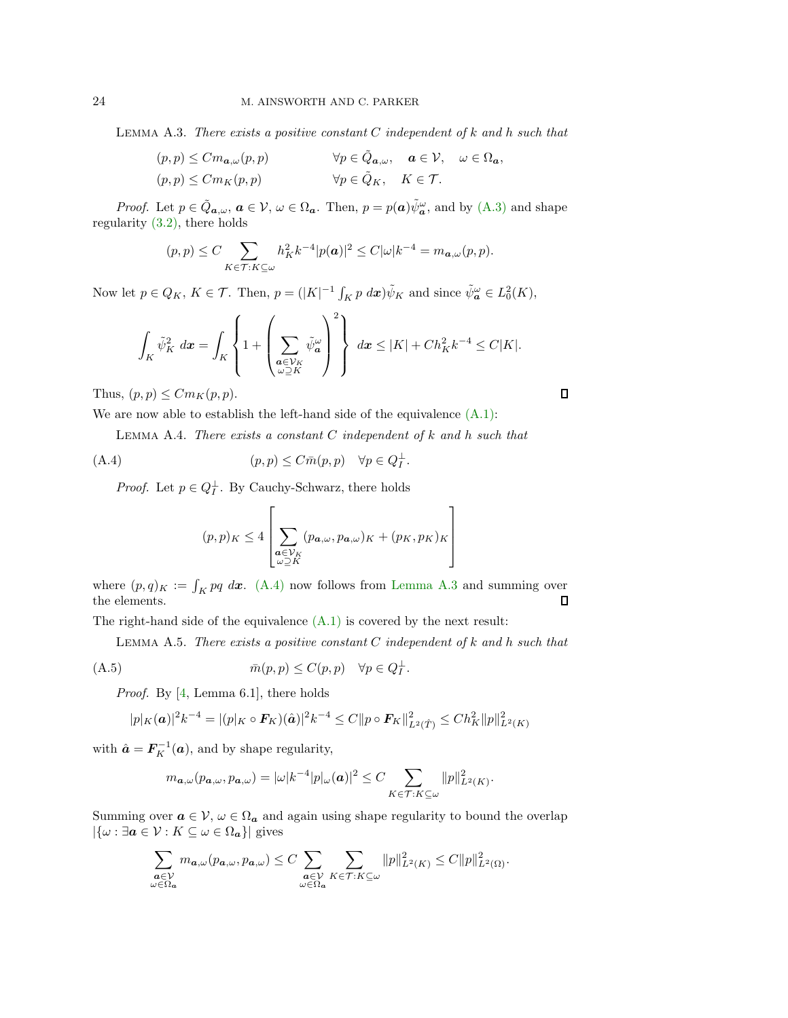Lemma A.3. *There exists a positive constant* C *independent of* k *and* h *such that*

$$
(p, p) \leq C m_{a,\omega}(p, p) \qquad \forall p \in \tilde{Q}_{a,\omega}, \quad a \in V, \quad \omega \in \Omega_a,
$$
  

$$
(p, p) \leq C m_K(p, p) \qquad \forall p \in \tilde{Q}_K, \quad K \in \mathcal{T}.
$$

*Proof.* Let  $p \in \tilde{Q}_{a,\omega}, a \in V, \omega \in \Omega_a$ . Then,  $p = p(a)\tilde{\psi}_a^{\omega}$ , and by  $(A.3)$  and shape regularity [\(3.2\),](#page-4-3) there holds

$$
(p,p)\leq C\sum_{K\in\mathcal{T}:K\subseteq\omega}h_K^2k^{-4}|p(\boldsymbol{a})|^2\leq C|\omega|k^{-4}=m_{\boldsymbol{a},\omega}(p,p).
$$

Now let  $p \in Q_K$ ,  $K \in \mathcal{T}$ . Then,  $p = (|K|^{-1} \int_K p \, dx) \tilde{\psi}_K$  and since  $\tilde{\psi}_a^{\omega} \in L_0^2(K)$ ,

$$
\int_K \tilde{\psi}_K^2 dx = \int_K \left\{ 1 + \left( \sum_{\substack{\boldsymbol{a} \in \mathcal{V}_K \\ \omega \supseteq K}} \tilde{\psi}_{\boldsymbol{a}}^{\omega} \right)^2 \right\} dx \le |K| + Ch_K^2 k^{-4} \le C|K|.
$$

Thus,  $(p, p) \leq C m_K(p, p)$ .

We are now able to establish the left-hand side of the equivalence  $(A.1)$ :

Lemma A.4. *There exists a constant* C *independent of* k *and* h *such that*

<span id="page-23-1"></span>(A.4) 
$$
(p, p) \leq C \bar{m}(p, p) \quad \forall p \in Q_I^{\perp}.
$$

*Proof.* Let  $p \in Q_I^{\perp}$ . By Cauchy-Schwarz, there holds

$$
(p,p)_K \le 4 \left[ \sum_{\substack{\mathbf{a} \in \mathcal{V}_K \\ \omega \supseteq K}} (p_{\mathbf{a},\omega}, p_{\mathbf{a},\omega})_K + (p_K, p_K)_K \right]
$$

where  $(p, q)_K := \int_K pq \, dx$ . [\(A.4\)](#page-23-1) now follows from [Lemma A.3](#page-22-5) and summing over the elements.  $\Box$ 

The right-hand side of the equivalence [\(A.1\)](#page-22-4) is covered by the next result:

Lemma A.5. *There exists a positive constant* C *independent of* k *and* h *such that*

<span id="page-23-2"></span>
$$
(A.5) \t\t \overline{m}(p,p) \le C(p,p) \quad \forall p \in Q_I^{\perp}.
$$

*Proof.* By [\[4,](#page-27-6) Lemma 6.1], there holds

$$
|p|_K(\mathbf{a})|^2 k^{-4} = |(p|_K \circ \mathbf{F}_K)(\hat{\mathbf{a}})|^2 k^{-4} \le C \|p \circ \mathbf{F}_K\|_{L^2(\hat{T})}^2 \le Ch_K^2 \|p\|_{L^2(K)}^2
$$

with  $\hat{\boldsymbol{a}} = \boldsymbol{F}_K^{-1}(\boldsymbol{a})$ , and by shape regularity,

$$
m_{\mathbf{a},\omega}(p_{\mathbf{a},\omega},p_{\mathbf{a},\omega}) = |\omega|k^{-4}|p|_{\omega}(\mathbf{a})|^2 \leq C \sum_{K \in \mathcal{T}:K \subseteq \omega} ||p||^2_{L^2(K)}.
$$

Summing over  $a \in V$ ,  $\omega \in \Omega_a$  and again using shape regularity to bound the overlap  $|\{\omega : \exists a \in \mathcal{V} : K \subseteq \omega \in \Omega_a\}|$  gives

$$
\sum_{\substack{\pmb{a}\in \mathcal{V}\\ \omega\in \Omega_{\pmb{a}}}} m_{\pmb{a},\omega}(p_{\pmb{a},\omega},p_{\pmb{a},\omega})\leq C\sum_{\substack{\pmb{a}\in \mathcal{V}\\ \omega\in \Omega_{\pmb{a}}}}\sum_{K\in\mathcal{T}:K\subseteq \omega}\|p\|_{L^2(K)}^2\leq C\|p\|_{L^2(\Omega)}^2.
$$

<span id="page-23-0"></span> $\Box$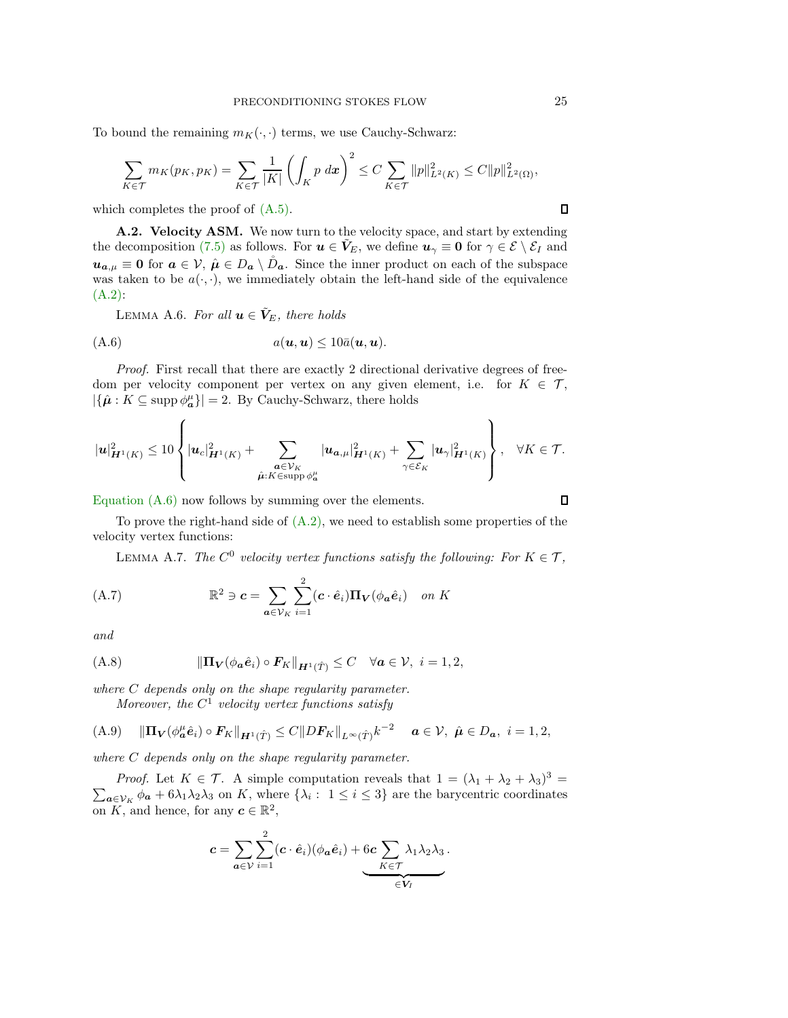To bound the remaining  $m_K(\cdot, \cdot)$  terms, we use Cauchy-Schwarz:

$$
\sum_{K \in \mathcal{T}} m_K(p_K, p_K) = \sum_{K \in \mathcal{T}} \frac{1}{|K|} \left( \int_K p \, dx \right)^2 \le C \sum_{K \in \mathcal{T}} \|p\|_{L^2(K)}^2 \le C \|p\|_{L^2(\Omega)}^2,
$$

which completes the proof of  $(A.5)$ .

A.2. Velocity ASM. We now turn to the velocity space, and start by extending the decomposition [\(7.5\)](#page-17-4) as follows. For  $u \in V_E$ , we define  $u_\gamma \equiv 0$  for  $\gamma \in \mathcal{E} \setminus \mathcal{E}_I$  and  $u_{a,\mu} \equiv 0$  for  $a \in V$ ,  $\hat{\mu} \in D_a \setminus \mathring{D}_a$ . Since the inner product on each of the subspace was taken to be  $a(\cdot, \cdot)$ , we immediately obtain the left-hand side of the equivalence [\(A.2\):](#page-22-6)

<span id="page-24-0"></span>LEMMA A.6. For all  $u \in V_E$ , there holds

<span id="page-24-1"></span>
$$
(A.6) \t a(\mathbf{u},\mathbf{u}) \leq 10\bar{a}(\mathbf{u},\mathbf{u}).
$$

*Proof.* First recall that there are exactly 2 directional derivative degrees of freedom per velocity component per vertex on any given element, i.e. for  $K \in \mathcal{T}$ ,  $|\{\hat{\boldsymbol{\mu}} : K \subseteq \text{supp } \phi_{\boldsymbol{a}}^{\mu}\}| = 2$ . By Cauchy-Schwarz, there holds

$$
|\mathbf{u}|_{\mathbf{H}^1(K)}^2 \leq 10 \left\{ |\mathbf{u}_c|_{\mathbf{H}^1(K)}^2 + \sum_{\substack{\mathbf{a}\in \mathcal{V}_K \\ \hat{\mu}: K \in \text{supp}\, \phi_{\mathbf{a}}^{\mu} }} |\mathbf{u}_{\mathbf{a},\mu}|_{\mathbf{H}^1(K)}^2 + \sum_{\gamma\in \mathcal{E}_K} |\mathbf{u}_\gamma|_{\mathbf{H}^1(K)}^2 \right\}, \quad \forall K \in \mathcal{T}.
$$

[Equation \(A.6\)](#page-24-1) now follows by summing over the elements.

To prove the right-hand side of  $(A.2)$ , we need to establish some properties of the velocity vertex functions:

LEMMA A.7. *The*  $C^0$  velocity vertex functions satisfy the following: For  $K \in \mathcal{T}$ ,

<span id="page-24-2"></span>(A.7) 
$$
\mathbb{R}^2 \ni \mathbf{c} = \sum_{\mathbf{a} \in \mathcal{V}_K} \sum_{i=1}^2 (\mathbf{c} \cdot \hat{\mathbf{e}}_i) \mathbf{\Pi}_V(\phi_{\mathbf{a}} \hat{\mathbf{e}}_i) \quad on \ K
$$

*and*

<span id="page-24-3"></span>(A.8) 
$$
\|\Pi_V(\phi_a \hat{e}_i) \circ F_K\|_{H^1(\hat{T})} \leq C \quad \forall a \in \mathcal{V}, \ i = 1, 2,
$$

*where* C *depends only on the shape regularity parameter.*

*Moreover, the*  $C^1$  *velocity vertex functions satisfy* 

<span id="page-24-4"></span>(A.9) 
$$
\|\Pi_V(\phi^{\mu}_a \hat{e}_i) \circ F_K\|_{H^1(\hat{T})} \leq C \|DF_K\|_{L^{\infty}(\hat{T})} k^{-2} \quad a \in \mathcal{V}, \ \hat{\mu} \in D_a, \ i = 1, 2,
$$

*where* C *depends only on the shape regularity parameter.*

*Proof.* Let  $K \in \mathcal{T}$ . A simple computation reveals that  $1 = (\lambda_1 + \lambda_2 + \lambda_3)^3$  $\sum_{\mathbf{a}\in\mathcal{V}_K} \phi_{\mathbf{a}} + 6\lambda_1\lambda_2\lambda_3$  on K, where  $\{\lambda_i: 1 \leq i \leq 3\}$  are the barycentric coordinates on K, and hence, for any  $c \in \mathbb{R}^2$ ,

$$
c = \sum_{a \in \mathcal{V}} \sum_{i=1}^{2} (c \cdot \hat{e}_i)(\phi_a \hat{e}_i) + \underbrace{6c \sum_{K \in \mathcal{T}} \lambda_1 \lambda_2 \lambda_3}_{\in V_I}.
$$

 $\Box$ 

 $\Box$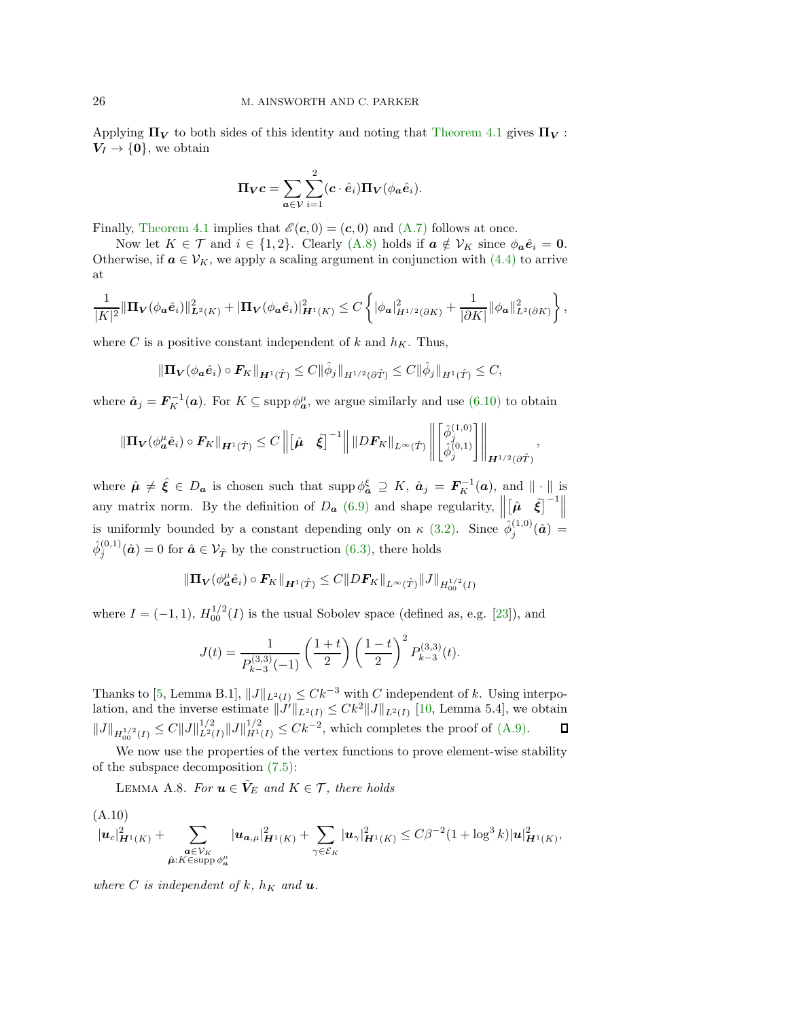Applying  $\Pi_V$  to both sides of this identity and noting that [Theorem 4.1](#page-8-8) gives  $\Pi_V$ :  $V_I \rightarrow \{0\}$ , we obtain

$$
\Pi_V c = \sum_{a \in V} \sum_{i=1}^2 (c \cdot \hat{e}_i) \Pi_V(\phi_a \hat{e}_i).
$$

Finally, [Theorem 4.1](#page-8-8) implies that  $\mathscr{E}(\mathbf{c},0) = (\mathbf{c},0)$  and  $(A.7)$  follows at once.

Now let  $K \in \mathcal{T}$  and  $i \in \{1,2\}$ . Clearly  $(A.8)$  holds if  $\boldsymbol{a} \notin \mathcal{V}_K$  since  $\phi_{\boldsymbol{a}} \hat{\boldsymbol{e}}_i = \boldsymbol{0}$ . Otherwise, if  $a \in V_K$ , we apply a scaling argument in conjunction with [\(4.4\)](#page-8-2) to arrive at

$$
\frac{1}{|K|^2}\|\Pi_{\bm{V}}(\phi_{\bm{a}}\hat{\bm{e}}_i)\|^2_{\bm{L}^2(K)}+\|\Pi_{\bm{V}}(\phi_{\bm{a}}\hat{\bm{e}}_i)\|^2_{\bm{H}^1(K)}\leq C\left\{|\phi_{\bm{a}}|^2_{H^{1/2}(\partial K)}+\frac{1}{|\partial K|}\|\phi_{\bm{a}}\|^2_{L^2(\partial K)}\right\},
$$

where C is a positive constant independent of k and  $h<sub>K</sub>$ . Thus,

$$
\|\mathbf{\Pi}_{\mathbf{V}}(\phi_{\mathbf{a}}\hat{\mathbf{e}}_i)\circ \mathbf{F}_K\|_{\mathbf{H}^1(\hat{T})} \leq C \|\hat{\phi}_j\|_{H^{1/2}(\partial \hat{T})} \leq C \|\hat{\phi}_j\|_{H^1(\hat{T})} \leq C,
$$

where  $\hat{\mathbf{a}}_j = \mathbf{F}_K^{-1}(\mathbf{a})$ . For  $K \subseteq \text{supp } \phi_{\mathbf{a}}^{\mu}$ , we argue similarly and use  $(6.10)$  to obtain

$$
\|\Pi_V(\phi^{\mu}_a \hat{e}_i) \circ F_K\|_{H^1(\hat{T})} \leq C \left\| \begin{bmatrix} \hat{\mu} & \hat{\xi} \end{bmatrix}^{-1} \right\| \|DF_K\|_{L^{\infty}(\hat{T})} \left\| \begin{bmatrix} \hat{\phi}_j^{(1,0)} \\ \hat{\phi}_j^{(0,1)} \end{bmatrix} \right\|_{H^{1/2}(\partial \hat{T})}
$$

,

where  $\hat{\mu} \neq \hat{\xi} \in D_{\mathbf{a}}$  is chosen such that  $\text{supp }\phi_{\mathbf{a}}^{\xi} \supseteq K$ ,  $\hat{\mathbf{a}}_j = F_K^{-1}(\mathbf{a})$ , and  $\|\cdot\|$  is any matrix norm. By the definition of  $D_{\boldsymbol{a}}$  [\(6.9\)](#page-14-1) and shape regularity,  $\|\$  $\left\Vert \hat{\boldsymbol{\mu}}\right\Vert \hat{\boldsymbol{\xi}}\right\Vert ^{-1}\left\Vert \hat{\boldsymbol{\mu}}\right\Vert$ is uniformly bounded by a constant depending only on  $\kappa$  [\(3.2\).](#page-4-3) Since  $\hat{\phi}_i^{(1,0)}$  $j^{(1,0)}(\hat{\bm{a}}) =$  $\hat{\phi}_j^{(0,1)}(\hat{a}) = 0$  for  $\hat{a} \in \mathcal{V}_{\hat{T}}$  by the construction [\(6.3\),](#page-11-3) there holds

$$
\|\Pi_{\bm{V}}(\phi_{\bm{a}}^{\mu}\hat{\bm{e}}_i)\circ \bm{F}_K\|_{\bm{H}^1(\hat{T})}\leq C\|DF_K\|_{L^{\infty}(\hat{T})}\|J\|_{H^{1/2}_{00}(I)}
$$

where  $I = (-1, 1)$ ,  $H_{00}^{1/2}(I)$  is the usual Sobolev space (defined as, e.g. [\[23\]](#page-28-17)), and

$$
J(t) = \frac{1}{P_{k-3}^{(3,3)}(-1)} \left(\frac{1+t}{2}\right) \left(\frac{1-t}{2}\right)^2 P_{k-3}^{(3,3)}(t).
$$

Thanks to [\[5,](#page-27-5) Lemma B.1],  $||J||_{L^2(I)} \leq Ck^{-3}$  with C independent of k. Using interpolation, and the inverse estimate  $||J'||_{L^2(I)} \leq Ck^2 ||J||_{L^2(I)}$  [\[10,](#page-27-12) Lemma 5.4], we obtain  $||J||_{H_{00}^{1/2}(I)} \leq C||J||_{L^2(I)}^{1/2} ||J||_{H^1(I)}^{1/2} \leq Ck^{-2}$ , which completes the proof of [\(A.9\).](#page-24-4)  $\Box$ 

We now use the properties of the vertex functions to prove element-wise stability of the subspace decomposition [\(7.5\):](#page-17-4)

LEMMA A.8. *For*  $u \in V_E$  *and*  $K \in \mathcal{T}$ *, there holds* 

<span id="page-25-0"></span>
$$
(A.10) |u_c|_{\mathbf{H}^1(K)}^2 + \sum_{\substack{\mathbf{a}\in \mathcal{V}_K \\ \hat{\mu}:K\in \text{supp }\phi_{\mathbf{a}}^{\mu} }} |u_{\mathbf{a},\mu}|_{\mathbf{H}^1(K)}^2 + \sum_{\gamma\in \mathcal{E}_K} |u_{\gamma}|_{\mathbf{H}^1(K)}^2 \leq C\beta^{-2} (1 + \log^3 k) |u|_{\mathbf{H}^1(K)}^2,
$$

*where* C *is independent of* k,  $h_K$  *and* **u**.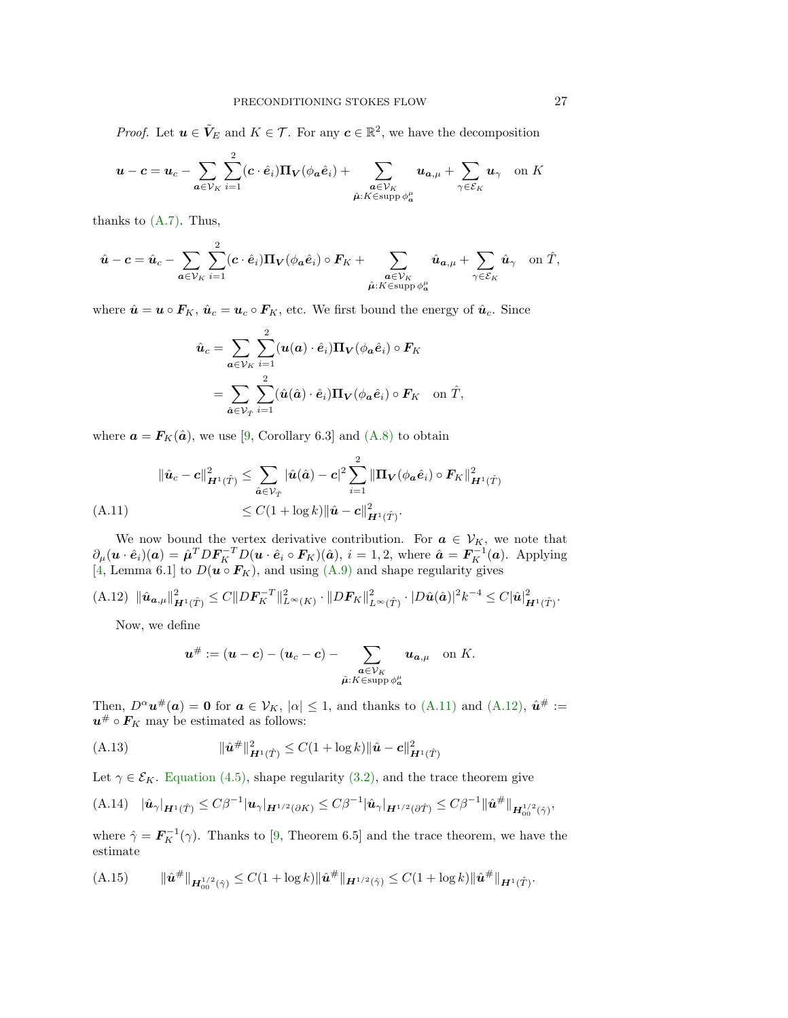*Proof.* Let  $u \in V_E$  and  $K \in \mathcal{T}$ . For any  $c \in \mathbb{R}^2$ , we have the decomposition

$$
\mathbf{u}-\mathbf{c}=\mathbf{u}_c-\sum_{\mathbf{a}\in\mathcal{V}_K}\sum_{i=1}^2(\mathbf{c}\cdot\hat{\mathbf{e}}_i)\mathbf{\Pi}_{\mathbf{V}}(\phi_{\mathbf{a}}\hat{\mathbf{e}}_i)+\sum_{\substack{\mathbf{a}\in\mathcal{V}_K\\\hat{\mu}:K\in\text{supp}\,\phi^{\mu}_{\mathbf{a}}}}\mathbf{u}_{\mathbf{a},\mu}+\sum_{\gamma\in\mathcal{E}_K}\mathbf{u}_\gamma\quad\text{on }K
$$

thanks to [\(A.7\).](#page-24-2) Thus,

$$
\hat{\boldsymbol{u}} - \boldsymbol{c} = \hat{\boldsymbol{u}}_c - \sum_{\boldsymbol{a} \in \mathcal{V}_K} \sum_{i=1}^2 (\boldsymbol{c} \cdot \hat{\boldsymbol{e}}_i) \boldsymbol{\Pi}_\mathbf{V} (\phi_{\boldsymbol{a}} \hat{\boldsymbol{e}}_i) \circ \boldsymbol{F}_K + \sum_{\substack{\boldsymbol{a} \in \mathcal{V}_K \\ \hat{\boldsymbol{\mu}}: K \in \text{supp } \phi_{\boldsymbol{a}}^{\mu}}} \hat{\boldsymbol{u}}_{\boldsymbol{a},\boldsymbol{\mu}} + \sum_{\gamma \in \mathcal{E}_K} \hat{\boldsymbol{u}}_{\gamma} \quad \text{on } \hat{T},
$$

where  $\hat{\boldsymbol{u}} = \boldsymbol{u} \circ \boldsymbol{F}_K$ ,  $\hat{\boldsymbol{u}}_c = \boldsymbol{u}_c \circ \boldsymbol{F}_K$ , etc. We first bound the energy of  $\hat{\boldsymbol{u}}_c$ . Since

$$
\hat{\boldsymbol{u}}_c = \sum_{\boldsymbol{a}\in\mathcal{V}_K} \sum_{i=1}^2 (\boldsymbol{u}(\boldsymbol{a}) \cdot \hat{\boldsymbol{e}}_i) \boldsymbol{\Pi}_\boldsymbol{V}(\phi_{\boldsymbol{a}} \hat{\boldsymbol{e}}_i) \circ \boldsymbol{F}_K \n= \sum_{\hat{\boldsymbol{a}}\in\mathcal{V}_{\hat{T}}} \sum_{i=1}^2 (\hat{\boldsymbol{u}}(\hat{\boldsymbol{a}}) \cdot \hat{\boldsymbol{e}}_i) \boldsymbol{\Pi}_\boldsymbol{V}(\phi_{\boldsymbol{a}} \hat{\boldsymbol{e}}_i) \circ \boldsymbol{F}_K \quad \text{on } \hat{T},
$$

where  $\mathbf{a} = \mathbf{F}_K(\hat{\mathbf{a}})$ , we use [\[9,](#page-27-9) Corollary 6.3] and [\(A.8\)](#page-24-3) to obtain

$$
\|\hat{\mathbf{u}}_c - \mathbf{c}\|_{\mathbf{H}^1(\hat{T})}^2 \le \sum_{\hat{\mathbf{a}} \in \mathcal{V}_{\hat{T}}} |\hat{\mathbf{u}}(\hat{\mathbf{a}}) - \mathbf{c}|^2 \sum_{i=1}^2 \|\Pi_V(\phi_{\mathbf{a}}\hat{e}_i) \circ \mathbf{F}_K\|_{\mathbf{H}^1(\hat{T})}^2
$$
  
(A.11) 
$$
\le C(1 + \log k) \|\hat{\mathbf{u}} - \mathbf{c}\|_{\mathbf{H}^1(\hat{T})}^2.
$$

<span id="page-26-0"></span>We now bound the vertex derivative contribution. For  $a \in V_{K}$ , we note that  $\partial_{\mu}(\boldsymbol{u} \cdot \hat{\boldsymbol{e}}_i)(\boldsymbol{a}) = \hat{\boldsymbol{\mu}}^T \boldsymbol{D} \boldsymbol{F}_K^{-T} \boldsymbol{D}(\boldsymbol{u} \cdot \hat{\boldsymbol{e}}_i \circ \boldsymbol{F}_K)(\hat{\boldsymbol{a}}), i = 1, 2$ , where  $\hat{\boldsymbol{a}} = \boldsymbol{F}_K^{-1}(\boldsymbol{a})$ . Applying [\[4,](#page-27-6) Lemma 6.1] to  $D(\mathbf{u} \circ \mathbf{F}_K)$ , and using [\(A.9\)](#page-24-4) and shape regularity gives

<span id="page-26-1"></span>
$$
(A.12) \|\hat{\mathbf{u}}_{\mathbf{a},\mu}\|_{\mathbf{H}^1(\hat{T})}^2 \leq C \|DF_K^{-T}\|_{L^\infty(K)}^2 \cdot \|DF_K\|_{L^\infty(\hat{T})}^2 \cdot |D\hat{\mathbf{u}}(\hat{\mathbf{a}})|^2 k^{-4} \leq C |\hat{\mathbf{u}}|_{\mathbf{H}^1(\hat{T})}^2.
$$

Now, we define

$$
\mathbf{u}^{\#} := (\mathbf{u} - \mathbf{c}) - (\mathbf{u}_c - \mathbf{c}) - \sum_{\substack{\mathbf{a} \in \mathcal{V}_K \\ \hat{\mu}: K \in \text{supp } \phi^{\mu}_{\mathbf{a}}}} \mathbf{u}_{\mathbf{a}, \mu} \quad \text{on } K.
$$

Then,  $D^{\alpha}u^{\#}(a) = 0$  for  $a \in V_K$ ,  $|\alpha| \leq 1$ , and thanks to [\(A.11\)](#page-26-0) and [\(A.12\),](#page-26-1)  $\hat{u}^{\#} :=$  $u^{\#} \circ F_K$  may be estimated as follows:

<span id="page-26-2"></span>(A.13) 
$$
\|\hat{\bm{u}}^{\#}\|_{\bm{H}^1(\hat{T})}^2 \leq C(1+\log k) \|\hat{\bm{u}} - \bm{c}\|_{\bm{H}^1(\hat{T})}^2
$$

Let  $\gamma \in \mathcal{E}_K$ . [Equation \(4.5\),](#page-8-7) shape regularity [\(3.2\),](#page-4-3) and the trace theorem give

$$
(A.14) \quad |\hat{\mathbf{u}}_{\gamma}|_{\mathbf{H}^1(\hat{T})} \leq C\beta^{-1} |\mathbf{u}_{\gamma}|_{\mathbf{H}^{1/2}(\partial K)} \leq C\beta^{-1} |\hat{\mathbf{u}}_{\gamma}|_{\mathbf{H}^{1/2}(\partial \hat{T})} \leq C\beta^{-1} ||\hat{\mathbf{u}}^{\#}||_{\mathbf{H}_{00}^{1/2}(\hat{\gamma})},
$$

where  $\hat{\gamma} = \mathbf{F}_K^{-1}(\gamma)$ . Thanks to [\[9,](#page-27-9) Theorem 6.5] and the trace theorem, we have the estimate

<span id="page-26-3"></span>
$$
(A.15) \t ||\hat{\mathbf{u}}^{\#}||_{\mathbf{H}_{00}^{1/2}(\hat{\gamma})} \leq C(1+\log k) \|\hat{\mathbf{u}}^{\#}\|_{\mathbf{H}^{1/2}(\hat{\gamma})} \leq C(1+\log k) \|\hat{\mathbf{u}}^{\#}\|_{\mathbf{H}^{1}(\hat{T})}.
$$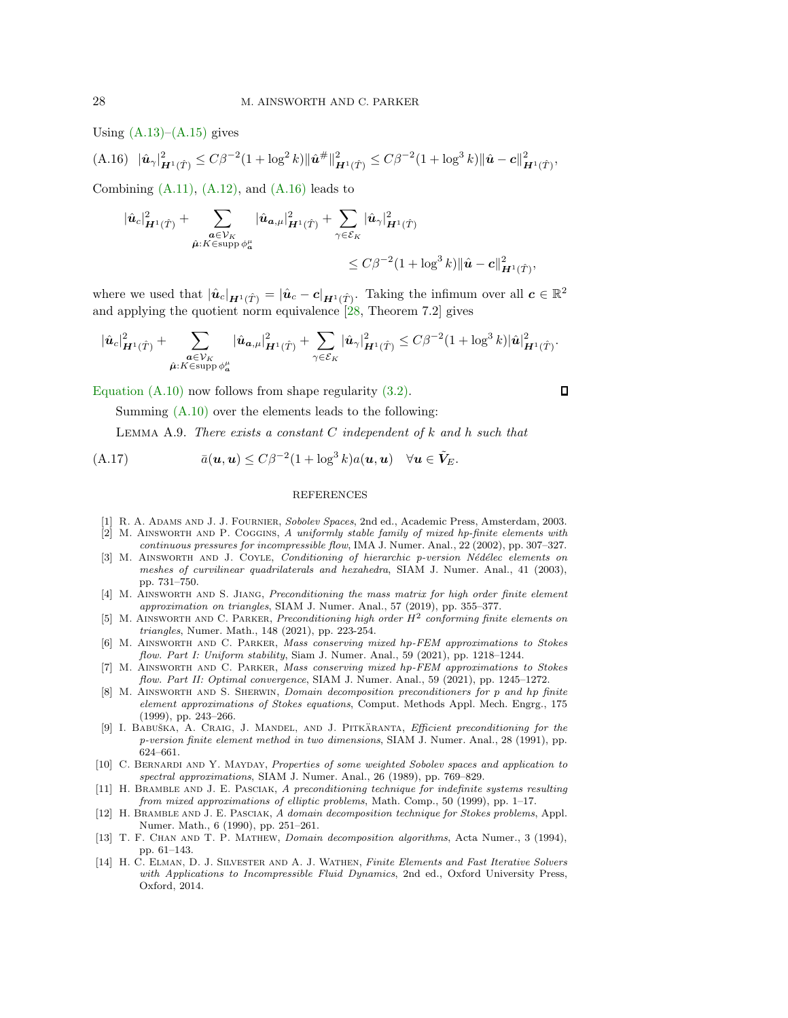Using  $(A.13)$ – $(A.15)$  gives

<span id="page-27-13"></span>
$$
(A.16)\quad |\hat{\mathbf{u}}_{\gamma}|^2_{\mathbf{H}^1(\hat{T})} \leq C\beta^{-2} (1+\log^2 k) ||\hat{\mathbf{u}}^{\#}||^2_{\mathbf{H}^1(\hat{T})} \leq C\beta^{-2} (1+\log^3 k) ||\hat{\mathbf{u}} - \mathbf{c}||^2_{\mathbf{H}^1(\hat{T})},
$$

Combining  $(A.11)$ ,  $(A.12)$ , and  $(A.16)$  leads to

$$
\begin{aligned} |\hat{\boldsymbol{u}}_c|_{\boldsymbol{H}^1(\hat{T})}^2 + \sum_{\substack{\boldsymbol{a}\in\mathcal{V}_K \\ \hat{\boldsymbol{\mu}}:K\in\operatorname{supp}\phi_{\boldsymbol{a}}^{\mu}}} |\hat{\boldsymbol{u}}_{\boldsymbol{a},\boldsymbol{\mu}}|_{\boldsymbol{H}^1(\hat{T})}^2 + \sum_{\gamma\in\mathcal{E}_K} |\hat{\boldsymbol{u}}_\gamma|_{\boldsymbol{H}^1(\hat{T})}^2 \\ &\leq C\beta^{-2} (1 + \log^3 k) \|\hat{\boldsymbol{u}} - \boldsymbol{c}\|_{\boldsymbol{H}^1(\hat{T})}^2, \end{aligned}
$$

where we used that  $|\hat{u}_c|_{\mathbf{H}^1(\hat{T})} = |\hat{u}_c - c|_{\mathbf{H}^1(\hat{T})}$ . Taking the infimum over all  $c \in \mathbb{R}^2$ and applying the quotient norm equivalence [\[28,](#page-28-18) Theorem 7.2] gives

$$
|\hat{\boldsymbol{u}}_c|_{\boldsymbol{H}^1(\hat{T})}^2 + \sum_{\substack{\boldsymbol{a}\in\mathcal{V}_K \\ \hat{\boldsymbol{\mu}}:K\in\operatorname{supp}\phi_{\boldsymbol{a}}^{\mu} }} |\hat{\boldsymbol{u}}_{\boldsymbol{a},\mu}|_{\boldsymbol{H}^1(\hat{T})}^2 + \sum_{\gamma\in\mathcal{E}_K} |\hat{\boldsymbol{u}}_\gamma|_{\boldsymbol{H}^1(\hat{T})}^2 \leq C\beta^{-2} (1+\log^3 k) |\hat{\boldsymbol{u}}|_{\boldsymbol{H}^1(\hat{T})}^2.
$$

[Equation \(A.10\)](#page-25-0) now follows from shape regularity [\(3.2\).](#page-4-3)

Summing [\(A.10\)](#page-25-0) over the elements leads to the following:

Lemma A.9. *There exists a constant* C *independent of* k *and* h *such that*

(A.17) 
$$
\bar{a}(\mathbf{u},\mathbf{u}) \leq C\beta^{-2}(1+\log^3 k)a(\mathbf{u},\mathbf{u}) \quad \forall \mathbf{u} \in \tilde{\mathbf{V}}_E.
$$

#### REFERENCES

- <span id="page-27-10"></span><span id="page-27-0"></span>[1] R. A. Adams and J. J. Fournier, Sobolev Spaces, 2nd ed., Academic Press, Amsterdam, 2003. [2] M. Ainsworth and P. Coggins, A uniformly stable family of mixed hp-finite elements with
- <span id="page-27-7"></span>continuous pressures for incompressible flow, IMA J. Numer. Anal., 22 (2002), pp. 307–327. [3] M. AINSWORTH AND J. COYLE, Conditioning of hierarchic p-version Nédélec elements on meshes of curvilinear quadrilaterals and hexahedra, SIAM J. Numer. Anal., 41 (2003),
- <span id="page-27-6"></span>pp. 731–750. [4] M. AINSWORTH AND S. JIANG, Preconditioning the mass matrix for high order finite element approximation on triangles, SIAM J. Numer. Anal., 57 (2019), pp. 355–377.
- <span id="page-27-5"></span>[5] M. AINSWORTH AND C. PARKER, Preconditioning high order  $H^2$  conforming finite elements on triangles, Numer. Math., 148 (2021), pp. 223-254.
- <span id="page-27-1"></span>[6] M. Ainsworth and C. Parker, Mass conserving mixed hp-FEM approximations to Stokes flow. Part I: Uniform stability, Siam J. Numer. Anal., 59 (2021), pp. 1218–1244.
- <span id="page-27-2"></span>[7] M. Ainsworth and C. Parker, Mass conserving mixed hp-FEM approximations to Stokes flow. Part II: Optimal convergence, SIAM J. Numer. Anal., 59 (2021), pp. 1245–1272.
- <span id="page-27-4"></span>[8] M. AINSWORTH AND S. SHERWIN, *Domain decomposition preconditioners for p and hp finite* element approximations of Stokes equations, Comput. Methods Appl. Mech. Engrg., 175 (1999), pp. 243–266.
- <span id="page-27-9"></span>[9] I. BABUŠKA, A. CRAIG, J. MANDEL, AND J. PITKÄRANTA, Efficient preconditioning for the p-version finite element method in two dimensions, SIAM J. Numer. Anal., 28 (1991), pp. 624–661.
- <span id="page-27-12"></span>[10] C. BERNARDI AND Y. MAYDAY, Properties of some weighted Sobolev spaces and application to spectral approximations, SIAM J. Numer. Anal., 26 (1989), pp. 769–829.
- [11] H. BRAMBLE AND J. E. PASCIAK, A preconditioning technique for indefinite systems resulting from mixed approximations of elliptic problems, Math. Comp., 50 (1999), pp. 1–17.
- <span id="page-27-3"></span>[12] H. Bramble and J. E. Pasciak, A domain decomposition technique for Stokes problems, Appl. Numer. Math., 6 (1990), pp. 251–261.
- [13] T. F. Chan and T. P. Mathew, Domain decomposition algorithms, Acta Numer., 3 (1994), pp. 61–143.
- <span id="page-27-8"></span>[14] H. C. Elman, D. J. Silvester and A. J. Wathen, Finite Elements and Fast Iterative Solvers with Applications to Incompressible Fluid Dynamics, 2nd ed., Oxford University Press, Oxford, 2014.

<span id="page-27-11"></span> $\Box$